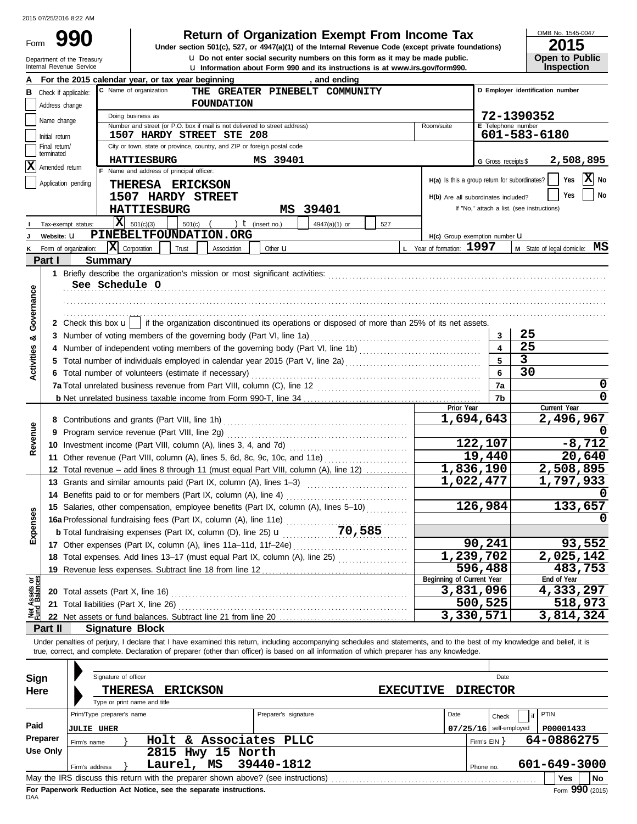Form

Department of the Treasury<br>Internal Revenue Service

|  | <b>Return of Organization Exempt From In</b> |  |  |  |
|--|----------------------------------------------|--|--|--|
|--|----------------------------------------------|--|--|--|

**u** Information about Form 990 and its instructions is at www.irs.gov/form990. **u** Do not enter social security numbers on this form as it may be made public. **990 1990 2015 Depending Solution Solution Solution Script Street (except private foundations) 1991 <b>2015 2015** 

OMB No. 1545-0047

| ZU 13                 |
|-----------------------|
| <b>Open to Public</b> |
| <b>Inspection</b>     |

|                                |                                 |                       | For the 2015 calendar year, or tax year beginning<br>, and ending                                                                                                          |                                               |                          |                                            |  |
|--------------------------------|---------------------------------|-----------------------|----------------------------------------------------------------------------------------------------------------------------------------------------------------------------|-----------------------------------------------|--------------------------|--------------------------------------------|--|
| в                              |                                 | Check if applicable:  | C Name of organization<br>THE GREATER PINEBELT COMMUNITY                                                                                                                   |                                               |                          | D Employer identification number           |  |
|                                | Address change                  |                       | <b>FOUNDATION</b>                                                                                                                                                          |                                               |                          |                                            |  |
|                                | Name change                     |                       | Doing business as                                                                                                                                                          |                                               |                          | 72-1390352                                 |  |
|                                |                                 |                       | Number and street (or P.O. box if mail is not delivered to street address)                                                                                                 | Room/suite                                    | E Telephone number       |                                            |  |
|                                | Initial return<br>Final return/ |                       | 1507 HARDY STREET STE 208<br>City or town, state or province, country, and ZIP or foreign postal code                                                                      |                                               |                          | 601-583-6180                               |  |
|                                | terminated                      |                       |                                                                                                                                                                            |                                               |                          |                                            |  |
| x                              | Amended return                  |                       | MS 39401<br><b>HATTIESBURG</b>                                                                                                                                             |                                               | G Gross receipts \$      | 2,508,895                                  |  |
|                                |                                 |                       | F Name and address of principal officer:                                                                                                                                   | H(a) Is this a group return for subordinates? |                          | $ \mathbf{x} $<br>Yes<br>No                |  |
|                                |                                 | Application pending   | THERESA ERICKSON                                                                                                                                                           |                                               |                          |                                            |  |
|                                |                                 |                       | 1507 HARDY STREET                                                                                                                                                          | H(b) Are all subordinates included?           |                          | No<br>Yes                                  |  |
|                                |                                 |                       | MS 39401<br><b>HATTIESBURG</b>                                                                                                                                             |                                               |                          | If "No," attach a list. (see instructions) |  |
|                                |                                 | Tax-exempt status:    | x <br>501(c)(3)<br>501(c)<br>) $t$ (insert no.)<br>4947(a)(1) or<br>527                                                                                                    |                                               |                          |                                            |  |
|                                | Website: U                      |                       | PINEBELTFOUNDATION.ORG                                                                                                                                                     | H(c) Group exemption number U                 |                          |                                            |  |
|                                |                                 | Form of organization: | X <br>Corporation<br>Trust<br>Other <b>u</b><br>Association                                                                                                                | L Year of formation: 1997                     |                          | M State of legal domicile: MS              |  |
|                                | Part I                          |                       | <b>Summary</b>                                                                                                                                                             |                                               |                          |                                            |  |
|                                |                                 |                       |                                                                                                                                                                            |                                               |                          |                                            |  |
|                                |                                 |                       | See Schedule O                                                                                                                                                             |                                               |                          |                                            |  |
|                                |                                 |                       |                                                                                                                                                                            |                                               |                          |                                            |  |
| Governance                     |                                 |                       |                                                                                                                                                                            |                                               |                          |                                            |  |
|                                |                                 |                       | 2 Check this box $\mathbf{u}$   if the organization discontinued its operations or disposed of more than 25% of its net assets.                                            |                                               |                          |                                            |  |
| ಯ                              |                                 |                       | 3 Number of voting members of the governing body (Part VI, line 1a)                                                                                                        |                                               | 3                        | 25                                         |  |
|                                |                                 |                       |                                                                                                                                                                            |                                               | $\overline{\mathbf{4}}$  | 25                                         |  |
| <b>Activities</b>              |                                 |                       | 5 Total number of individuals employed in calendar year 2015 (Part V, line 2a) [11] [20] [11] [20] [11] [20] [                                                             |                                               | 5                        | $\overline{3}$                             |  |
|                                |                                 |                       | 6 Total number of volunteers (estimate if necessary)                                                                                                                       |                                               | 6                        | 30                                         |  |
|                                |                                 |                       |                                                                                                                                                                            |                                               | 7a                       | 0                                          |  |
|                                |                                 |                       |                                                                                                                                                                            |                                               | 7b                       | $\Omega$                                   |  |
|                                |                                 |                       |                                                                                                                                                                            | Prior Year                                    |                          | Current Year                               |  |
|                                |                                 |                       |                                                                                                                                                                            |                                               | 1,694,643                | 2,496,967                                  |  |
| Revenue                        |                                 |                       | 9 Program service revenue (Part VIII, line 2g)                                                                                                                             |                                               |                          |                                            |  |
|                                |                                 |                       |                                                                                                                                                                            |                                               | 122,107                  | $-8,712$                                   |  |
|                                |                                 |                       | 11 Other revenue (Part VIII, column (A), lines 5, 6d, 8c, 9c, 10c, and 11e)                                                                                                |                                               | 19,440                   | 20,640                                     |  |
|                                |                                 |                       | 12 Total revenue - add lines 8 through 11 (must equal Part VIII, column (A), line 12)                                                                                      |                                               | $\overline{1,836,190}$   | 2,508,895                                  |  |
|                                |                                 |                       | 13 Grants and similar amounts paid (Part IX, column (A), lines 1-3)                                                                                                        |                                               | 1,022,477                | 1,797,933                                  |  |
|                                |                                 |                       | 14 Benefits paid to or for members (Part IX, column (A), line 4)                                                                                                           |                                               |                          |                                            |  |
|                                |                                 |                       | 15 Salaries, other compensation, employee benefits (Part IX, column (A), lines 5-10)                                                                                       |                                               | 126,984                  | 133,657                                    |  |
| xpenses                        |                                 |                       | 16a Professional fundraising fees (Part IX, column (A), line 11e)<br>.<br>70,585                                                                                           |                                               |                          |                                            |  |
| ய்                             |                                 |                       | <b>b</b> Total fundraising expenses (Part IX, column (D), line 25) $\mathbf{u}$                                                                                            |                                               | 90,241                   |                                            |  |
|                                |                                 |                       | 17 Other expenses (Part IX, column (A), lines 11a-11d, 11f-24e)                                                                                                            |                                               | 1,239,702                | 93,552<br>2,025,142                        |  |
|                                |                                 |                       |                                                                                                                                                                            |                                               |                          |                                            |  |
|                                |                                 |                       | 19 Revenue less expenses. Subtract line 18 from line 12                                                                                                                    | Beginning of Current Year                     | 596,488                  | 483,753<br>End of Year                     |  |
| Net Assets or<br>Fund Balances |                                 |                       | 20 Total assets (Part X, line 16)                                                                                                                                          |                                               | 3,831,096                | 4,333,297                                  |  |
|                                |                                 |                       |                                                                                                                                                                            |                                               | 500,525                  | 518,973                                    |  |
|                                |                                 |                       | 22 Net assets or fund balances. Subtract line 21 from line 20                                                                                                              |                                               | 3,330,571                | 3,814,324                                  |  |
|                                | Part II                         |                       | <b>Signature Block</b>                                                                                                                                                     |                                               |                          |                                            |  |
|                                |                                 |                       | Under penalties of periury, I declare that I have examined this return, including accompanying schedules and statements, and to the best of my knowledge and belief, it is |                                               |                          |                                            |  |
|                                |                                 |                       | true, correct, and complete. Declaration of preparer (other than officer) is based on all information of which preparer has any knowledge.                                 |                                               |                          |                                            |  |
|                                |                                 |                       |                                                                                                                                                                            |                                               |                          |                                            |  |
| Sign                           |                                 |                       | Signature of officer                                                                                                                                                       |                                               | Date                     |                                            |  |
| Here                           |                                 |                       | THERESA<br><b>ERICKSON</b>                                                                                                                                                 | <b>EXECUTIVE</b>                              | <b>DIRECTOR</b>          |                                            |  |
|                                |                                 |                       | Type or print name and title                                                                                                                                               |                                               |                          |                                            |  |
|                                |                                 |                       | Print/Type preparer's name<br>Preparer's signature                                                                                                                         | Date                                          | Check                    | <b>PTIN</b>                                |  |
| Paid                           |                                 | <b>JULIE UHER</b>     |                                                                                                                                                                            |                                               | $07/25/16$ self-employed | P00001433                                  |  |
|                                | Preparer                        | Firm's name           | Holt & Associates PLLC                                                                                                                                                     |                                               | Firm's $EIN$ }           | 64-0886275                                 |  |
|                                | <b>Use Only</b>                 |                       | 2815 Hwy 15 North                                                                                                                                                          |                                               |                          |                                            |  |
|                                |                                 | Firm's address        | Laurel, MS<br>39440-1812                                                                                                                                                   |                                               | Phone no.                | 601-649-3000                               |  |
|                                |                                 |                       | May the IRS discuss this return with the preparer shown above? (see instructions)                                                                                          |                                               |                          | Yes<br>No                                  |  |

| Sign<br>Here     |                                                                   | Signature of officer<br><b>THERESA</b><br>Type or print name and title |            | <b>ERICKSON</b> |                   |                                                                                                 | <b>EXECUTIVE</b> |      |              | Date<br><b>DIRECTOR</b>           |      |                                     |           |
|------------------|-------------------------------------------------------------------|------------------------------------------------------------------------|------------|-----------------|-------------------|-------------------------------------------------------------------------------------------------|------------------|------|--------------|-----------------------------------|------|-------------------------------------|-----------|
| Paid<br>Preparer | Print/Type preparer's name<br><b>JULIE UHER</b><br>Firm's name    |                                                                        |            |                 |                   | Preparer's signature<br>Holt & Associates PLLC                                                  |                  | Date | Firm's EIN Y | Check<br>$07/25/16$ self-employed | PTIN | P00001433<br>64-0886275             |           |
| Use Only         | Firm's address                                                    |                                                                        | Laurel, MS |                 | 2815 Hwy 15 North | 39440-1812<br>May the IRS discuss this return with the preparer shown above? (see instructions) |                  |      | Phone no.    |                                   |      | 601-649-3000<br>Yes                 | <b>No</b> |
|                  | For Panerwork Reduction Act Notice, see the senarate instructions |                                                                        |            |                 |                   |                                                                                                 |                  |      |              |                                   |      | $F_{\text{max}}$ QQ $\Omega$ (2015) |           |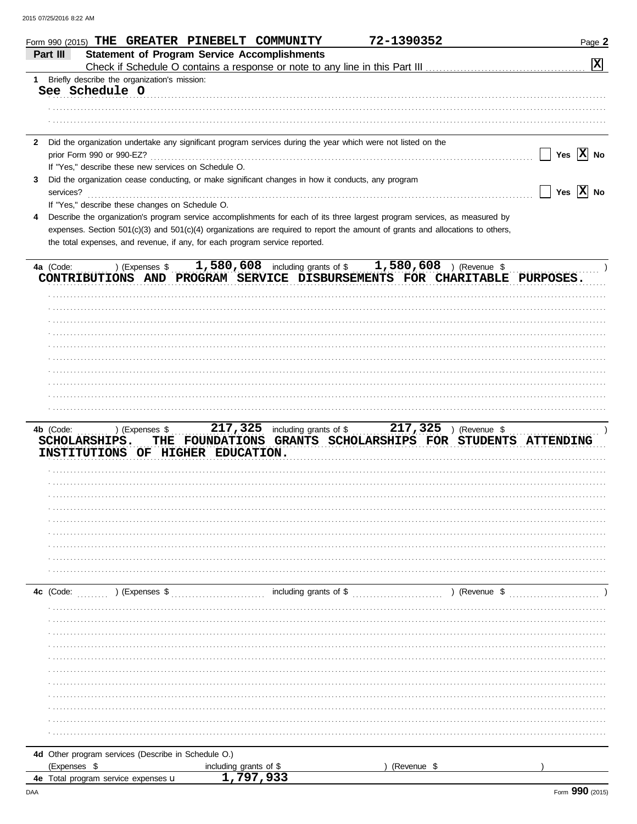|              | Form 990 (2015) THE GREATER PINEBELT COMMUNITY                                                                                 |                                                            | 72-1390352  | Page 2                                                     |
|--------------|--------------------------------------------------------------------------------------------------------------------------------|------------------------------------------------------------|-------------|------------------------------------------------------------|
|              | <b>Statement of Program Service Accomplishments</b><br>Part III                                                                |                                                            |             |                                                            |
|              | Check if Schedule O contains a response or note to any line in this Part III                                                   |                                                            |             | 図                                                          |
|              | 1 Briefly describe the organization's mission:                                                                                 |                                                            |             |                                                            |
|              | See Schedule O                                                                                                                 |                                                            |             |                                                            |
|              |                                                                                                                                |                                                            |             |                                                            |
|              |                                                                                                                                |                                                            |             |                                                            |
|              |                                                                                                                                |                                                            |             |                                                            |
| $\mathbf{2}$ | Did the organization undertake any significant program services during the year which were not listed on the                   |                                                            |             |                                                            |
|              | prior Form 990 or 990-EZ?                                                                                                      |                                                            |             | Yes $ \mathbf{X} $ No                                      |
|              | If "Yes," describe these new services on Schedule O.                                                                           |                                                            |             |                                                            |
| 3            | Did the organization cease conducting, or make significant changes in how it conducts, any program                             |                                                            |             |                                                            |
|              | services?                                                                                                                      |                                                            |             | Yes $ \mathbf{X} $ No                                      |
|              | If "Yes," describe these changes on Schedule O.                                                                                |                                                            |             |                                                            |
| 4            | Describe the organization's program service accomplishments for each of its three largest program services, as measured by     |                                                            |             |                                                            |
|              | expenses. Section 501(c)(3) and 501(c)(4) organizations are required to report the amount of grants and allocations to others, |                                                            |             |                                                            |
|              | the total expenses, and revenue, if any, for each program service reported.                                                    |                                                            |             |                                                            |
|              |                                                                                                                                |                                                            |             |                                                            |
|              | ) (Expenses \$<br>4a (Code:                                                                                                    | 1,580,608 including grants of \$ $1,580,608$ ) (Revenue \$ |             |                                                            |
|              | CONTRIBUTIONS AND PROGRAM SERVICE DISBURSEMENTS FOR CHARITABLE PURPOSES.                                                       |                                                            |             |                                                            |
|              |                                                                                                                                |                                                            |             |                                                            |
|              |                                                                                                                                |                                                            |             |                                                            |
|              |                                                                                                                                |                                                            |             |                                                            |
|              |                                                                                                                                |                                                            |             |                                                            |
|              |                                                                                                                                |                                                            |             |                                                            |
|              |                                                                                                                                |                                                            |             |                                                            |
|              |                                                                                                                                |                                                            |             |                                                            |
|              |                                                                                                                                |                                                            |             |                                                            |
|              |                                                                                                                                |                                                            |             |                                                            |
|              |                                                                                                                                |                                                            |             |                                                            |
|              | 4b (Code:<br>) (Expenses \$<br>SCHOLARSHIPS.                                                                                   | 217, 325 including grants of \$ 217, 325 ) (Revenue \$     |             | THE FOUNDATIONS GRANTS SCHOLARSHIPS FOR STUDENTS ATTENDING |
|              | INSTITUTIONS OF HIGHER EDUCATION.                                                                                              |                                                            |             |                                                            |
|              |                                                                                                                                |                                                            |             |                                                            |
|              |                                                                                                                                |                                                            |             |                                                            |
|              |                                                                                                                                |                                                            |             |                                                            |
|              |                                                                                                                                |                                                            |             |                                                            |
|              |                                                                                                                                |                                                            |             |                                                            |
|              |                                                                                                                                |                                                            |             |                                                            |
|              |                                                                                                                                |                                                            |             |                                                            |
|              |                                                                                                                                |                                                            |             |                                                            |
|              |                                                                                                                                |                                                            |             |                                                            |
|              |                                                                                                                                |                                                            |             |                                                            |
|              | $(1)$ (Expenses \$<br>4c (Code:                                                                                                | $\ldots$ including grants of \$ $\ldots$                   |             | $\ldots$ ) (Revenue \$                                     |
|              |                                                                                                                                |                                                            |             |                                                            |
|              |                                                                                                                                |                                                            |             |                                                            |
|              |                                                                                                                                |                                                            |             |                                                            |
|              |                                                                                                                                |                                                            |             |                                                            |
|              |                                                                                                                                |                                                            |             |                                                            |
|              |                                                                                                                                |                                                            |             |                                                            |
|              |                                                                                                                                |                                                            |             |                                                            |
|              |                                                                                                                                |                                                            |             |                                                            |
|              |                                                                                                                                |                                                            |             |                                                            |
|              |                                                                                                                                |                                                            |             |                                                            |
|              |                                                                                                                                |                                                            |             |                                                            |
|              |                                                                                                                                |                                                            |             |                                                            |
|              | 4d Other program services (Describe in Schedule O.)                                                                            |                                                            |             |                                                            |
|              | (Expenses \$                                                                                                                   |                                                            | (Revenue \$ |                                                            |
|              | 4e Total program service expenses u                                                                                            | including grants of \$<br>1,797,933                        |             |                                                            |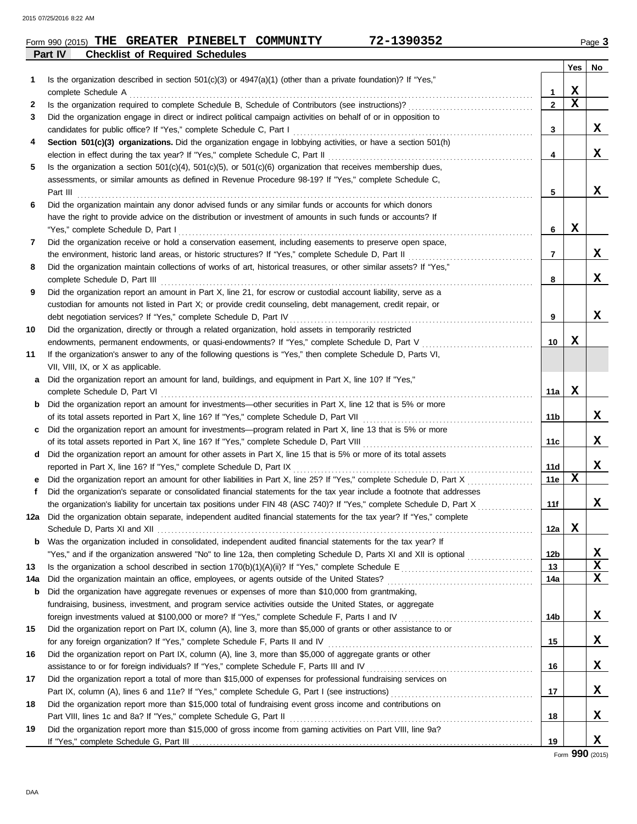| Form 990 (2015) | THE | <b>GREATER PINEBELT</b>                | <b>COMMUNITY</b> | $-1390352$ | $P$ ade $\sim$ |
|-----------------|-----|----------------------------------------|------------------|------------|----------------|
| Part IV         |     | <b>Checklist of Required Schedules</b> |                  |            |                |

|              |                                                                                                                                                                                                                                 |              | Yes | No          |
|--------------|---------------------------------------------------------------------------------------------------------------------------------------------------------------------------------------------------------------------------------|--------------|-----|-------------|
| 1            | Is the organization described in section $501(c)(3)$ or $4947(a)(1)$ (other than a private foundation)? If "Yes,"                                                                                                               |              |     |             |
|              | complete Schedule A                                                                                                                                                                                                             | 1            | X   |             |
| $\mathbf{2}$ |                                                                                                                                                                                                                                 | $\mathbf{2}$ | X   |             |
| 3            | Did the organization engage in direct or indirect political campaign activities on behalf of or in opposition to<br>candidates for public office? If "Yes," complete Schedule C, Part I                                         |              |     | X           |
| 4            | Section 501(c)(3) organizations. Did the organization engage in lobbying activities, or have a section 501(h)                                                                                                                   | 3            |     |             |
|              | election in effect during the tax year? If "Yes," complete Schedule C, Part II                                                                                                                                                  | 4            |     | X           |
| 5            | Is the organization a section $501(c)(4)$ , $501(c)(5)$ , or $501(c)(6)$ organization that receives membership dues,                                                                                                            |              |     |             |
|              | assessments, or similar amounts as defined in Revenue Procedure 98-19? If "Yes," complete Schedule C,                                                                                                                           |              |     |             |
|              | Part III                                                                                                                                                                                                                        | 5            |     | X           |
| 6            | Did the organization maintain any donor advised funds or any similar funds or accounts for which donors                                                                                                                         |              |     |             |
|              | have the right to provide advice on the distribution or investment of amounts in such funds or accounts? If                                                                                                                     |              |     |             |
|              | "Yes," complete Schedule D, Part I                                                                                                                                                                                              | 6            | x   |             |
| 7            | Did the organization receive or hold a conservation easement, including easements to preserve open space,                                                                                                                       |              |     |             |
|              | the environment, historic land areas, or historic structures? If "Yes," complete Schedule D, Part II                                                                                                                            | 7            |     | X           |
| 8            | Did the organization maintain collections of works of art, historical treasures, or other similar assets? If "Yes,"                                                                                                             |              |     |             |
|              | complete Schedule D, Part III                                                                                                                                                                                                   | 8            |     | X           |
| 9            | Did the organization report an amount in Part X, line 21, for escrow or custodial account liability, serve as a                                                                                                                 |              |     |             |
|              | custodian for amounts not listed in Part X; or provide credit counseling, debt management, credit repair, or                                                                                                                    |              |     |             |
|              | debt negotiation services? If "Yes," complete Schedule D, Part IV                                                                                                                                                               | 9            |     | X           |
| 10           | Did the organization, directly or through a related organization, hold assets in temporarily restricted                                                                                                                         |              |     |             |
|              | endowments, permanent endowments, or quasi-endowments? If "Yes," complete Schedule D, Part V                                                                                                                                    | 10           | x   |             |
| 11           | If the organization's answer to any of the following questions is "Yes," then complete Schedule D, Parts VI,                                                                                                                    |              |     |             |
|              | VII, VIII, IX, or X as applicable.                                                                                                                                                                                              |              |     |             |
| a            | Did the organization report an amount for land, buildings, and equipment in Part X, line 10? If "Yes,"                                                                                                                          |              |     |             |
|              | complete Schedule D, Part VI                                                                                                                                                                                                    | 11a          | x   |             |
| b            | Did the organization report an amount for investments—other securities in Part X, line 12 that is 5% or more                                                                                                                    |              |     |             |
|              | of its total assets reported in Part X, line 16? If "Yes," complete Schedule D, Part VII                                                                                                                                        | 11b          |     | X           |
| c            | Did the organization report an amount for investments—program related in Part X, line 13 that is 5% or more                                                                                                                     |              |     | X           |
|              | of its total assets reported in Part X, line 16? If "Yes," complete Schedule D, Part VIII<br>Did the organization report an amount for other assets in Part X, line 15 that is 5% or more of its total assets                   | 11c          |     |             |
| d            | reported in Part X, line 16? If "Yes," complete Schedule D, Part IX                                                                                                                                                             | 11d          |     | X           |
|              |                                                                                                                                                                                                                                 | 11e          | х   |             |
| f            | Did the organization's separate or consolidated financial statements for the tax year include a footnote that addresses                                                                                                         |              |     |             |
|              | the organization's liability for uncertain tax positions under FIN 48 (ASC 740)? If "Yes," complete Schedule D, Part X                                                                                                          | 11f          |     | X           |
| 12a          | Did the organization obtain separate, independent audited financial statements for the tax year? If "Yes," complete                                                                                                             |              |     |             |
|              | Schedule D. Parts XI and XII                                                                                                                                                                                                    | 12a          | х   |             |
|              | <b>b</b> Was the organization included in consolidated, independent audited financial statements for the tax year? If                                                                                                           |              |     |             |
|              | "Yes," and if the organization answered "No" to line 12a, then completing Schedule D, Parts XI and XII is optional <i>[[[[[[[[[[[[[]]]</i>                                                                                      | 12b          |     | х           |
| 13           |                                                                                                                                                                                                                                 | 13           |     | $\mathbf x$ |
| 14a          |                                                                                                                                                                                                                                 | 14a          |     | X           |
| b            | Did the organization have aggregate revenues or expenses of more than \$10,000 from grantmaking,                                                                                                                                |              |     |             |
|              | fundraising, business, investment, and program service activities outside the United States, or aggregate                                                                                                                       |              |     |             |
|              | foreign investments valued at \$100,000 or more? If "Yes," complete Schedule F, Parts I and IV [11] match match match match and IV [11] match match match match match match match match match match match match match match mat | 14b          |     | X           |
| 15           | Did the organization report on Part IX, column (A), line 3, more than \$5,000 of grants or other assistance to or                                                                                                               |              |     |             |
|              |                                                                                                                                                                                                                                 | 15           |     | X           |
| 16           | Did the organization report on Part IX, column (A), line 3, more than \$5,000 of aggregate grants or other                                                                                                                      |              |     |             |
|              |                                                                                                                                                                                                                                 | 16           |     | X           |
| 17           | Did the organization report a total of more than \$15,000 of expenses for professional fundraising services on                                                                                                                  |              |     |             |
|              |                                                                                                                                                                                                                                 | 17           |     | X           |
| 18           | Did the organization report more than \$15,000 total of fundraising event gross income and contributions on                                                                                                                     |              |     |             |
| 19           |                                                                                                                                                                                                                                 | 18           |     | X           |
|              | Did the organization report more than \$15,000 of gross income from gaming activities on Part VIII, line 9a?                                                                                                                    | 19           |     | X           |
|              |                                                                                                                                                                                                                                 |              |     |             |

Form **990** (2015)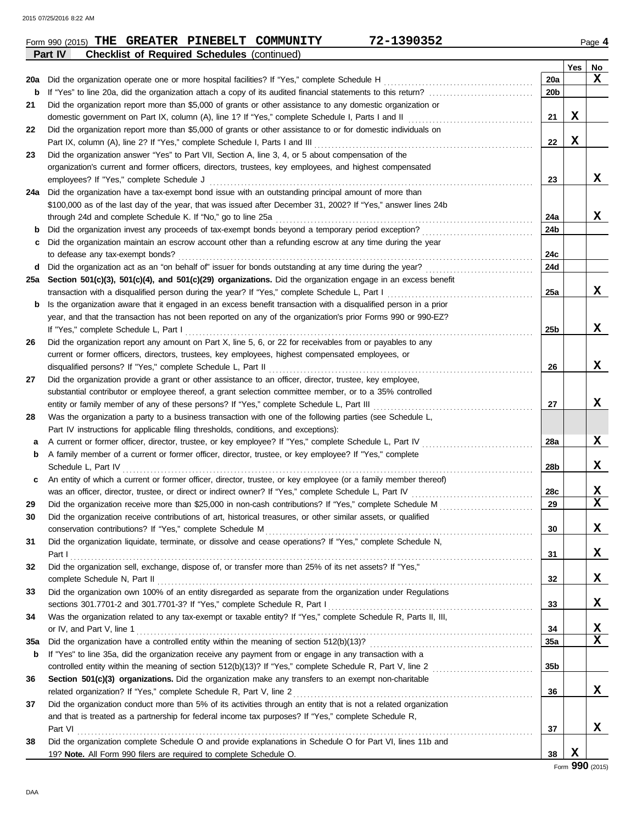**Part IV Checklist of Required Schedules** (continued)

|            |                                                                                                                  |                 | Yes | No              |
|------------|------------------------------------------------------------------------------------------------------------------|-----------------|-----|-----------------|
| 20a        | Did the organization operate one or more hospital facilities? If "Yes," complete Schedule H                      | <b>20a</b>      |     | x               |
| b          | If "Yes" to line 20a, did the organization attach a copy of its audited financial statements to this return?     | 20 <sub>b</sub> |     |                 |
| 21         | Did the organization report more than \$5,000 of grants or other assistance to any domestic organization or      |                 |     |                 |
|            | domestic government on Part IX, column (A), line 1? If "Yes," complete Schedule I, Parts I and II                | 21              | х   |                 |
| 22         | Did the organization report more than \$5,000 of grants or other assistance to or for domestic individuals on    |                 |     |                 |
|            | Part IX, column (A), line 2? If "Yes," complete Schedule I, Parts I and III                                      | 22              | X   |                 |
| 23         | Did the organization answer "Yes" to Part VII, Section A, line 3, 4, or 5 about compensation of the              |                 |     |                 |
|            | organization's current and former officers, directors, trustees, key employees, and highest compensated          |                 |     |                 |
|            | employees? If "Yes," complete Schedule J                                                                         | 23              |     | x               |
| 24a        | Did the organization have a tax-exempt bond issue with an outstanding principal amount of more than              |                 |     |                 |
|            | \$100,000 as of the last day of the year, that was issued after December 31, 2002? If "Yes," answer lines 24b    |                 |     |                 |
|            | through 24d and complete Schedule K. If "No," go to line 25a                                                     | 24a             |     | x               |
|            | Did the organization invest any proceeds of tax-exempt bonds beyond a temporary period exception?                | 24 <sub>b</sub> |     |                 |
| с          | Did the organization maintain an escrow account other than a refunding escrow at any time during the year        |                 |     |                 |
|            | to defease any tax-exempt bonds?                                                                                 | 24c             |     |                 |
| d          | Did the organization act as an "on behalf of" issuer for bonds outstanding at any time during the year?          | 24d             |     |                 |
| 25a        | Section 501(c)(3), 501(c)(4), and 501(c)(29) organizations. Did the organization engage in an excess benefit     |                 |     |                 |
|            | transaction with a disqualified person during the year? If "Yes," complete Schedule L, Part I                    | 25a             |     | x               |
| b          | Is the organization aware that it engaged in an excess benefit transaction with a disqualified person in a prior |                 |     |                 |
|            | year, and that the transaction has not been reported on any of the organization's prior Forms 990 or 990-EZ?     |                 |     |                 |
|            | If "Yes," complete Schedule L, Part I                                                                            | 25 <sub>b</sub> |     | x               |
| 26         | Did the organization report any amount on Part X, line 5, 6, or 22 for receivables from or payables to any       |                 |     |                 |
|            | current or former officers, directors, trustees, key employees, highest compensated employees, or                |                 |     |                 |
|            | disqualified persons? If "Yes," complete Schedule L, Part II                                                     | 26              |     | x               |
| 27         | Did the organization provide a grant or other assistance to an officer, director, trustee, key employee,         |                 |     |                 |
|            | substantial contributor or employee thereof, a grant selection committee member, or to a 35% controlled          |                 |     |                 |
|            | entity or family member of any of these persons? If "Yes," complete Schedule L, Part III                         | 27              |     | x               |
| 28         | Was the organization a party to a business transaction with one of the following parties (see Schedule L,        |                 |     |                 |
|            | Part IV instructions for applicable filing thresholds, conditions, and exceptions):                              |                 |     |                 |
| а          | A current or former officer, director, trustee, or key employee? If "Yes," complete Schedule L, Part IV          | 28a             |     | X               |
| b          | A family member of a current or former officer, director, trustee, or key employee? If "Yes," complete           |                 |     |                 |
|            | Schedule L, Part IV                                                                                              | 28 <sub>b</sub> |     | x               |
| c          | An entity of which a current or former officer, director, trustee, or key employee (or a family member thereof)  |                 |     |                 |
|            | was an officer, director, trustee, or direct or indirect owner? If "Yes," complete Schedule L, Part IV           | 28c             |     | X               |
| 29         | Did the organization receive more than \$25,000 in non-cash contributions? If "Yes," complete Schedule M         | 29              |     | X               |
| 30         | Did the organization receive contributions of art, historical treasures, or other similar assets, or qualified   |                 |     |                 |
|            | conservation contributions? If "Yes," complete Schedule M                                                        | 30              |     | X               |
| 31         | Did the organization liquidate, terminate, or dissolve and cease operations? If "Yes," complete Schedule N,      |                 |     |                 |
|            | Part I                                                                                                           | 31              |     | x               |
| 32         | Did the organization sell, exchange, dispose of, or transfer more than 25% of its net assets? If "Yes,"          |                 |     |                 |
|            |                                                                                                                  | 32              |     | X               |
| 33         | Did the organization own 100% of an entity disregarded as separate from the organization under Regulations       |                 |     |                 |
|            |                                                                                                                  | 33              |     | x               |
| 34         | Was the organization related to any tax-exempt or taxable entity? If "Yes," complete Schedule R, Parts II, III,  |                 |     |                 |
|            | or IV, and Part V, line 1                                                                                        | 34              |     | X               |
| <b>35a</b> |                                                                                                                  | 35a             |     | $\mathbf x$     |
|            |                                                                                                                  |                 |     |                 |
| b          | If "Yes" to line 35a, did the organization receive any payment from or engage in any transaction with a          | 35 <sub>b</sub> |     |                 |
|            |                                                                                                                  |                 |     |                 |
| 36         | Section 501(c)(3) organizations. Did the organization make any transfers to an exempt non-charitable             |                 |     |                 |
|            | related organization? If "Yes," complete Schedule R, Part V, line 2                                              | 36              |     | x               |
| 37         | Did the organization conduct more than 5% of its activities through an entity that is not a related organization |                 |     |                 |
|            | and that is treated as a partnership for federal income tax purposes? If "Yes," complete Schedule R,             |                 |     |                 |
|            | Part VI                                                                                                          | 37              |     | x               |
| 38         | Did the organization complete Schedule O and provide explanations in Schedule O for Part VI, lines 11b and       |                 |     |                 |
|            | 19? Note. All Form 990 filers are required to complete Schedule O.                                               | 38              | х   |                 |
|            |                                                                                                                  |                 |     | Form 990 (2015) |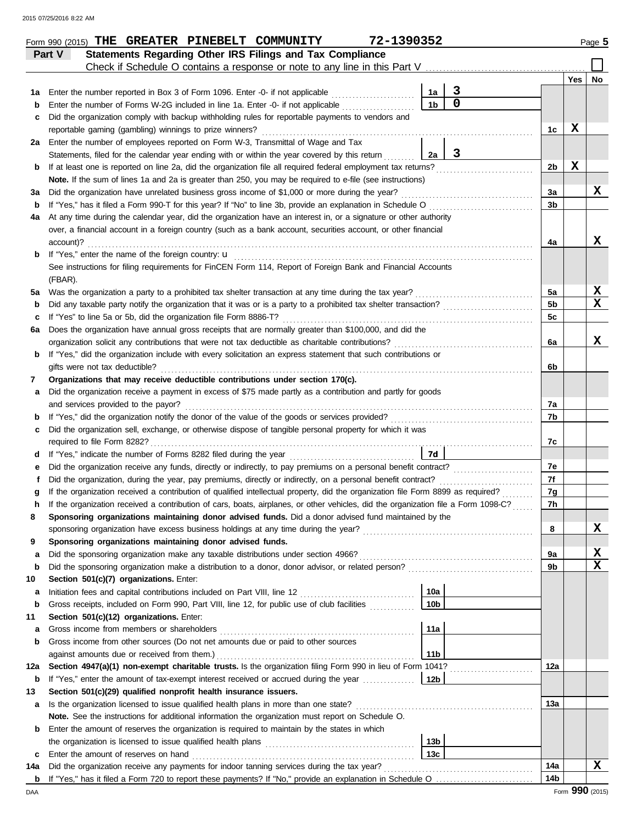|     | 72-1390352<br>Form 990 (2015) THE GREATER PINEBELT COMMUNITY                                                                       |                 |                                                      |                |     | Page 5      |
|-----|------------------------------------------------------------------------------------------------------------------------------------|-----------------|------------------------------------------------------|----------------|-----|-------------|
|     | Statements Regarding Other IRS Filings and Tax Compliance<br>Part V                                                                |                 |                                                      |                |     |             |
|     | Check if Schedule O contains a response or note to any line in this Part V                                                         |                 |                                                      |                |     |             |
|     |                                                                                                                                    |                 |                                                      |                | Yes | No          |
| 1а  | Enter the number reported in Box 3 of Form 1096. Enter -0- if not applicable                                                       | 1a              | $\mathbf{3}$<br>$\overline{0}$                       |                |     |             |
| b   | Enter the number of Forms W-2G included in line 1a. Enter -0- if not applicable                                                    | 1 <sub>b</sub>  |                                                      |                |     |             |
| c   | Did the organization comply with backup withholding rules for reportable payments to vendors and                                   |                 |                                                      |                |     |             |
|     | reportable gaming (gambling) winnings to prize winners?                                                                            |                 |                                                      | 1c             | X   |             |
| 2a  | Enter the number of employees reported on Form W-3, Transmittal of Wage and Tax                                                    |                 |                                                      |                |     |             |
|     | Statements, filed for the calendar year ending with or within the year covered by this return                                      | 2a              | 3                                                    |                |     |             |
| b   | If at least one is reported on line 2a, did the organization file all required federal employment tax returns?                     |                 |                                                      | 2b             | X   |             |
|     | Note. If the sum of lines 1a and 2a is greater than 250, you may be required to e-file (see instructions)                          |                 |                                                      |                |     |             |
| За  | Did the organization have unrelated business gross income of \$1,000 or more during the year?                                      |                 |                                                      | За             |     | x           |
| b   | If "Yes," has it filed a Form 990-T for this year? If "No" to line 3b, provide an explanation in Schedule O                        |                 |                                                      | 3b             |     |             |
| 4a  | At any time during the calendar year, did the organization have an interest in, or a signature or other authority                  |                 |                                                      |                |     |             |
|     | over, a financial account in a foreign country (such as a bank account, securities account, or other financial                     |                 |                                                      |                |     |             |
|     | account)?                                                                                                                          |                 |                                                      | 4a             |     | X           |
| b   | If "Yes," enter the name of the foreign country: u                                                                                 |                 |                                                      |                |     |             |
|     | See instructions for filing requirements for FinCEN Form 114, Report of Foreign Bank and Financial Accounts                        |                 |                                                      |                |     |             |
|     | (FBAR).                                                                                                                            |                 |                                                      |                |     |             |
| 5a  | Was the organization a party to a prohibited tax shelter transaction at any time during the tax year?                              |                 |                                                      | 5a             |     | X           |
| b   | Did any taxable party notify the organization that it was or is a party to a prohibited tax shelter transaction?                   |                 |                                                      | 5 <sub>b</sub> |     | $\mathbf x$ |
| c   | If "Yes" to line 5a or 5b, did the organization file Form 8886-T?                                                                  |                 |                                                      | 5c             |     |             |
| 6а  | Does the organization have annual gross receipts that are normally greater than \$100,000, and did the                             |                 |                                                      |                |     |             |
|     | organization solicit any contributions that were not tax deductible as charitable contributions?                                   |                 |                                                      | 6a             |     | X           |
| b   | If "Yes," did the organization include with every solicitation an express statement that such contributions or                     |                 |                                                      |                |     |             |
|     | gifts were not tax deductible?                                                                                                     |                 |                                                      | 6b             |     |             |
| 7   | Organizations that may receive deductible contributions under section 170(c).                                                      |                 |                                                      |                |     |             |
| a   | Did the organization receive a payment in excess of \$75 made partly as a contribution and partly for goods                        |                 |                                                      |                |     |             |
|     | and services provided to the payor?                                                                                                |                 |                                                      | 7a             |     |             |
| b   | If "Yes," did the organization notify the donor of the value of the goods or services provided?                                    |                 | <u> 1986 - Johann Stoff, Amerikaansk politiker (</u> | 7b             |     |             |
| с   | Did the organization sell, exchange, or otherwise dispose of tangible personal property for which it was                           |                 |                                                      |                |     |             |
|     | required to file Form 8282?                                                                                                        |                 |                                                      | 7c             |     |             |
| d   |                                                                                                                                    | 7d              |                                                      |                |     |             |
| е   | Did the organization receive any funds, directly or indirectly, to pay premiums on a personal benefit contract?                    |                 |                                                      | 7e             |     |             |
| f   | Did the organization, during the year, pay premiums, directly or indirectly, on a personal benefit contract?                       |                 |                                                      | 7f             |     |             |
|     | If the organization received a contribution of qualified intellectual property, did the organization file Form 8899 as required?   |                 |                                                      | 7g             |     |             |
|     | If the organization received a contribution of cars, boats, airplanes, or other vehicles, did the organization file a Form 1098-C? |                 |                                                      | 7h             |     |             |
| 8   | Sponsoring organizations maintaining donor advised funds. Did a donor advised fund maintained by the                               |                 |                                                      |                |     |             |
|     | sponsoring organization have excess business holdings at any time during the year?                                                 |                 |                                                      | 8              |     | X           |
| 9   | Sponsoring organizations maintaining donor advised funds.                                                                          |                 |                                                      |                |     |             |
| a   | Did the sponsoring organization make any taxable distributions under section 4966?                                                 |                 |                                                      | 9a             |     | X           |
| b   | Did the sponsoring organization make a distribution to a donor, donor advisor, or related person?                                  |                 |                                                      | 9b             |     | X           |
| 10  | Section 501(c)(7) organizations. Enter:                                                                                            |                 |                                                      |                |     |             |
| а   |                                                                                                                                    | 10a             |                                                      |                |     |             |
| b   | Gross receipts, included on Form 990, Part VIII, line 12, for public use of club facilities                                        | 10 <sub>b</sub> |                                                      |                |     |             |
| 11  | Section 501(c)(12) organizations. Enter:                                                                                           |                 |                                                      |                |     |             |
| а   | Gross income from members or shareholders                                                                                          | 11a             |                                                      |                |     |             |
| b   | Gross income from other sources (Do not net amounts due or paid to other sources                                                   |                 |                                                      |                |     |             |
|     | against amounts due or received from them.)                                                                                        | 11 <sub>b</sub> |                                                      |                |     |             |
| 12a | Section 4947(a)(1) non-exempt charitable trusts. Is the organization filing Form 990 in lieu of Form 1041?                         |                 |                                                      | 12a            |     |             |
| b   | If "Yes," enter the amount of tax-exempt interest received or accrued during the year <i>[[COSTERRY]</i>                           | 12b             |                                                      |                |     |             |
| 13  | Section 501(c)(29) qualified nonprofit health insurance issuers.                                                                   |                 |                                                      |                |     |             |
| a   | Is the organization licensed to issue qualified health plans in more than one state?                                               |                 |                                                      | 13а            |     |             |
|     | Note. See the instructions for additional information the organization must report on Schedule O.                                  |                 |                                                      |                |     |             |
| b   | Enter the amount of reserves the organization is required to maintain by the states in which                                       |                 |                                                      |                |     |             |
|     |                                                                                                                                    | 13 <sub>b</sub> |                                                      |                |     |             |
| c   | Enter the amount of reserves on hand                                                                                               | 13 <sub>c</sub> |                                                      |                |     |             |
| 14a | Did the organization receive any payments for indoor tanning services during the tax year?                                         |                 |                                                      | 14a            |     | X           |
|     |                                                                                                                                    |                 |                                                      | 14b            |     |             |
|     |                                                                                                                                    |                 |                                                      |                |     |             |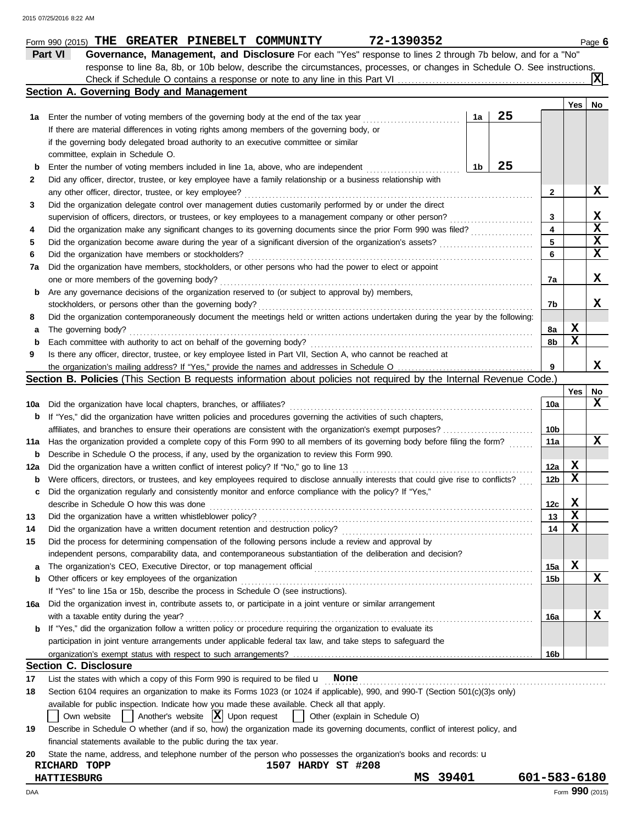| 1a<br>b<br>2<br>3 | Section A. Governing Body and Management<br>25<br>Enter the number of voting members of the governing body at the end of the tax year<br>1a<br>If there are material differences in voting rights among members of the governing body, or<br>if the governing body delegated broad authority to an executive committee or similar<br>committee, explain in Schedule O. |                 | Yes         | No          |
|-------------------|------------------------------------------------------------------------------------------------------------------------------------------------------------------------------------------------------------------------------------------------------------------------------------------------------------------------------------------------------------------------|-----------------|-------------|-------------|
|                   |                                                                                                                                                                                                                                                                                                                                                                        |                 |             |             |
|                   |                                                                                                                                                                                                                                                                                                                                                                        |                 |             |             |
|                   |                                                                                                                                                                                                                                                                                                                                                                        |                 |             |             |
|                   |                                                                                                                                                                                                                                                                                                                                                                        |                 |             |             |
|                   |                                                                                                                                                                                                                                                                                                                                                                        |                 |             |             |
|                   | 25<br>1b<br>Enter the number of voting members included in line 1a, above, who are independent                                                                                                                                                                                                                                                                         |                 |             |             |
|                   | Did any officer, director, trustee, or key employee have a family relationship or a business relationship with                                                                                                                                                                                                                                                         |                 |             |             |
|                   | any other officer, director, trustee, or key employee?                                                                                                                                                                                                                                                                                                                 | 2               |             | X           |
|                   | Did the organization delegate control over management duties customarily performed by or under the direct                                                                                                                                                                                                                                                              |                 |             |             |
|                   |                                                                                                                                                                                                                                                                                                                                                                        |                 |             | X           |
|                   | supervision of officers, directors, or trustees, or key employees to a management company or other person?                                                                                                                                                                                                                                                             | 3               |             | $\mathbf x$ |
| 4                 | Did the organization make any significant changes to its governing documents since the prior Form 990 was filed?                                                                                                                                                                                                                                                       | 4               |             | $\mathbf x$ |
| 5                 |                                                                                                                                                                                                                                                                                                                                                                        | 5               |             |             |
| 6                 | Did the organization have members or stockholders?                                                                                                                                                                                                                                                                                                                     | 6               |             | $\mathbf x$ |
| 7a                | Did the organization have members, stockholders, or other persons who had the power to elect or appoint                                                                                                                                                                                                                                                                |                 |             |             |
|                   | one or more members of the governing body?                                                                                                                                                                                                                                                                                                                             | 7а              |             | X           |
| b                 | Are any governance decisions of the organization reserved to (or subject to approval by) members,                                                                                                                                                                                                                                                                      |                 |             |             |
|                   | stockholders, or persons other than the governing body?                                                                                                                                                                                                                                                                                                                | 7b              |             | x           |
| 8                 | Did the organization contemporaneously document the meetings held or written actions undertaken during the year by the following:                                                                                                                                                                                                                                      |                 |             |             |
| а                 | The governing body?                                                                                                                                                                                                                                                                                                                                                    | 8a              | X           |             |
| b                 | Each committee with authority to act on behalf of the governing body?                                                                                                                                                                                                                                                                                                  | 8b              | X           |             |
| 9                 | Is there any officer, director, trustee, or key employee listed in Part VII, Section A, who cannot be reached at                                                                                                                                                                                                                                                       |                 |             |             |
|                   |                                                                                                                                                                                                                                                                                                                                                                        | 9               |             | x           |
|                   | Section B. Policies (This Section B requests information about policies not required by the Internal Revenue Code.)                                                                                                                                                                                                                                                    |                 |             |             |
|                   |                                                                                                                                                                                                                                                                                                                                                                        |                 | Yes         | No          |
| 10a               | Did the organization have local chapters, branches, or affiliates?                                                                                                                                                                                                                                                                                                     | 10a             |             | X           |
| b                 | If "Yes," did the organization have written policies and procedures governing the activities of such chapters,                                                                                                                                                                                                                                                         |                 |             |             |
|                   |                                                                                                                                                                                                                                                                                                                                                                        | 10b             |             |             |
| 11a               | Has the organization provided a complete copy of this Form 990 to all members of its governing body before filing the form?                                                                                                                                                                                                                                            | 11a             |             | X           |
| b                 | Describe in Schedule O the process, if any, used by the organization to review this Form 990.                                                                                                                                                                                                                                                                          |                 |             |             |
| 12a               | Did the organization have a written conflict of interest policy? If "No," go to line 13                                                                                                                                                                                                                                                                                | 12a             | X           |             |
|                   | Were officers, directors, or trustees, and key employees required to disclose annually interests that could give rise to conflicts?                                                                                                                                                                                                                                    | 12 <sub>b</sub> | X           |             |
| b                 |                                                                                                                                                                                                                                                                                                                                                                        |                 |             |             |
| c                 | Did the organization regularly and consistently monitor and enforce compliance with the policy? If "Yes,"                                                                                                                                                                                                                                                              |                 |             |             |
|                   | describe in Schedule O how this was done                                                                                                                                                                                                                                                                                                                               | 12c             | x           |             |
|                   | Did the organization have a written whistleblower policy?                                                                                                                                                                                                                                                                                                              | 13              | $\mathbf x$ |             |
| 14                |                                                                                                                                                                                                                                                                                                                                                                        | 14              | X           |             |
| 15                | Did the process for determining compensation of the following persons include a review and approval by                                                                                                                                                                                                                                                                 |                 |             |             |
|                   | independent persons, comparability data, and contemporaneous substantiation of the deliberation and decision?                                                                                                                                                                                                                                                          |                 |             |             |
| а                 |                                                                                                                                                                                                                                                                                                                                                                        | 15a             | X           |             |
| b                 | Other officers or key employees of the organization                                                                                                                                                                                                                                                                                                                    | 15b             |             | X           |
|                   | If "Yes" to line 15a or 15b, describe the process in Schedule O (see instructions).                                                                                                                                                                                                                                                                                    |                 |             |             |
| 16a               | Did the organization invest in, contribute assets to, or participate in a joint venture or similar arrangement                                                                                                                                                                                                                                                         |                 |             |             |
|                   | with a taxable entity during the year?                                                                                                                                                                                                                                                                                                                                 | 16a             |             | X           |
| b                 | If "Yes," did the organization follow a written policy or procedure requiring the organization to evaluate its                                                                                                                                                                                                                                                         |                 |             |             |
|                   | participation in joint venture arrangements under applicable federal tax law, and take steps to safeguard the                                                                                                                                                                                                                                                          |                 |             |             |
|                   |                                                                                                                                                                                                                                                                                                                                                                        | 16b             |             |             |
|                   | <b>Section C. Disclosure</b>                                                                                                                                                                                                                                                                                                                                           |                 |             |             |
| 17                | List the states with which a copy of this Form 990 is required to be filed $\mathbf u$ None                                                                                                                                                                                                                                                                            |                 |             |             |
|                   | Section 6104 requires an organization to make its Forms 1023 (or 1024 if applicable), 990, and 990-T (Section 501(c)(3)s only)                                                                                                                                                                                                                                         |                 |             |             |
| 18                |                                                                                                                                                                                                                                                                                                                                                                        |                 |             |             |
|                   | available for public inspection. Indicate how you made these available. Check all that apply.                                                                                                                                                                                                                                                                          |                 |             |             |
|                   | Another's website $ X $ Upon request<br>Other (explain in Schedule O)<br>Own website                                                                                                                                                                                                                                                                                   |                 |             |             |
|                   | Describe in Schedule O whether (and if so, how) the organization made its governing documents, conflict of interest policy, and                                                                                                                                                                                                                                        |                 |             |             |
| 19                |                                                                                                                                                                                                                                                                                                                                                                        |                 |             |             |
|                   | financial statements available to the public during the tax year.<br>State the name, address, and telephone number of the person who possesses the organization's books and records: u                                                                                                                                                                                 |                 |             |             |

**THE GREATER PINEBELT COMMUNITY 72-1390352**

**HATTIESBURG MS 39401 601-583-6180**

DAA Form **990** (2015)

Form 990 (2015) **THE GREATER PINEBELT COMMUNITY** 72-1390352 Page 6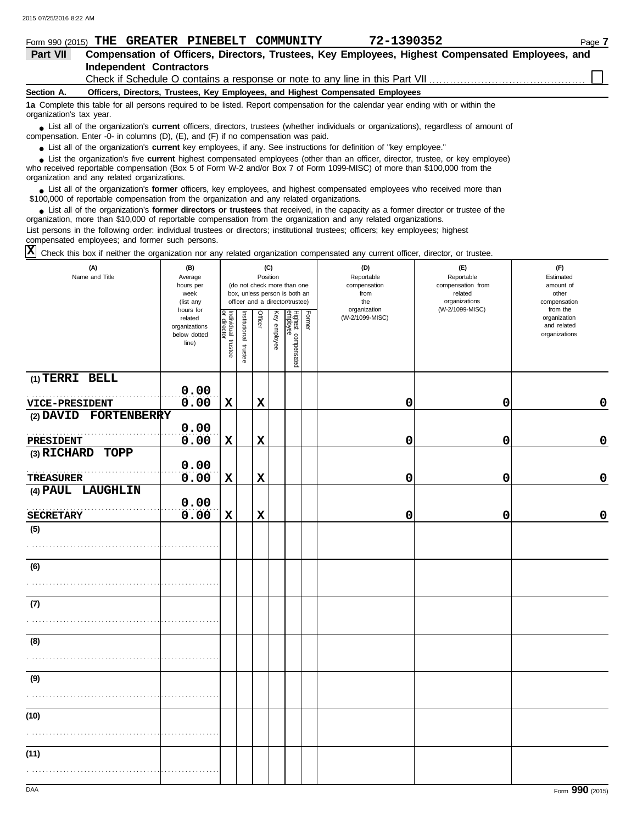|                          | Form 990 (2015) THE GREATER PINEBELT COMMUNITY                                                   |  |  | 72-1390352                                                                                                                                    | Page 7                                                                                           |  |  |  |  |
|--------------------------|--------------------------------------------------------------------------------------------------|--|--|-----------------------------------------------------------------------------------------------------------------------------------------------|--------------------------------------------------------------------------------------------------|--|--|--|--|
| Part VII                 |                                                                                                  |  |  |                                                                                                                                               | Compensation of Officers, Directors, Trustees, Key Employees, Highest Compensated Employees, and |  |  |  |  |
|                          | Independent Contractors                                                                          |  |  |                                                                                                                                               |                                                                                                  |  |  |  |  |
|                          | Check if Schedule O contains a response or note to any line in this Part VII <i>concerential</i> |  |  |                                                                                                                                               |                                                                                                  |  |  |  |  |
| Section A.               | Officers, Directors, Trustees, Key Employees, and Highest Compensated Employees                  |  |  |                                                                                                                                               |                                                                                                  |  |  |  |  |
| organization's tax year. |                                                                                                  |  |  | 1a Complete this table for all persons required to be listed. Report compensation for the calendar year ending with or within the             |                                                                                                  |  |  |  |  |
|                          | compensation. Enter -0- in columns (D), $(E)$ , and $(F)$ if no compensation was paid.           |  |  | • List all of the organization's <b>current</b> officers, directors, trustees (whether individuals or organizations), regardless of amount of |                                                                                                  |  |  |  |  |
|                          |                                                                                                  |  |  | • List all of the organization's current key employees if any See instructions for definition of "key employee"                               |                                                                                                  |  |  |  |  |

tion's **current** key employees, if any. See instructions for definition of "key employee.

who received reportable compensation (Box 5 of Form W-2 and/or Box 7 of Form 1099-MISC) of more than \$100,000 from the organization and any related organizations. **•** List all of the organization's **current** key employees, if any. See instructions for definition of "key employee."<br>• List the organization's five **current** highest compensated employees (other than an officer, director **•**

■ List all of the organization's **former** officers, key employees, and highest compensated employees who received more than<br> **•** 00.000 of reportable compensation from the ergonization and any related ergonizations \$100,000 of reportable compensation from the organization and any related organizations.

■ List all of the organization's **former directors or trustees** that received, in the capacity as a former director or trustee of the property is a former director or trustee of the property of the organization and any re organization, more than \$10,000 of reportable compensation from the organization and any related organizations. List persons in the following order: individual trustees or directors; institutional trustees; officers; key employees; highest

compensated employees; and former such persons.

 $\overline{X}$  Check this box if neither the organization nor any related organization compensated any current officer, director, or trustee.

| (A)<br>Name and Title | (B)<br>Average<br>hours per<br>week<br>(list any               | (C)<br>Position<br>(do not check more than one<br>box, unless person is both an<br>officer and a director/trustee) |                       |                |              |                                 |               | (D)<br>Reportable<br>compensation<br>from<br>the | (E)<br>Reportable<br>compensation from<br>related<br>organizations<br>(W-2/1099-MISC) | (F)<br>Estimated<br>amount of<br>other<br>compensation   |
|-----------------------|----------------------------------------------------------------|--------------------------------------------------------------------------------------------------------------------|-----------------------|----------------|--------------|---------------------------------|---------------|--------------------------------------------------|---------------------------------------------------------------------------------------|----------------------------------------------------------|
|                       | hours for<br>related<br>organizations<br>below dotted<br>line) | Individual trustee<br>or director                                                                                  | Institutional trustee | <b>Officer</b> | Key employee | Highest compensated<br>employee | <b>Former</b> | organization<br>(W-2/1099-MISC)                  |                                                                                       | from the<br>organization<br>and related<br>organizations |
| (1) TERRI BELL        | 0.00                                                           |                                                                                                                    |                       |                |              |                                 |               |                                                  |                                                                                       |                                                          |
| VICE-PRESIDENT        | 0.00                                                           | $\mathbf x$                                                                                                        |                       | $\mathbf x$    |              |                                 |               | 0                                                | 0                                                                                     | $\mathbf 0$                                              |
| (2) DAVID FORTENBERRY |                                                                |                                                                                                                    |                       |                |              |                                 |               |                                                  |                                                                                       |                                                          |
|                       | 0.00                                                           |                                                                                                                    |                       |                |              |                                 |               |                                                  |                                                                                       |                                                          |
| PRESIDENT             | 0.00                                                           | $\mathbf x$                                                                                                        |                       | $\mathbf x$    |              |                                 |               | 0                                                | 0                                                                                     | $\mathbf 0$                                              |
| (3) RICHARD TOPP      | 0.00                                                           |                                                                                                                    |                       |                |              |                                 |               |                                                  |                                                                                       |                                                          |
| <b>TREASURER</b>      | 0.00                                                           | $\mathbf x$                                                                                                        |                       | $\mathbf x$    |              |                                 |               | 0                                                | 0                                                                                     | $\mathbf 0$                                              |
| (4) PAUL LAUGHLIN     |                                                                |                                                                                                                    |                       |                |              |                                 |               |                                                  |                                                                                       |                                                          |
|                       | 0.00                                                           |                                                                                                                    |                       |                |              |                                 |               |                                                  |                                                                                       |                                                          |
| <b>SECRETARY</b>      | 0.00                                                           | $\mathbf x$                                                                                                        |                       | $\mathbf x$    |              |                                 |               | 0                                                | 0                                                                                     | 0                                                        |
| (5)                   |                                                                |                                                                                                                    |                       |                |              |                                 |               |                                                  |                                                                                       |                                                          |
|                       |                                                                |                                                                                                                    |                       |                |              |                                 |               |                                                  |                                                                                       |                                                          |
| (6)                   |                                                                |                                                                                                                    |                       |                |              |                                 |               |                                                  |                                                                                       |                                                          |
| (7)                   |                                                                |                                                                                                                    |                       |                |              |                                 |               |                                                  |                                                                                       |                                                          |
|                       |                                                                |                                                                                                                    |                       |                |              |                                 |               |                                                  |                                                                                       |                                                          |
| (8)                   |                                                                |                                                                                                                    |                       |                |              |                                 |               |                                                  |                                                                                       |                                                          |
|                       |                                                                |                                                                                                                    |                       |                |              |                                 |               |                                                  |                                                                                       |                                                          |
| (9)                   |                                                                |                                                                                                                    |                       |                |              |                                 |               |                                                  |                                                                                       |                                                          |
|                       |                                                                |                                                                                                                    |                       |                |              |                                 |               |                                                  |                                                                                       |                                                          |
| (10)                  |                                                                |                                                                                                                    |                       |                |              |                                 |               |                                                  |                                                                                       |                                                          |
| (11)                  |                                                                |                                                                                                                    |                       |                |              |                                 |               |                                                  |                                                                                       |                                                          |
|                       |                                                                |                                                                                                                    |                       |                |              |                                 |               |                                                  |                                                                                       |                                                          |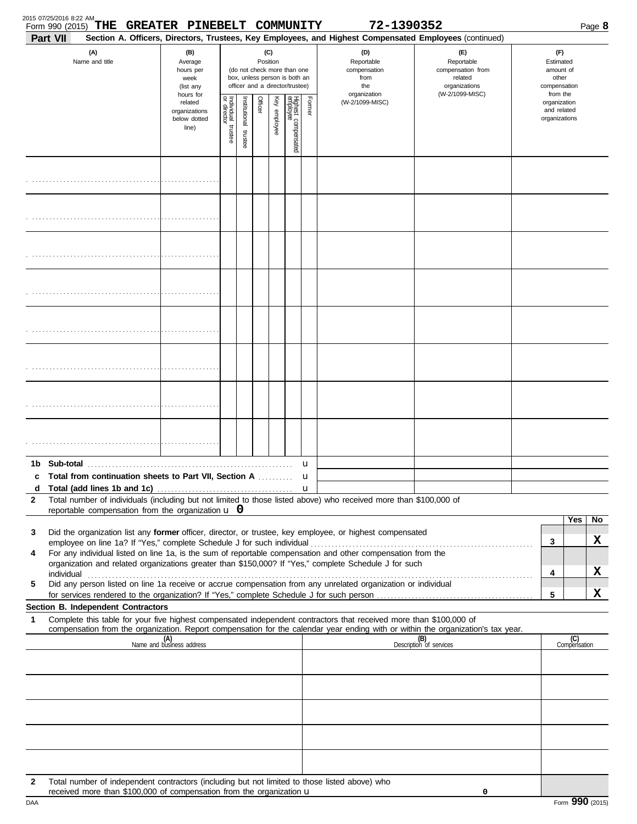| Form 990 (2015)<br>Part VII | THE GREATER PINEBELT COMMUNITY                                                                |                                                                |                                      |                          |                 |              |                                                                                                 |        | 72-1390352<br>Section A. Officers, Directors, Trustees, Key Employees, and Highest Compensated Employees (continued)                                                                                                                                                                                                             |                                                                                                                                                                                                                                     |                                                                    | Page 8          |
|-----------------------------|-----------------------------------------------------------------------------------------------|----------------------------------------------------------------|--------------------------------------|--------------------------|-----------------|--------------|-------------------------------------------------------------------------------------------------|--------|----------------------------------------------------------------------------------------------------------------------------------------------------------------------------------------------------------------------------------------------------------------------------------------------------------------------------------|-------------------------------------------------------------------------------------------------------------------------------------------------------------------------------------------------------------------------------------|--------------------------------------------------------------------|-----------------|
|                             | (A)<br>Name and title                                                                         | (B)<br>Average<br>hours per<br>week<br>(list any               |                                      |                          | (C)<br>Position |              | (do not check more than one<br>box, unless person is both an<br>officer and a director/trustee) |        | (D)<br>Reportable<br>compensation<br>from<br>the<br>organization                                                                                                                                                                                                                                                                 | (F)<br>Reportable<br>compensation from<br>related<br>organizations<br>(W-2/1099-MISC)                                                                                                                                               | (F)<br>Estimated<br>amount of<br>other<br>compensation<br>from the |                 |
|                             |                                                                                               | hours for<br>related<br>organizations<br>below dotted<br>line) | Individual<br>or director<br>trustee | Institutional<br>trustee | Officer         | Key employee | Highest compensated<br>employee                                                                 | Former | (W-2/1099-MISC)                                                                                                                                                                                                                                                                                                                  |                                                                                                                                                                                                                                     | organization<br>and related<br>organizations                       |                 |
|                             |                                                                                               |                                                                |                                      |                          |                 |              |                                                                                                 |        |                                                                                                                                                                                                                                                                                                                                  |                                                                                                                                                                                                                                     |                                                                    |                 |
|                             |                                                                                               |                                                                |                                      |                          |                 |              |                                                                                                 |        |                                                                                                                                                                                                                                                                                                                                  |                                                                                                                                                                                                                                     |                                                                    |                 |
|                             |                                                                                               |                                                                |                                      |                          |                 |              |                                                                                                 |        |                                                                                                                                                                                                                                                                                                                                  |                                                                                                                                                                                                                                     |                                                                    |                 |
|                             |                                                                                               |                                                                |                                      |                          |                 |              |                                                                                                 |        |                                                                                                                                                                                                                                                                                                                                  |                                                                                                                                                                                                                                     |                                                                    |                 |
|                             |                                                                                               |                                                                |                                      |                          |                 |              |                                                                                                 |        |                                                                                                                                                                                                                                                                                                                                  |                                                                                                                                                                                                                                     |                                                                    |                 |
|                             |                                                                                               |                                                                |                                      |                          |                 |              |                                                                                                 |        |                                                                                                                                                                                                                                                                                                                                  |                                                                                                                                                                                                                                     |                                                                    |                 |
|                             |                                                                                               |                                                                |                                      |                          |                 |              |                                                                                                 |        |                                                                                                                                                                                                                                                                                                                                  |                                                                                                                                                                                                                                     |                                                                    |                 |
|                             |                                                                                               |                                                                |                                      |                          |                 |              |                                                                                                 |        |                                                                                                                                                                                                                                                                                                                                  |                                                                                                                                                                                                                                     |                                                                    |                 |
| d                           | c Total from continuation sheets to Part VII, Section A                                       |                                                                |                                      |                          |                 |              |                                                                                                 | u<br>u |                                                                                                                                                                                                                                                                                                                                  |                                                                                                                                                                                                                                     |                                                                    |                 |
| $\mathbf{2}$                | reportable compensation from the organization $\bf{u}$ 0                                      |                                                                |                                      |                          |                 |              |                                                                                                 |        | Total number of individuals (including but not limited to those listed above) who received more than \$100,000 of                                                                                                                                                                                                                |                                                                                                                                                                                                                                     |                                                                    |                 |
| 3<br>4                      |                                                                                               |                                                                |                                      |                          |                 |              |                                                                                                 |        | Did the organization list any former officer, director, or trustee, key employee, or highest compensated<br>For any individual listed on line 1a, is the sum of reportable compensation and other compensation from the<br>organization and related organizations greater than \$150,000? If "Yes," complete Schedule J for such | individual <b>construction in the construction of the construction</b> in the construction of the construction of the construction of the construction of the construction of the construction of the construction of the construct | Yes<br>3<br>4                                                      | No<br>x<br>x    |
| 5                           |                                                                                               |                                                                |                                      |                          |                 |              |                                                                                                 |        | Did any person listed on line 1a receive or accrue compensation from any unrelated organization or individual                                                                                                                                                                                                                    |                                                                                                                                                                                                                                     | 5                                                                  | X               |
| 1                           | Section B. Independent Contractors                                                            |                                                                |                                      |                          |                 |              |                                                                                                 |        | Complete this table for your five highest compensated independent contractors that received more than \$100,000 of                                                                                                                                                                                                               | compensation from the organization. Report compensation for the calendar year ending with or within the organization's tax year.                                                                                                    |                                                                    |                 |
|                             |                                                                                               | (A)<br>Name and business address                               |                                      |                          |                 |              |                                                                                                 |        |                                                                                                                                                                                                                                                                                                                                  | (B)<br>Description of services                                                                                                                                                                                                      | (C)<br>Compensation                                                |                 |
|                             |                                                                                               |                                                                |                                      |                          |                 |              |                                                                                                 |        |                                                                                                                                                                                                                                                                                                                                  |                                                                                                                                                                                                                                     |                                                                    |                 |
|                             |                                                                                               |                                                                |                                      |                          |                 |              |                                                                                                 |        |                                                                                                                                                                                                                                                                                                                                  |                                                                                                                                                                                                                                     |                                                                    |                 |
| $\mathbf{2}$                | Total number of independent contractors (including but not limited to those listed above) who |                                                                |                                      |                          |                 |              |                                                                                                 |        |                                                                                                                                                                                                                                                                                                                                  |                                                                                                                                                                                                                                     |                                                                    |                 |
| DAA                         | received more than $$100,000$ of compensation from the organization $\mathbf u$               |                                                                |                                      |                          |                 |              |                                                                                                 |        |                                                                                                                                                                                                                                                                                                                                  | 0                                                                                                                                                                                                                                   |                                                                    | Form 990 (2015) |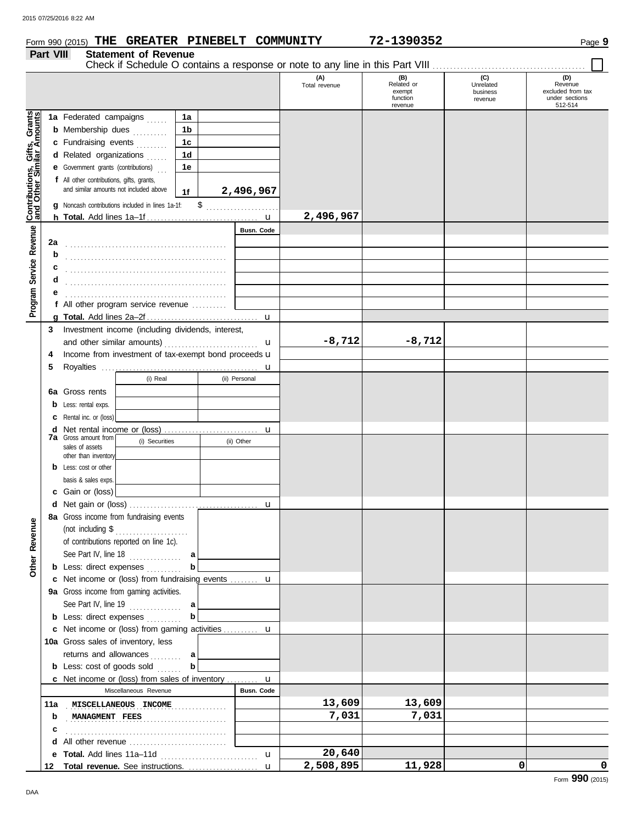## **Form 990 (2015) THE GREATER PINEBELT COMMUNITY 72-1390352** Page 9

## **Part VIII Statement of Revenue**

|  |  |  | . - |  |  |
|--|--|--|-----|--|--|
|  |  |  |     |  |  |

|                                                                  |         | Check if Schedule O contains a response or note to any line in this Part VIII       |                |                   |                      |                                                    |                                         |                                                                  |
|------------------------------------------------------------------|---------|-------------------------------------------------------------------------------------|----------------|-------------------|----------------------|----------------------------------------------------|-----------------------------------------|------------------------------------------------------------------|
|                                                                  |         |                                                                                     |                |                   | (A)<br>Total revenue | (B)<br>Related or<br>exempt<br>function<br>revenue | (C)<br>Unrelated<br>business<br>revenue | (D)<br>Revenue<br>excluded from tax<br>under sections<br>512-514 |
|                                                                  |         | 1a Federated campaigns<br>1.1.1.1                                                   | 1a             |                   |                      |                                                    |                                         |                                                                  |
|                                                                  |         | <b>b</b> Membership dues<br>.                                                       | 1b             |                   |                      |                                                    |                                         |                                                                  |
|                                                                  |         | c Fundraising events<br>.                                                           | 1 <sub>c</sub> |                   |                      |                                                    |                                         |                                                                  |
|                                                                  |         | d Related organizations<br>.                                                        | 1d             |                   |                      |                                                    |                                         |                                                                  |
|                                                                  |         | <b>e</b> Government grants (contributions)                                          | 1e             |                   |                      |                                                    |                                         |                                                                  |
| <b>Contributions, Gifts, Grants</b><br>and Other Similar Amounts |         | f All other contributions, gifts, grants,<br>and similar amounts not included above | 1f             | 2,496,967         |                      |                                                    |                                         |                                                                  |
|                                                                  |         | g Noncash contributions included in lines 1a-1f:                                    | \$             | .                 | 2,496,967            |                                                    |                                         |                                                                  |
|                                                                  |         |                                                                                     |                | Busn. Code        |                      |                                                    |                                         |                                                                  |
|                                                                  | 2a      |                                                                                     |                |                   |                      |                                                    |                                         |                                                                  |
|                                                                  | b       |                                                                                     |                |                   |                      |                                                    |                                         |                                                                  |
|                                                                  | с       |                                                                                     |                |                   |                      |                                                    |                                         |                                                                  |
| Service Revenue                                                  | d       |                                                                                     |                |                   |                      |                                                    |                                         |                                                                  |
|                                                                  |         |                                                                                     |                |                   |                      |                                                    |                                         |                                                                  |
| Program                                                          |         | f All other program service revenue                                                 |                |                   |                      |                                                    |                                         |                                                                  |
|                                                                  |         |                                                                                     |                |                   |                      |                                                    |                                         |                                                                  |
|                                                                  | 3       | Investment income (including dividends, interest,                                   |                |                   |                      |                                                    |                                         |                                                                  |
|                                                                  |         |                                                                                     |                | u                 | $-8,712$             | $-8,712$                                           |                                         |                                                                  |
|                                                                  | 4       | Income from investment of tax-exempt bond proceeds u                                |                |                   |                      |                                                    |                                         |                                                                  |
|                                                                  | 5       |                                                                                     |                |                   |                      |                                                    |                                         |                                                                  |
|                                                                  |         | (i) Real                                                                            |                | (ii) Personal     |                      |                                                    |                                         |                                                                  |
|                                                                  | 6а      | Gross rents                                                                         |                |                   |                      |                                                    |                                         |                                                                  |
|                                                                  | b       | Less: rental exps.                                                                  |                |                   |                      |                                                    |                                         |                                                                  |
|                                                                  | c       | Rental inc. or (loss)                                                               |                |                   |                      |                                                    |                                         |                                                                  |
|                                                                  | d       |                                                                                     |                |                   |                      |                                                    |                                         |                                                                  |
|                                                                  |         | <b>7a</b> Gross amount from<br>(i) Securities                                       |                | (ii) Other        |                      |                                                    |                                         |                                                                  |
|                                                                  |         | sales of assets<br>other than inventory                                             |                |                   |                      |                                                    |                                         |                                                                  |
|                                                                  | b       | Less: cost or other                                                                 |                |                   |                      |                                                    |                                         |                                                                  |
|                                                                  |         | basis & sales exps.                                                                 |                |                   |                      |                                                    |                                         |                                                                  |
|                                                                  | c       | Gain or (loss)                                                                      |                |                   |                      |                                                    |                                         |                                                                  |
|                                                                  | d       |                                                                                     |                |                   |                      |                                                    |                                         |                                                                  |
|                                                                  |         | 8a Gross income from fundraising events                                             |                |                   |                      |                                                    |                                         |                                                                  |
| Φ                                                                |         | (not including \$                                                                   |                |                   |                      |                                                    |                                         |                                                                  |
| Revenu                                                           |         | of contributions reported on line 1c).                                              |                |                   |                      |                                                    |                                         |                                                                  |
|                                                                  |         | See Part IV, line 18                                                                | a              |                   |                      |                                                    |                                         |                                                                  |
| Other                                                            |         | <b>b</b> Less: direct expenses                                                      |                |                   |                      |                                                    |                                         |                                                                  |
|                                                                  |         | c Net income or (loss) from fundraising events  u                                   |                |                   |                      |                                                    |                                         |                                                                  |
|                                                                  |         | 9a Gross income from gaming activities.                                             |                |                   |                      |                                                    |                                         |                                                                  |
|                                                                  |         | See Part IV, line 19 $\ldots$                                                       | a              |                   |                      |                                                    |                                         |                                                                  |
|                                                                  |         | <b>b</b> Less: direct expenses                                                      |                |                   |                      |                                                    |                                         |                                                                  |
|                                                                  |         | c Net income or (loss) from gaming activities  u                                    |                |                   |                      |                                                    |                                         |                                                                  |
|                                                                  |         | 10a Gross sales of inventory, less                                                  |                |                   |                      |                                                    |                                         |                                                                  |
|                                                                  |         | returns and allowances                                                              |                |                   |                      |                                                    |                                         |                                                                  |
|                                                                  |         | .<br><b>b</b> Less: cost of goods sold                                              | а<br>b         |                   |                      |                                                    |                                         |                                                                  |
|                                                                  |         | <b>c</b> Net income or (loss) from sales of inventory $\mathbf{u}$                  |                |                   |                      |                                                    |                                         |                                                                  |
|                                                                  |         | Miscellaneous Revenue                                                               |                | <b>Busn. Code</b> |                      |                                                    |                                         |                                                                  |
|                                                                  | 11a     | MISCELLANEOUS INCOME                                                                |                |                   | 13,609               | 13,609                                             |                                         |                                                                  |
|                                                                  |         |                                                                                     |                |                   | 7,031                | 7,031                                              |                                         |                                                                  |
|                                                                  | b       | MANAGMENT FEES                                                                      |                |                   |                      |                                                    |                                         |                                                                  |
|                                                                  | c<br>d  | All other revenue                                                                   |                |                   |                      |                                                    |                                         |                                                                  |
|                                                                  |         |                                                                                     |                | $\mathbf{u}$      | 20,640               |                                                    |                                         |                                                                  |
|                                                                  | е<br>12 | Total revenue. See instructions.                                                    |                | $\mathbf{u}$      | 2,508,895            | 11,928                                             | 0                                       | 0                                                                |
|                                                                  |         |                                                                                     |                |                   |                      |                                                    |                                         |                                                                  |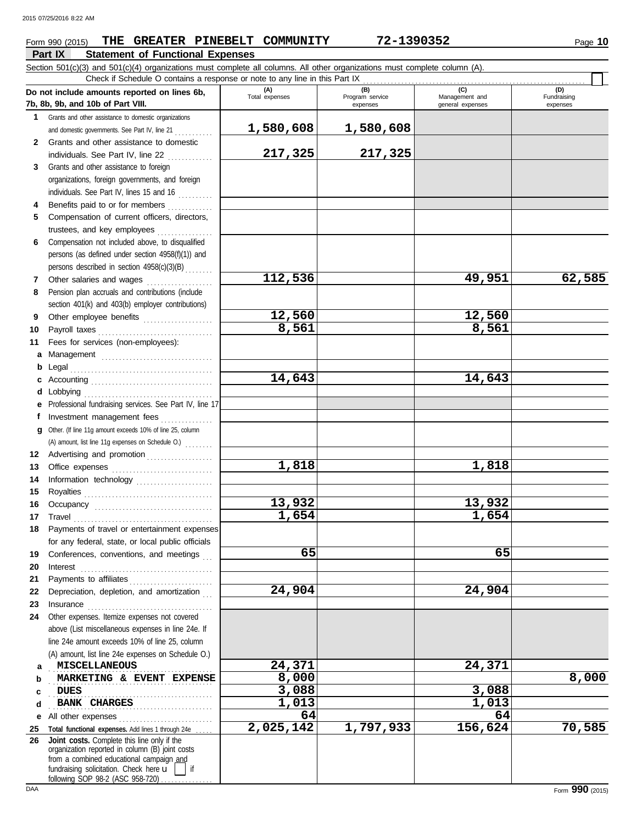## **Part IX Statement of Functional Expenses Form 990 (2015) THE GREATER PINEBELT COMMUNITY 72-1390352** Page 10

Section 501(c)(3) and 501(c)(4) organizations must complete all columns. All other organizations must complete column (A). Check if Schedule O contains a response or note to any line in this Part IX

|          |                                                                                                                                                                                 |                       | Check if Schedule O contains a response or note to any line in this Part IX |                                    |                                |  |  |  |  |  |  |  |
|----------|---------------------------------------------------------------------------------------------------------------------------------------------------------------------------------|-----------------------|-----------------------------------------------------------------------------|------------------------------------|--------------------------------|--|--|--|--|--|--|--|
|          | Do not include amounts reported on lines 6b,<br>7b, 8b, 9b, and 10b of Part VIII.                                                                                               | (A)<br>Total expenses | (B)<br>Program service<br>expenses                                          | Management and<br>general expenses | (D)<br>Fundraising<br>expenses |  |  |  |  |  |  |  |
| 1        | Grants and other assistance to domestic organizations                                                                                                                           |                       |                                                                             |                                    |                                |  |  |  |  |  |  |  |
|          | and domestic governments. See Part IV, line 21                                                                                                                                  | 1,580,608             | 1,580,608                                                                   |                                    |                                |  |  |  |  |  |  |  |
| 2        | Grants and other assistance to domestic                                                                                                                                         |                       |                                                                             |                                    |                                |  |  |  |  |  |  |  |
|          | individuals. See Part IV, line 22                                                                                                                                               | 217,325               | 217,325                                                                     |                                    |                                |  |  |  |  |  |  |  |
| 3        | Grants and other assistance to foreign                                                                                                                                          |                       |                                                                             |                                    |                                |  |  |  |  |  |  |  |
|          | organizations, foreign governments, and foreign                                                                                                                                 |                       |                                                                             |                                    |                                |  |  |  |  |  |  |  |
|          | individuals. See Part IV, lines 15 and 16                                                                                                                                       |                       |                                                                             |                                    |                                |  |  |  |  |  |  |  |
| 4        | Benefits paid to or for members                                                                                                                                                 |                       |                                                                             |                                    |                                |  |  |  |  |  |  |  |
| 5        | Compensation of current officers, directors,                                                                                                                                    |                       |                                                                             |                                    |                                |  |  |  |  |  |  |  |
|          | trustees, and key employees                                                                                                                                                     |                       |                                                                             |                                    |                                |  |  |  |  |  |  |  |
| 6        | Compensation not included above, to disqualified                                                                                                                                |                       |                                                                             |                                    |                                |  |  |  |  |  |  |  |
|          | persons (as defined under section 4958(f)(1)) and                                                                                                                               |                       |                                                                             |                                    |                                |  |  |  |  |  |  |  |
|          | persons described in section 4958(c)(3)(B)                                                                                                                                      |                       |                                                                             |                                    |                                |  |  |  |  |  |  |  |
| 7.       | Other salaries and wages                                                                                                                                                        | 112,536               |                                                                             | 49,951                             | 62,585                         |  |  |  |  |  |  |  |
| 8        | Pension plan accruals and contributions (include                                                                                                                                |                       |                                                                             |                                    |                                |  |  |  |  |  |  |  |
|          | section 401(k) and 403(b) employer contributions)                                                                                                                               |                       |                                                                             |                                    |                                |  |  |  |  |  |  |  |
| 9        | Other employee benefits                                                                                                                                                         | 12,560                |                                                                             | 12,560                             |                                |  |  |  |  |  |  |  |
| 10       |                                                                                                                                                                                 | 8,561                 |                                                                             | 8,561                              |                                |  |  |  |  |  |  |  |
| 11       | Fees for services (non-employees):                                                                                                                                              |                       |                                                                             |                                    |                                |  |  |  |  |  |  |  |
| a        |                                                                                                                                                                                 |                       |                                                                             |                                    |                                |  |  |  |  |  |  |  |
| b        |                                                                                                                                                                                 |                       |                                                                             |                                    |                                |  |  |  |  |  |  |  |
| c        |                                                                                                                                                                                 | 14,643                |                                                                             | 14,643                             |                                |  |  |  |  |  |  |  |
|          |                                                                                                                                                                                 |                       |                                                                             |                                    |                                |  |  |  |  |  |  |  |
|          | Professional fundraising services. See Part IV, line 17                                                                                                                         |                       |                                                                             |                                    |                                |  |  |  |  |  |  |  |
|          | Investment management fees                                                                                                                                                      |                       |                                                                             |                                    |                                |  |  |  |  |  |  |  |
| g        | Other. (If line 11g amount exceeds 10% of line 25, column                                                                                                                       |                       |                                                                             |                                    |                                |  |  |  |  |  |  |  |
| 12       | (A) amount, list line 11g expenses on Schedule O.)                                                                                                                              |                       |                                                                             |                                    |                                |  |  |  |  |  |  |  |
| 13       | Advertising and promotion                                                                                                                                                       | 1,818                 |                                                                             | 1,818                              |                                |  |  |  |  |  |  |  |
| 14       | Information technology                                                                                                                                                          |                       |                                                                             |                                    |                                |  |  |  |  |  |  |  |
| 15       |                                                                                                                                                                                 |                       |                                                                             |                                    |                                |  |  |  |  |  |  |  |
| 16       |                                                                                                                                                                                 | 13,932                |                                                                             | 13,932                             |                                |  |  |  |  |  |  |  |
| 17       |                                                                                                                                                                                 | 1,654                 |                                                                             | 1,654                              |                                |  |  |  |  |  |  |  |
| 18       | Payments of travel or entertainment expenses                                                                                                                                    |                       |                                                                             |                                    |                                |  |  |  |  |  |  |  |
|          | for any federal, state, or local public officials                                                                                                                               |                       |                                                                             |                                    |                                |  |  |  |  |  |  |  |
| 19       | Conferences, conventions, and meetings                                                                                                                                          | 65                    |                                                                             | 65                                 |                                |  |  |  |  |  |  |  |
| 20       | Interest                                                                                                                                                                        |                       |                                                                             |                                    |                                |  |  |  |  |  |  |  |
| 21       |                                                                                                                                                                                 |                       |                                                                             |                                    |                                |  |  |  |  |  |  |  |
| 22       | Depreciation, depletion, and amortization                                                                                                                                       | 24,904                |                                                                             | 24,904                             |                                |  |  |  |  |  |  |  |
| 23       |                                                                                                                                                                                 |                       |                                                                             |                                    |                                |  |  |  |  |  |  |  |
| 24       | Other expenses. Itemize expenses not covered                                                                                                                                    |                       |                                                                             |                                    |                                |  |  |  |  |  |  |  |
|          | above (List miscellaneous expenses in line 24e. If                                                                                                                              |                       |                                                                             |                                    |                                |  |  |  |  |  |  |  |
|          | line 24e amount exceeds 10% of line 25, column                                                                                                                                  |                       |                                                                             |                                    |                                |  |  |  |  |  |  |  |
|          | (A) amount, list line 24e expenses on Schedule O.)                                                                                                                              |                       |                                                                             |                                    |                                |  |  |  |  |  |  |  |
| a        | <b>MISCELLANEOUS</b>                                                                                                                                                            | 24,371                |                                                                             | 24,371                             |                                |  |  |  |  |  |  |  |
| b        | MARKETING & EVENT EXPENSE                                                                                                                                                       | 8,000                 |                                                                             |                                    | 8,000                          |  |  |  |  |  |  |  |
| c        | <b>DUES</b>                                                                                                                                                                     | 3,088                 |                                                                             | 3,088                              |                                |  |  |  |  |  |  |  |
| d        | <b>BANK CHARGES</b>                                                                                                                                                             | 1,013                 |                                                                             | 1,013                              |                                |  |  |  |  |  |  |  |
| е        | All other expenses                                                                                                                                                              | 64<br>2,025,142       | 1,797,933                                                                   | 64<br>156,624                      | 70,585                         |  |  |  |  |  |  |  |
| 25<br>26 | Total functional expenses. Add lines 1 through 24e<br>Joint costs. Complete this line only if the                                                                               |                       |                                                                             |                                    |                                |  |  |  |  |  |  |  |
|          | organization reported in column (B) joint costs<br>from a combined educational campaign and<br>fundraising solicitation. Check here u<br>if<br>following SOP 98-2 (ASC 958-720) |                       |                                                                             |                                    |                                |  |  |  |  |  |  |  |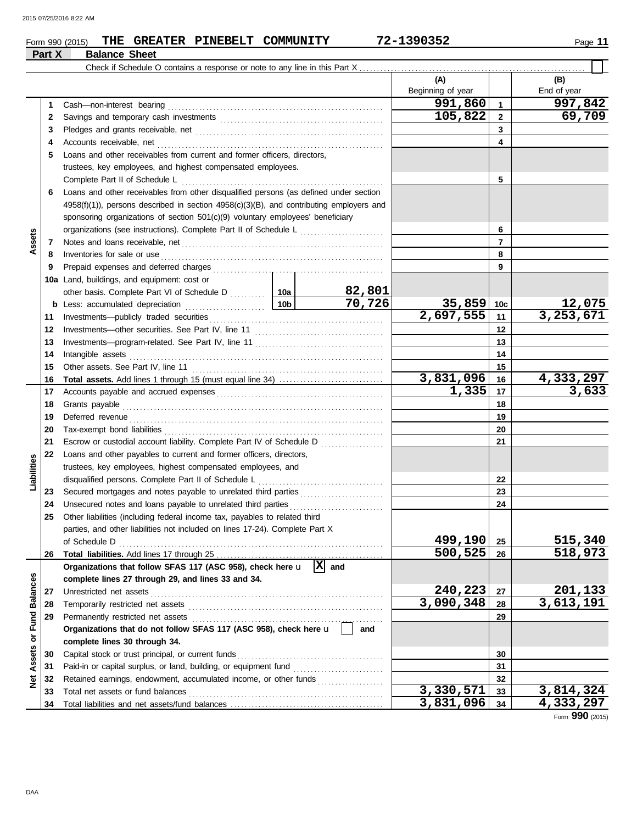## **Form 990 (2015) THE GREATER PINEBELT COMMUNITY 72-1390352** Page 11 **Part X Balance Sheet (A) (B)** Beginning of year | End of year **1** Cash—non-interest bearing . . . . . . . . . . . . . . . . . . . . . . . . . . . . . . . . . . . . . . . . . . . . . . . . . . . . . . . . . . . . . . **2 3 4 5 4 3 2 1 991,860 997,842** Savings and temporary cash investments . . . . . . . . . . . . . . . . . . . . . . . . . . . . . . . . . . . . . . . . . . . . . . . Pledges and grants receivable, net . . . . . . . . . . . . . . . . . . . . . . . . . . . . . . . . . . . . . . . . . . . . . . . . . . . . . . Accounts receivable, net . . . . . . . . . . . . . . . . . . . . . . . . . . . . . . . . . . . . . . . . . . . . . . . . . . . . . . . . . . . . . . . . . Loans and other receivables from current and former officers, directors, trustees, key employees, and highest compensated employees. Check if Schedule O contains a response or note to any line in this Part X.

|                   | 2  |                                                                                                                                                                                                                                      |                                                                                                                                                                                                                                     | 105,822   | $\overline{2}$ | 69,709    |                 |
|-------------------|----|--------------------------------------------------------------------------------------------------------------------------------------------------------------------------------------------------------------------------------------|-------------------------------------------------------------------------------------------------------------------------------------------------------------------------------------------------------------------------------------|-----------|----------------|-----------|-----------------|
|                   | 3  |                                                                                                                                                                                                                                      |                                                                                                                                                                                                                                     |           |                | 3         |                 |
|                   | 4  |                                                                                                                                                                                                                                      |                                                                                                                                                                                                                                     |           |                | 4         |                 |
|                   | 5  | Loans and other receivables from current and former officers, directors,                                                                                                                                                             |                                                                                                                                                                                                                                     |           |                |           |                 |
|                   |    | trustees, key employees, and highest compensated employees.                                                                                                                                                                          |                                                                                                                                                                                                                                     |           |                |           |                 |
|                   |    |                                                                                                                                                                                                                                      |                                                                                                                                                                                                                                     |           |                | 5         |                 |
|                   | 6  | Loans and other receivables from other disqualified persons (as defined under section                                                                                                                                                |                                                                                                                                                                                                                                     |           |                |           |                 |
|                   |    | 4958(f)(1)), persons described in section 4958(c)(3)(B), and contributing employers and                                                                                                                                              |                                                                                                                                                                                                                                     |           |                |           |                 |
|                   |    | sponsoring organizations of section 501(c)(9) voluntary employees' beneficiary                                                                                                                                                       |                                                                                                                                                                                                                                     |           |                |           |                 |
|                   |    | organizations (see instructions). Complete Part II of Schedule L                                                                                                                                                                     |                                                                                                                                                                                                                                     |           |                | 6         |                 |
| Assets            | 7  |                                                                                                                                                                                                                                      |                                                                                                                                                                                                                                     |           |                | 7         |                 |
|                   | 8  |                                                                                                                                                                                                                                      |                                                                                                                                                                                                                                     |           |                | 8         |                 |
|                   | 9  |                                                                                                                                                                                                                                      | Inventories for sale or use <i>communication</i> and the state of the state or use of the state of the state of the state of the state of the state of the state of the state of the state of the state of the state of the state o |           |                |           |                 |
|                   |    | 10a Land, buildings, and equipment: cost or                                                                                                                                                                                          |                                                                                                                                                                                                                                     |           |                | 9         |                 |
|                   |    |                                                                                                                                                                                                                                      |                                                                                                                                                                                                                                     | 82,801    |                |           |                 |
|                   |    |                                                                                                                                                                                                                                      |                                                                                                                                                                                                                                     | 70,726    | $35,859$ 10c   |           | 12,075          |
|                   |    |                                                                                                                                                                                                                                      |                                                                                                                                                                                                                                     |           | 2,697,555      |           | 3,253,671       |
|                   | 11 |                                                                                                                                                                                                                                      |                                                                                                                                                                                                                                     |           | 11             |           |                 |
|                   | 12 |                                                                                                                                                                                                                                      |                                                                                                                                                                                                                                     |           |                | 12        |                 |
|                   | 13 |                                                                                                                                                                                                                                      |                                                                                                                                                                                                                                     |           |                | 13        |                 |
|                   | 14 |                                                                                                                                                                                                                                      |                                                                                                                                                                                                                                     |           |                | 14        |                 |
|                   | 15 |                                                                                                                                                                                                                                      |                                                                                                                                                                                                                                     |           |                | 15        |                 |
|                   | 16 |                                                                                                                                                                                                                                      |                                                                                                                                                                                                                                     | 3,831,096 | 16             | 4,333,297 |                 |
|                   | 17 |                                                                                                                                                                                                                                      |                                                                                                                                                                                                                                     | 1,335     | -17            | 3,633     |                 |
|                   | 18 |                                                                                                                                                                                                                                      |                                                                                                                                                                                                                                     |           |                | 18        |                 |
|                   | 19 | Deferred revenue <b>contract and the contract of the contract of the contract of the contract of the contract of the contract of the contract of the contract of the contract of the contract of the contract of the contract of</b> |                                                                                                                                                                                                                                     |           |                | 19        |                 |
|                   | 20 |                                                                                                                                                                                                                                      |                                                                                                                                                                                                                                     |           |                | 20        |                 |
|                   | 21 | Escrow or custodial account liability. Complete Part IV of Schedule D                                                                                                                                                                |                                                                                                                                                                                                                                     |           |                | 21        |                 |
|                   | 22 | Loans and other payables to current and former officers, directors,                                                                                                                                                                  |                                                                                                                                                                                                                                     |           |                |           |                 |
| Liabilities       |    | trustees, key employees, highest compensated employees, and                                                                                                                                                                          |                                                                                                                                                                                                                                     |           |                |           |                 |
|                   |    |                                                                                                                                                                                                                                      |                                                                                                                                                                                                                                     |           | 22             |           |                 |
|                   | 23 |                                                                                                                                                                                                                                      |                                                                                                                                                                                                                                     |           |                | 23        |                 |
|                   | 24 | Unsecured notes and loans payable to unrelated third parties                                                                                                                                                                         |                                                                                                                                                                                                                                     |           |                | 24        |                 |
|                   | 25 | Other liabilities (including federal income tax, payables to related third                                                                                                                                                           |                                                                                                                                                                                                                                     |           |                |           |                 |
|                   |    | parties, and other liabilities not included on lines 17-24). Complete Part X                                                                                                                                                         |                                                                                                                                                                                                                                     |           |                |           |                 |
|                   |    |                                                                                                                                                                                                                                      |                                                                                                                                                                                                                                     |           | 499,190 25     |           | 515,340         |
|                   | 26 |                                                                                                                                                                                                                                      |                                                                                                                                                                                                                                     |           | $500, 525$ 26  |           | 518,973         |
|                   |    | Organizations that follow SFAS 117 (ASC 958), check here $\mathbf{u}$ $ \mathbf{X} $ and                                                                                                                                             |                                                                                                                                                                                                                                     |           |                |           |                 |
|                   |    | complete lines 27 through 29, and lines 33 and 34.                                                                                                                                                                                   |                                                                                                                                                                                                                                     |           |                |           |                 |
|                   | 27 | Unrestricted net assets                                                                                                                                                                                                              |                                                                                                                                                                                                                                     |           | 240,223        | 27        | 201,133         |
|                   | 28 |                                                                                                                                                                                                                                      |                                                                                                                                                                                                                                     |           | 3,090,348      | 28        | 3,613,191       |
| Fund Balances     | 29 | Permanently restricted net assets                                                                                                                                                                                                    |                                                                                                                                                                                                                                     |           |                | 29        |                 |
|                   |    | Organizations that do not follow SFAS 117 (ASC 958), check here u                                                                                                                                                                    |                                                                                                                                                                                                                                     | and       |                |           |                 |
| ð                 |    | complete lines 30 through 34.                                                                                                                                                                                                        |                                                                                                                                                                                                                                     |           |                |           |                 |
|                   | 30 | Capital stock or trust principal, or current funds                                                                                                                                                                                   |                                                                                                                                                                                                                                     |           | 30             |           |                 |
| <b>Net Assets</b> | 31 |                                                                                                                                                                                                                                      |                                                                                                                                                                                                                                     |           | 31             |           |                 |
|                   | 32 | Retained earnings, endowment, accumulated income, or other funds                                                                                                                                                                     |                                                                                                                                                                                                                                     |           | 32             |           |                 |
|                   | 33 | Total net assets or fund balances                                                                                                                                                                                                    |                                                                                                                                                                                                                                     | 3,330,571 | 33             | 3,814,324 |                 |
|                   | 34 |                                                                                                                                                                                                                                      |                                                                                                                                                                                                                                     |           | 3,831,096      | 34        | 4,333,297       |
|                   |    |                                                                                                                                                                                                                                      |                                                                                                                                                                                                                                     |           |                |           | Form 990 (2015) |
|                   |    |                                                                                                                                                                                                                                      |                                                                                                                                                                                                                                     |           |                |           |                 |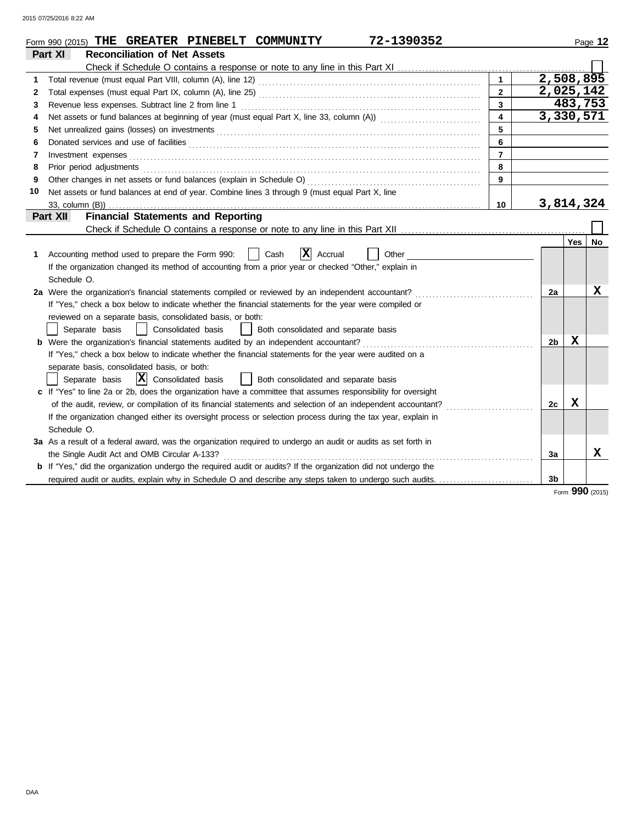|    | 72-1390352<br>Form 990 (2015) THE GREATER PINEBELT COMMUNITY                                                          |                |                |            | Page 12         |
|----|-----------------------------------------------------------------------------------------------------------------------|----------------|----------------|------------|-----------------|
|    | Part XI<br><b>Reconciliation of Net Assets</b>                                                                        |                |                |            |                 |
|    |                                                                                                                       |                |                |            |                 |
| 1  |                                                                                                                       | $\mathbf{1}$   | 2,508,895      |            |                 |
| 2  |                                                                                                                       | $\overline{2}$ | 2,025,142      |            |                 |
| 3  | Revenue less expenses. Subtract line 2 from line 1                                                                    | $\mathbf{3}$   |                | 483,753    |                 |
| 4  |                                                                                                                       | $\overline{4}$ | 3,330,571      |            |                 |
| 5  | Net unrealized gains (losses) on investments                                                                          | 5              |                |            |                 |
| 6  |                                                                                                                       | 6              |                |            |                 |
| 7  | Investment expenses                                                                                                   | $\overline{7}$ |                |            |                 |
| 8  | Prior period adjustments                                                                                              | 8              |                |            |                 |
| 9  | Other changes in net assets or fund balances (explain in Schedule O)                                                  | 9              |                |            |                 |
| 10 | Net assets or fund balances at end of year. Combine lines 3 through 9 (must equal Part X, line                        |                |                |            |                 |
|    |                                                                                                                       | 10             | 3,814,324      |            |                 |
|    | <b>Financial Statements and Reporting</b><br>Part XII                                                                 |                |                |            |                 |
|    |                                                                                                                       |                |                |            |                 |
|    |                                                                                                                       |                |                | <b>Yes</b> | No              |
| 1  | X <br>Accounting method used to prepare the Form 990:<br>Cash<br>Accrual<br>Other                                     |                |                |            |                 |
|    | If the organization changed its method of accounting from a prior year or checked "Other," explain in                 |                |                |            |                 |
|    | Schedule O.                                                                                                           |                |                |            |                 |
|    | 2a Were the organization's financial statements compiled or reviewed by an independent accountant?                    |                | 2a             |            | X               |
|    | If "Yes," check a box below to indicate whether the financial statements for the year were compiled or                |                |                |            |                 |
|    | reviewed on a separate basis, consolidated basis, or both:                                                            |                |                |            |                 |
|    | Separate basis<br>Consolidated basis<br>Both consolidated and separate basis                                          |                |                |            |                 |
|    | <b>b</b> Were the organization's financial statements audited by an independent accountant?                           |                | 2 <sub>b</sub> | x          |                 |
|    | If "Yes," check a box below to indicate whether the financial statements for the year were audited on a               |                |                |            |                 |
|    | separate basis, consolidated basis, or both:                                                                          |                |                |            |                 |
|    | $ \mathbf{X} $ Consolidated basis<br>Both consolidated and separate basis<br>Separate basis                           |                |                |            |                 |
|    | c If "Yes" to line 2a or 2b, does the organization have a committee that assumes responsibility for oversight         |                |                |            |                 |
|    | of the audit, review, or compilation of its financial statements and selection of an independent accountant?          |                | 2c             | X          |                 |
|    | If the organization changed either its oversight process or selection process during the tax year, explain in         |                |                |            |                 |
|    | Schedule O.                                                                                                           |                |                |            |                 |
|    | 3a As a result of a federal award, was the organization required to undergo an audit or audits as set forth in        |                |                |            |                 |
|    | the Single Audit Act and OMB Circular A-133?                                                                          |                | За             |            | x               |
|    | <b>b</b> If "Yes," did the organization undergo the required audit or audits? If the organization did not undergo the |                |                |            |                 |
|    | required audit or audits, explain why in Schedule O and describe any steps taken to undergo such audits.              |                | 3 <sub>b</sub> |            |                 |
|    |                                                                                                                       |                |                |            | Form 990 (2015) |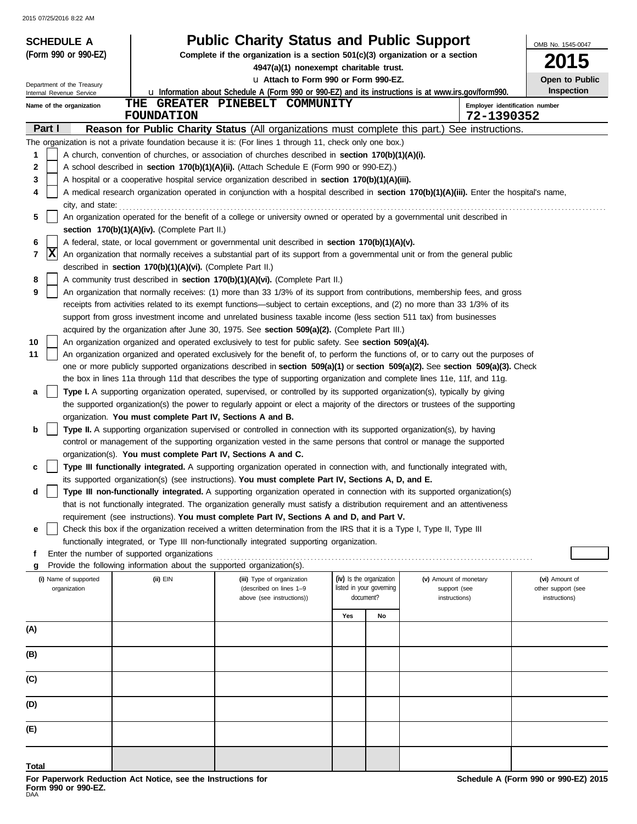| <b>SCHEDULE A</b>          |                                                                                                                                                   | <b>Public Charity Status and Public Support</b>                                                                                                                                                                                                                       |                          |                                       |                               | OMB No. 1545-0047                   |  |  |
|----------------------------|---------------------------------------------------------------------------------------------------------------------------------------------------|-----------------------------------------------------------------------------------------------------------------------------------------------------------------------------------------------------------------------------------------------------------------------|--------------------------|---------------------------------------|-------------------------------|-------------------------------------|--|--|
| (Form 990 or 990-EZ)       |                                                                                                                                                   | Complete if the organization is a section $501(c)(3)$ organization or a section<br>4947(a)(1) nonexempt charitable trust.                                                                                                                                             |                          |                                       |                               | 2015                                |  |  |
| Department of the Treasury |                                                                                                                                                   | u Attach to Form 990 or Form 990-EZ.                                                                                                                                                                                                                                  |                          |                                       |                               | Open to Public                      |  |  |
| Internal Revenue Service   |                                                                                                                                                   | <b>u</b> Information about Schedule A (Form 990 or 990-EZ) and its instructions is at www.irs.gov/form990.                                                                                                                                                            |                          |                                       |                               | Inspection                          |  |  |
| Name of the organization   | <b>FOUNDATION</b>                                                                                                                                 | THE GREATER PINEBELT COMMUNITY                                                                                                                                                                                                                                        |                          |                                       | 72-1390352                    | Employer identification number      |  |  |
| Part I                     |                                                                                                                                                   | Reason for Public Charity Status (All organizations must complete this part.) See instructions.                                                                                                                                                                       |                          |                                       |                               |                                     |  |  |
|                            |                                                                                                                                                   | The organization is not a private foundation because it is: (For lines 1 through 11, check only one box.)                                                                                                                                                             |                          |                                       |                               |                                     |  |  |
| 1                          |                                                                                                                                                   | A church, convention of churches, or association of churches described in section 170(b)(1)(A)(i).                                                                                                                                                                    |                          |                                       |                               |                                     |  |  |
| 2<br>3                     |                                                                                                                                                   | A school described in section 170(b)(1)(A)(ii). (Attach Schedule E (Form 990 or 990-EZ).)<br>A hospital or a cooperative hospital service organization described in section 170(b)(1)(A)(iii).                                                                        |                          |                                       |                               |                                     |  |  |
| 4                          |                                                                                                                                                   | A medical research organization operated in conjunction with a hospital described in section 170(b)(1)(A)(iii). Enter the hospital's name,                                                                                                                            |                          |                                       |                               |                                     |  |  |
| city, and state:           |                                                                                                                                                   |                                                                                                                                                                                                                                                                       |                          |                                       |                               |                                     |  |  |
| 5                          |                                                                                                                                                   | An organization operated for the benefit of a college or university owned or operated by a governmental unit described in                                                                                                                                             |                          |                                       |                               |                                     |  |  |
| 6                          | section 170(b)(1)(A)(iv). (Complete Part II.)<br>A federal, state, or local government or governmental unit described in section 170(b)(1)(A)(v). |                                                                                                                                                                                                                                                                       |                          |                                       |                               |                                     |  |  |
| <b>X</b><br>7              | An organization that normally receives a substantial part of its support from a governmental unit or from the general public                      |                                                                                                                                                                                                                                                                       |                          |                                       |                               |                                     |  |  |
|                            | described in section 170(b)(1)(A)(vi). (Complete Part II.)                                                                                        |                                                                                                                                                                                                                                                                       |                          |                                       |                               |                                     |  |  |
| 8                          |                                                                                                                                                   | A community trust described in section 170(b)(1)(A)(vi). (Complete Part II.)                                                                                                                                                                                          |                          |                                       |                               |                                     |  |  |
| 9                          |                                                                                                                                                   | An organization that normally receives: (1) more than 33 1/3% of its support from contributions, membership fees, and gross<br>receipts from activities related to its exempt functions—subject to certain exceptions, and (2) no more than 33 1/3% of its            |                          |                                       |                               |                                     |  |  |
|                            |                                                                                                                                                   | support from gross investment income and unrelated business taxable income (less section 511 tax) from businesses                                                                                                                                                     |                          |                                       |                               |                                     |  |  |
|                            |                                                                                                                                                   | acquired by the organization after June 30, 1975. See section 509(a)(2). (Complete Part III.)                                                                                                                                                                         |                          |                                       |                               |                                     |  |  |
| 10                         |                                                                                                                                                   | An organization organized and operated exclusively to test for public safety. See section 509(a)(4).                                                                                                                                                                  |                          |                                       |                               |                                     |  |  |
| 11                         |                                                                                                                                                   | An organization organized and operated exclusively for the benefit of, to perform the functions of, or to carry out the purposes of<br>one or more publicly supported organizations described in section 509(a)(1) or section 509(a)(2). See section 509(a)(3). Check |                          |                                       |                               |                                     |  |  |
|                            |                                                                                                                                                   | the box in lines 11a through 11d that describes the type of supporting organization and complete lines 11e, 11f, and 11g.                                                                                                                                             |                          |                                       |                               |                                     |  |  |
| a                          |                                                                                                                                                   | Type I. A supporting organization operated, supervised, or controlled by its supported organization(s), typically by giving                                                                                                                                           |                          |                                       |                               |                                     |  |  |
|                            |                                                                                                                                                   | the supported organization(s) the power to regularly appoint or elect a majority of the directors or trustees of the supporting                                                                                                                                       |                          |                                       |                               |                                     |  |  |
| b                          | organization. You must complete Part IV, Sections A and B.                                                                                        | Type II. A supporting organization supervised or controlled in connection with its supported organization(s), by having                                                                                                                                               |                          |                                       |                               |                                     |  |  |
|                            |                                                                                                                                                   | control or management of the supporting organization vested in the same persons that control or manage the supported                                                                                                                                                  |                          |                                       |                               |                                     |  |  |
|                            | organization(s). You must complete Part IV, Sections A and C.                                                                                     |                                                                                                                                                                                                                                                                       |                          |                                       |                               |                                     |  |  |
| c                          |                                                                                                                                                   | Type III functionally integrated. A supporting organization operated in connection with, and functionally integrated with,                                                                                                                                            |                          |                                       |                               |                                     |  |  |
| d                          |                                                                                                                                                   | its supported organization(s) (see instructions). You must complete Part IV, Sections A, D, and E.<br>Type III non-functionally integrated. A supporting organization operated in connection with its supported organization(s)                                       |                          |                                       |                               |                                     |  |  |
|                            |                                                                                                                                                   | that is not functionally integrated. The organization generally must satisfy a distribution requirement and an attentiveness                                                                                                                                          |                          |                                       |                               |                                     |  |  |
|                            |                                                                                                                                                   | requirement (see instructions). You must complete Part IV, Sections A and D, and Part V.                                                                                                                                                                              |                          |                                       |                               |                                     |  |  |
| е                          |                                                                                                                                                   | Check this box if the organization received a written determination from the IRS that it is a Type I, Type II, Type III                                                                                                                                               |                          |                                       |                               |                                     |  |  |
| f                          | Enter the number of supported organizations                                                                                                       | functionally integrated, or Type III non-functionally integrated supporting organization.                                                                                                                                                                             |                          |                                       |                               |                                     |  |  |
| g                          | Provide the following information about the supported organization(s).                                                                            |                                                                                                                                                                                                                                                                       |                          |                                       |                               |                                     |  |  |
| (i) Name of supported      | (ii) EIN                                                                                                                                          | (iii) Type of organization                                                                                                                                                                                                                                            | (iv) Is the organization |                                       | (v) Amount of monetary        | (vi) Amount of                      |  |  |
| organization               |                                                                                                                                                   | (described on lines 1-9<br>above (see instructions))                                                                                                                                                                                                                  |                          | listed in your governing<br>document? | support (see<br>instructions) | other support (see<br>instructions) |  |  |
|                            |                                                                                                                                                   |                                                                                                                                                                                                                                                                       | Yes                      | No                                    |                               |                                     |  |  |
| (A)                        |                                                                                                                                                   |                                                                                                                                                                                                                                                                       |                          |                                       |                               |                                     |  |  |
|                            |                                                                                                                                                   |                                                                                                                                                                                                                                                                       |                          |                                       |                               |                                     |  |  |
| (B)                        |                                                                                                                                                   |                                                                                                                                                                                                                                                                       |                          |                                       |                               |                                     |  |  |
| (C)                        |                                                                                                                                                   |                                                                                                                                                                                                                                                                       |                          |                                       |                               |                                     |  |  |
|                            |                                                                                                                                                   |                                                                                                                                                                                                                                                                       |                          |                                       |                               |                                     |  |  |
| (D)                        |                                                                                                                                                   |                                                                                                                                                                                                                                                                       |                          |                                       |                               |                                     |  |  |
| (E)                        |                                                                                                                                                   |                                                                                                                                                                                                                                                                       |                          |                                       |                               |                                     |  |  |
|                            |                                                                                                                                                   |                                                                                                                                                                                                                                                                       |                          |                                       |                               |                                     |  |  |
| Total                      |                                                                                                                                                   |                                                                                                                                                                                                                                                                       |                          |                                       |                               |                                     |  |  |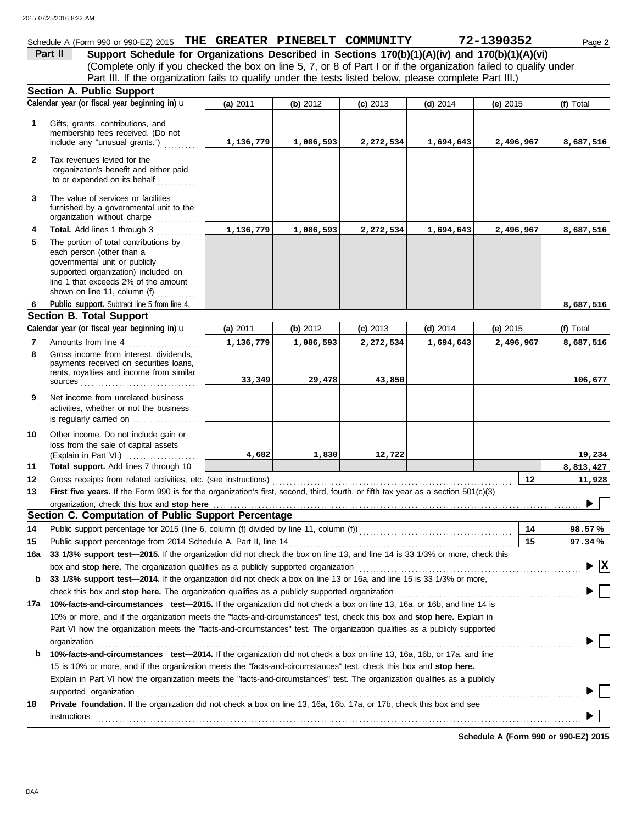## Schedule A (Form 990 or 990-EZ) 2015 **THE GREATER PINEBELT COMMUNITY 72-1390352** Page 2

(Complete only if you checked the box on line 5, 7, or 8 of Part I or if the organization failed to qualify under **Part II** Support Schedule for Organizations Described in Sections 170(b)(1)(A)(iv) and 170(b)(1)(A)(vi) Part III. If the organization fails to qualify under the tests listed below, please complete Part III.)

|              | <b>Section A. Public Support</b>                                                                                                                                                                                                                                                                       |           |           |            |            |            |                                    |  |  |  |  |  |
|--------------|--------------------------------------------------------------------------------------------------------------------------------------------------------------------------------------------------------------------------------------------------------------------------------------------------------|-----------|-----------|------------|------------|------------|------------------------------------|--|--|--|--|--|
|              | Calendar year (or fiscal year beginning in) u                                                                                                                                                                                                                                                          | (a) 2011  | (b) 2012  | $(c)$ 2013 | $(d)$ 2014 | (e) 2015   | (f) Total                          |  |  |  |  |  |
| 1            | Gifts, grants, contributions, and<br>membership fees received. (Do not<br>include any "unusual grants.")                                                                                                                                                                                               | 1,136,779 | 1,086,593 | 2,272,534  | 1,694,643  | 2,496,967  | 8,687,516                          |  |  |  |  |  |
| $\mathbf{2}$ | Tax revenues levied for the<br>organization's benefit and either paid<br>to or expended on its behalf                                                                                                                                                                                                  |           |           |            |            |            |                                    |  |  |  |  |  |
| 3            | The value of services or facilities<br>furnished by a governmental unit to the<br>organization without charge                                                                                                                                                                                          |           |           |            |            |            |                                    |  |  |  |  |  |
| 4<br>5       | Total. Add lines 1 through 3<br>The portion of total contributions by<br>each person (other than a<br>governmental unit or publicly<br>supported organization) included on<br>line 1 that exceeds 2% of the amount<br>shown on line 11, column (f)                                                     | 1,136,779 | 1,086,593 | 2,272,534  | 1,694,643  | 2,496,967  | 8,687,516                          |  |  |  |  |  |
| 6            | Public support. Subtract line 5 from line 4.                                                                                                                                                                                                                                                           |           |           |            |            |            | 8,687,516                          |  |  |  |  |  |
|              | Section B. Total Support                                                                                                                                                                                                                                                                               |           |           |            |            |            |                                    |  |  |  |  |  |
|              | Calendar year (or fiscal year beginning in) u                                                                                                                                                                                                                                                          | (a) 2011  | (b) 2012  | $(c)$ 2013 | $(d)$ 2014 | (e) $2015$ | (f) Total                          |  |  |  |  |  |
| 7            | Amounts from line 4                                                                                                                                                                                                                                                                                    | 1,136,779 | 1,086,593 | 2,272,534  | 1,694,643  | 2,496,967  | 8,687,516                          |  |  |  |  |  |
| 8            | Gross income from interest, dividends,<br>payments received on securities loans,<br>rents, royalties and income from similar                                                                                                                                                                           | 33,349    | 29,478    | 43,850     |            |            | 106,677                            |  |  |  |  |  |
| 9            | Net income from unrelated business<br>activities, whether or not the business<br>is regularly carried on $\ldots$                                                                                                                                                                                      |           |           |            |            |            |                                    |  |  |  |  |  |
| 10           | Other income. Do not include gain or<br>loss from the sale of capital assets<br>(Explain in Part VI.)                                                                                                                                                                                                  | 4,682     | 1,830     | 12,722     |            |            | 19,234                             |  |  |  |  |  |
| 11           | Total support. Add lines 7 through 10                                                                                                                                                                                                                                                                  |           |           |            |            |            | 8,813,427                          |  |  |  |  |  |
| 12           | Gross receipts from related activities, etc. (see instructions)                                                                                                                                                                                                                                        |           |           |            |            | $12 \,$    | 11,928                             |  |  |  |  |  |
| 13           | First five years. If the Form 990 is for the organization's first, second, third, fourth, or fifth tax year as a section 501(c)(3)                                                                                                                                                                     |           |           |            |            |            |                                    |  |  |  |  |  |
|              | organization, check this box and stop here.                                                                                                                                                                                                                                                            |           |           |            |            |            |                                    |  |  |  |  |  |
|              | Section C. Computation of Public Support Percentage                                                                                                                                                                                                                                                    |           |           |            |            |            |                                    |  |  |  |  |  |
| 14           | Public support percentage for 2015 (line 6, column (f) divided by line 11, column (f)) [[[[[[[[[[[[[[[[[[[[[[                                                                                                                                                                                          |           |           |            |            | 14         | 98.57%                             |  |  |  |  |  |
| 15           | Public support percentage from 2014 Schedule A, Part II, line 14<br>rublic support percentage from 2014 Schedule A, Part II, line 14 <i>COMMA (COMMA)</i> 16 and line 14 is 33 1/3% or more, check this 16 and 16 and 173% support test—2015. If the organization did not check the box on line 13, an |           |           |            |            | 15         | 97.34%                             |  |  |  |  |  |
|              |                                                                                                                                                                                                                                                                                                        |           |           |            |            |            |                                    |  |  |  |  |  |
|              | box and stop here. The organization qualifies as a publicly supported organization                                                                                                                                                                                                                     |           |           |            |            |            | $\blacktriangleright \overline{X}$ |  |  |  |  |  |
| b            | 33 1/3% support test-2014. If the organization did not check a box on line 13 or 16a, and line 15 is 33 1/3% or more,                                                                                                                                                                                  |           |           |            |            |            |                                    |  |  |  |  |  |
|              | check this box and stop here. The organization qualifies as a publicly supported organization                                                                                                                                                                                                          |           |           |            |            |            |                                    |  |  |  |  |  |
|              | 17a 10%-facts-and-circumstances test-2015. If the organization did not check a box on line 13, 16a, or 16b, and line 14 is                                                                                                                                                                             |           |           |            |            |            |                                    |  |  |  |  |  |
|              | 10% or more, and if the organization meets the "facts-and-circumstances" test, check this box and stop here. Explain in                                                                                                                                                                                |           |           |            |            |            |                                    |  |  |  |  |  |
|              | Part VI how the organization meets the "facts-and-circumstances" test. The organization qualifies as a publicly supported                                                                                                                                                                              |           |           |            |            |            |                                    |  |  |  |  |  |
|              | organization                                                                                                                                                                                                                                                                                           |           |           |            |            |            |                                    |  |  |  |  |  |
| b            | 10%-facts-and-circumstances test-2014. If the organization did not check a box on line 13, 16a, 16b, or 17a, and line                                                                                                                                                                                  |           |           |            |            |            |                                    |  |  |  |  |  |
|              | 15 is 10% or more, and if the organization meets the "facts-and-circumstances" test, check this box and <b>stop here.</b><br>Explain in Part VI how the organization meets the "facts-and-circumstances" test. The organization qualifies as a publicly                                                |           |           |            |            |            |                                    |  |  |  |  |  |
|              |                                                                                                                                                                                                                                                                                                        |           |           |            |            |            |                                    |  |  |  |  |  |
|              | supported organization                                                                                                                                                                                                                                                                                 |           |           |            |            |            |                                    |  |  |  |  |  |
| 18           | Private foundation. If the organization did not check a box on line 13, 16a, 16b, 17a, or 17b, check this box and see                                                                                                                                                                                  |           |           |            |            |            |                                    |  |  |  |  |  |
|              | instructions                                                                                                                                                                                                                                                                                           |           |           |            |            |            |                                    |  |  |  |  |  |
|              |                                                                                                                                                                                                                                                                                                        |           |           |            |            |            |                                    |  |  |  |  |  |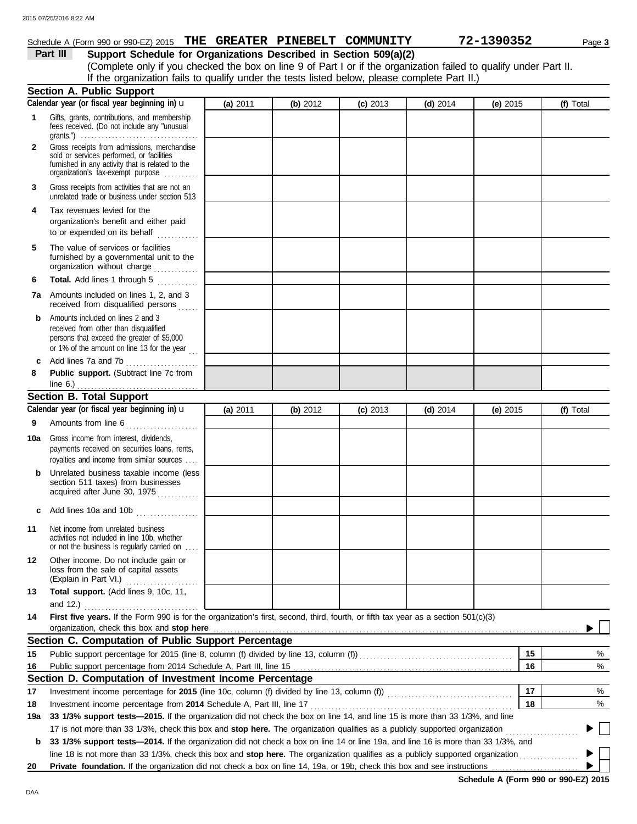## Schedule A (Form 990 or 990-EZ) 2015 **THE GREATER PINEBELT COMMUNITY 72-1390352** Page 3

**Part III Support Schedule for Organizations Described in Section 509(a)(2)** (Complete only if you checked the box on line 9 of Part I or if the organization failed to qualify under Part II. If the organization fails to qualify under the tests listed below, please complete Part II.)

|              | <b>Section A. Public Support</b>                                                                                                                                                                                                                           |          |          |            |            |          |    |           |  |
|--------------|------------------------------------------------------------------------------------------------------------------------------------------------------------------------------------------------------------------------------------------------------------|----------|----------|------------|------------|----------|----|-----------|--|
|              | Calendar year (or fiscal year beginning in) u                                                                                                                                                                                                              | (a) 2011 | (b) 2012 | $(c)$ 2013 | (d) $2014$ | (e) 2015 |    | (f) Total |  |
| 1            | Gifts, grants, contributions, and membership<br>fees received. (Do not include any "unusual<br>grants.") $\ldots \ldots \ldots \ldots \ldots \ldots \ldots \ldots \ldots \ldots \ldots \ldots$                                                             |          |          |            |            |          |    |           |  |
| $\mathbf{2}$ | Gross receipts from admissions, merchandise<br>sold or services performed, or facilities<br>furnished in any activity that is related to the<br>organization's tax-exempt purpose                                                                          |          |          |            |            |          |    |           |  |
| 3            | Gross receipts from activities that are not an<br>unrelated trade or business under section 513                                                                                                                                                            |          |          |            |            |          |    |           |  |
| 4            | Tax revenues levied for the<br>organization's benefit and either paid<br>to or expended on its behalf                                                                                                                                                      |          |          |            |            |          |    |           |  |
| 5            | The value of services or facilities<br>furnished by a governmental unit to the<br>organization without charge                                                                                                                                              |          |          |            |            |          |    |           |  |
| 6            | <b>Total.</b> Add lines 1 through 5<br>.                                                                                                                                                                                                                   |          |          |            |            |          |    |           |  |
| 7а           | Amounts included on lines 1, 2, and 3<br>received from disqualified persons                                                                                                                                                                                |          |          |            |            |          |    |           |  |
| b            | Amounts included on lines 2 and 3<br>received from other than disqualified<br>persons that exceed the greater of \$5,000<br>or 1% of the amount on line 13 for the year $\ldots$                                                                           |          |          |            |            |          |    |           |  |
| c            | Add lines 7a and 7b                                                                                                                                                                                                                                        |          |          |            |            |          |    |           |  |
| 8            | Public support. (Subtract line 7c from                                                                                                                                                                                                                     |          |          |            |            |          |    |           |  |
|              | <b>Section B. Total Support</b>                                                                                                                                                                                                                            |          |          |            |            |          |    |           |  |
|              | Calendar year (or fiscal year beginning in) $\mathbf u$                                                                                                                                                                                                    | (a) 2011 | (b) 2012 | $(c)$ 2013 | $(d)$ 2014 | (e) 2015 |    | (f) Total |  |
| 9            | Amounts from line 6                                                                                                                                                                                                                                        |          |          |            |            |          |    |           |  |
| 10a          | Gross income from interest, dividends,<br>payments received on securities loans, rents,                                                                                                                                                                    |          |          |            |            |          |    |           |  |
| b            | royalties and income from similar sources<br>Unrelated business taxable income (less                                                                                                                                                                       |          |          |            |            |          |    |           |  |
|              | section 511 taxes) from businesses<br>acquired after June 30, 1975                                                                                                                                                                                         |          |          |            |            |          |    |           |  |
| c            | Add lines 10a and 10b                                                                                                                                                                                                                                      |          |          |            |            |          |    |           |  |
| 11           | Net income from unrelated business<br>activities not included in line 10b, whether<br>or not the business is regularly carried on                                                                                                                          |          |          |            |            |          |    |           |  |
| 12           | Other income. Do not include gain or<br>loss from the sale of capital assets<br>(Explain in Part VI.)<br>.                                                                                                                                                 |          |          |            |            |          |    |           |  |
| 13           | Total support. (Add lines 9, 10c, 11,<br>and 12.) $\ldots$                                                                                                                                                                                                 |          |          |            |            |          |    |           |  |
| 14           | First five years. If the Form 990 is for the organization's first, second, third, fourth, or fifth tax year as a section 501(c)(3)                                                                                                                         |          |          |            |            |          |    |           |  |
|              |                                                                                                                                                                                                                                                            |          |          |            |            |          |    |           |  |
|              | Section C. Computation of Public Support Percentage                                                                                                                                                                                                        |          |          |            |            |          |    |           |  |
| 15           | Public support percentage for 2015 (line 8, column (f) divided by line 13, column (f)) [[[[[[[[[[[[[[[[[[[[[[                                                                                                                                              |          |          |            |            |          | 15 | %         |  |
| 16           |                                                                                                                                                                                                                                                            |          |          |            |            |          | 16 | %         |  |
|              | Section D. Computation of Investment Income Percentage                                                                                                                                                                                                     |          |          |            |            |          |    |           |  |
| 17           | Investment income percentage for 2015 (line 10c, column (f) divided by line 13, column (f)) [[[[[[[[[[[[[[[[[[                                                                                                                                             |          |          |            |            |          | 17 | %         |  |
| 18           | Investment income percentage from 2014 Schedule A, Part III, line 17                                                                                                                                                                                       |          |          |            |            |          | 18 | %         |  |
| 19a          | 33 1/3% support tests-2015. If the organization did not check the box on line 14, and line 15 is more than 33 1/3%, and line<br>17 is not more than 33 1/3%, check this box and stop here. The organization qualifies as a publicly supported organization |          |          |            |            |          |    |           |  |
| b            | 33 1/3% support tests-2014. If the organization did not check a box on line 14 or line 19a, and line 16 is more than 33 1/3%, and                                                                                                                          |          |          |            |            |          |    |           |  |
|              | line 18 is not more than 33 1/3%, check this box and stop here. The organization qualifies as a publicly supported organization                                                                                                                            |          |          |            |            |          |    |           |  |
| 20           | Private foundation. If the organization did not check a box on line 14, 19a, or 19b, check this box and see instructions                                                                                                                                   |          |          |            |            |          |    |           |  |
|              |                                                                                                                                                                                                                                                            |          |          |            |            |          |    |           |  |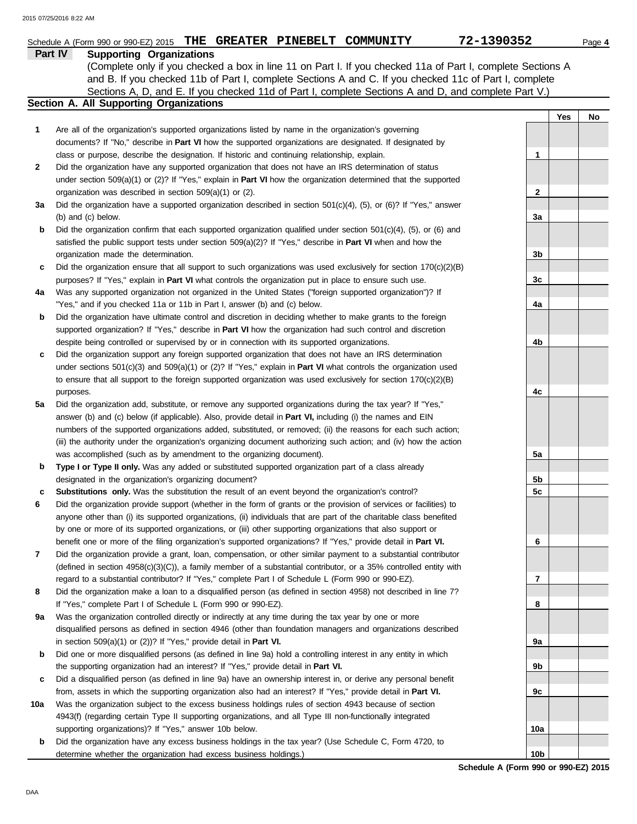|     | Schedule A (Form 990 or 990-EZ) 2015 THE GREATER PINEBELT COMMUNITY                                                        | 72-1390352      | Page 4    |
|-----|----------------------------------------------------------------------------------------------------------------------------|-----------------|-----------|
|     | Part IV<br><b>Supporting Organizations</b>                                                                                 |                 |           |
|     | (Complete only if you checked a box in line 11 on Part I. If you checked 11a of Part I, complete Sections A                |                 |           |
|     | and B. If you checked 11b of Part I, complete Sections A and C. If you checked 11c of Part I, complete                     |                 |           |
|     | Sections A, D, and E. If you checked 11d of Part I, complete Sections A and D, and complete Part V.)                       |                 |           |
|     | Section A. All Supporting Organizations                                                                                    |                 |           |
|     |                                                                                                                            |                 | Yes<br>No |
| 1   | Are all of the organization's supported organizations listed by name in the organization's governing                       |                 |           |
|     | documents? If "No," describe in Part VI how the supported organizations are designated. If designated by                   |                 |           |
|     | class or purpose, describe the designation. If historic and continuing relationship, explain.                              | 1               |           |
| 2   | Did the organization have any supported organization that does not have an IRS determination of status                     |                 |           |
|     | under section $509(a)(1)$ or (2)? If "Yes," explain in <b>Part VI</b> how the organization determined that the supported   |                 |           |
|     | organization was described in section 509(a)(1) or (2).                                                                    | 2               |           |
| За  | Did the organization have a supported organization described in section $501(c)(4)$ , $(5)$ , or $(6)$ ? If "Yes," answer  |                 |           |
|     | (b) and (c) below.                                                                                                         | 3a              |           |
| b   | Did the organization confirm that each supported organization qualified under section $501(c)(4)$ , $(5)$ , or $(6)$ and   |                 |           |
|     | satisfied the public support tests under section $509(a)(2)?$ If "Yes," describe in <b>Part VI</b> when and how the        |                 |           |
|     | organization made the determination.                                                                                       | 3b              |           |
| c   | Did the organization ensure that all support to such organizations was used exclusively for section $170(c)(2)(B)$         |                 |           |
|     | purposes? If "Yes," explain in Part VI what controls the organization put in place to ensure such use.                     | 3c              |           |
| 4a  | Was any supported organization not organized in the United States ("foreign supported organization")? If                   |                 |           |
|     | "Yes," and if you checked 11a or 11b in Part I, answer (b) and (c) below.                                                  | 4a              |           |
| b   | Did the organization have ultimate control and discretion in deciding whether to make grants to the foreign                |                 |           |
|     | supported organization? If "Yes," describe in Part VI how the organization had such control and discretion                 |                 |           |
|     | despite being controlled or supervised by or in connection with its supported organizations.                               | 4b              |           |
| c   | Did the organization support any foreign supported organization that does not have an IRS determination                    |                 |           |
|     | under sections $501(c)(3)$ and $509(a)(1)$ or (2)? If "Yes," explain in <b>Part VI</b> what controls the organization used |                 |           |
|     | to ensure that all support to the foreign supported organization was used exclusively for section $170(c)(2)(B)$           |                 |           |
|     | purposes.                                                                                                                  | 4c              |           |
| 5a  | Did the organization add, substitute, or remove any supported organizations during the tax year? If "Yes,"                 |                 |           |
|     | answer (b) and (c) below (if applicable). Also, provide detail in Part VI, including (i) the names and EIN                 |                 |           |
|     | numbers of the supported organizations added, substituted, or removed; (ii) the reasons for each such action;              |                 |           |
|     | (iii) the authority under the organization's organizing document authorizing such action; and (iv) how the action          |                 |           |
|     | was accomplished (such as by amendment to the organizing document).                                                        | 5a              |           |
| b   | Type I or Type II only. Was any added or substituted supported organization part of a class already                        |                 |           |
|     | designated in the organization's organizing document?                                                                      | 5b              |           |
| c   | Substitutions only. Was the substitution the result of an event beyond the organization's control?                         | 5 <sub>c</sub>  |           |
| 6   | Did the organization provide support (whether in the form of grants or the provision of services or facilities) to         |                 |           |
|     | anyone other than (i) its supported organizations, (ii) individuals that are part of the charitable class benefited        |                 |           |
|     | by one or more of its supported organizations, or (iii) other supporting organizations that also support or                |                 |           |
|     | benefit one or more of the filing organization's supported organizations? If "Yes," provide detail in Part VI.             | 6               |           |
| 7   | Did the organization provide a grant, loan, compensation, or other similar payment to a substantial contributor            |                 |           |
|     | (defined in section $4958(c)(3)(C)$ ), a family member of a substantial contributor, or a 35% controlled entity with       |                 |           |
|     | regard to a substantial contributor? If "Yes," complete Part I of Schedule L (Form 990 or 990-EZ).                         | 7               |           |
| 8   | Did the organization make a loan to a disqualified person (as defined in section 4958) not described in line 7?            |                 |           |
|     | If "Yes," complete Part I of Schedule L (Form 990 or 990-EZ).                                                              | 8               |           |
| 9а  | Was the organization controlled directly or indirectly at any time during the tax year by one or more                      |                 |           |
|     | disqualified persons as defined in section 4946 (other than foundation managers and organizations described                |                 |           |
|     | in section $509(a)(1)$ or $(2)$ ? If "Yes," provide detail in Part VI.                                                     | 9а              |           |
| b   | Did one or more disqualified persons (as defined in line 9a) hold a controlling interest in any entity in which            |                 |           |
|     | the supporting organization had an interest? If "Yes," provide detail in Part VI.                                          | 9b              |           |
| c   | Did a disqualified person (as defined in line 9a) have an ownership interest in, or derive any personal benefit            |                 |           |
|     | from, assets in which the supporting organization also had an interest? If "Yes," provide detail in Part VI.               | 9c              |           |
| 10a | Was the organization subject to the excess business holdings rules of section 4943 because of section                      |                 |           |
|     | 4943(f) (regarding certain Type II supporting organizations, and all Type III non-functionally integrated                  |                 |           |
|     | supporting organizations)? If "Yes," answer 10b below.                                                                     | 10a             |           |
| b   | Did the organization have any excess business holdings in the tax year? (Use Schedule C, Form 4720, to                     |                 |           |
|     | determine whether the organization had excess business holdings.)                                                          | 10 <sub>b</sub> |           |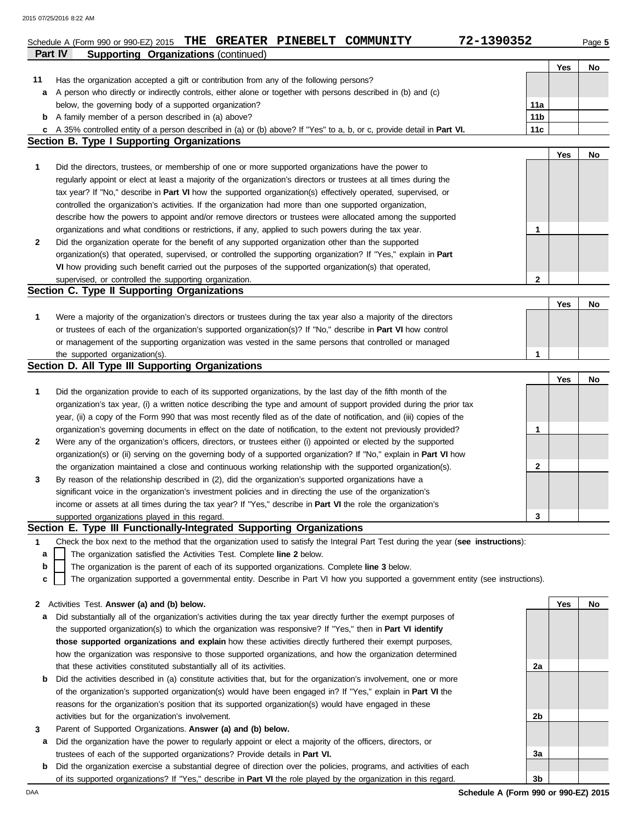|     | Part IV<br><b>Supporting Organizations (continued)</b>                                                                            |     |     |    |
|-----|-----------------------------------------------------------------------------------------------------------------------------------|-----|-----|----|
|     |                                                                                                                                   |     | Yes | No |
| 11  | Has the organization accepted a gift or contribution from any of the following persons?                                           |     |     |    |
| а   | A person who directly or indirectly controls, either alone or together with persons described in (b) and (c)                      |     |     |    |
|     | below, the governing body of a supported organization?                                                                            | 11a |     |    |
| b   | A family member of a person described in (a) above?                                                                               | 11b |     |    |
| c   | A 35% controlled entity of a person described in (a) or (b) above? If "Yes" to a, b, or c, provide detail in Part VI.             | 11c |     |    |
|     | <b>Section B. Type I Supporting Organizations</b>                                                                                 |     |     |    |
|     |                                                                                                                                   |     | Yes | No |
|     |                                                                                                                                   |     |     |    |
| 1   | Did the directors, trustees, or membership of one or more supported organizations have the power to                               |     |     |    |
|     | regularly appoint or elect at least a majority of the organization's directors or trustees at all times during the                |     |     |    |
|     | tax year? If "No," describe in Part VI how the supported organization(s) effectively operated, supervised, or                     |     |     |    |
|     | controlled the organization's activities. If the organization had more than one supported organization,                           |     |     |    |
|     | describe how the powers to appoint and/or remove directors or trustees were allocated among the supported                         |     |     |    |
|     | organizations and what conditions or restrictions, if any, applied to such powers during the tax year.                            | 1   |     |    |
| 2   | Did the organization operate for the benefit of any supported organization other than the supported                               |     |     |    |
|     | organization(s) that operated, supervised, or controlled the supporting organization? If "Yes," explain in Part                   |     |     |    |
|     | VI how providing such benefit carried out the purposes of the supported organization(s) that operated,                            |     |     |    |
|     | supervised, or controlled the supporting organization.                                                                            | 2   |     |    |
|     | Section C. Type II Supporting Organizations                                                                                       |     |     |    |
|     |                                                                                                                                   |     | Yes | No |
| 1   | Were a majority of the organization's directors or trustees during the tax year also a majority of the directors                  |     |     |    |
|     | or trustees of each of the organization's supported organization(s)? If "No," describe in Part VI how control                     |     |     |    |
|     | or management of the supporting organization was vested in the same persons that controlled or managed                            |     |     |    |
|     | the supported organization(s).                                                                                                    | 1   |     |    |
|     | Section D. All Type III Supporting Organizations                                                                                  |     |     |    |
|     |                                                                                                                                   |     |     |    |
|     |                                                                                                                                   |     | Yes | No |
| 1   | Did the organization provide to each of its supported organizations, by the last day of the fifth month of the                    |     |     |    |
|     | organization's tax year, (i) a written notice describing the type and amount of support provided during the prior tax             |     |     |    |
|     | year, (ii) a copy of the Form 990 that was most recently filed as of the date of notification, and (iii) copies of the            |     |     |    |
|     | organization's governing documents in effect on the date of notification, to the extent not previously provided?                  | 1   |     |    |
| 2   | Were any of the organization's officers, directors, or trustees either (i) appointed or elected by the supported                  |     |     |    |
|     | organization(s) or (ii) serving on the governing body of a supported organization? If "No," explain in <b>Part VI</b> how         |     |     |    |
|     | the organization maintained a close and continuous working relationship with the supported organization(s).                       | 2   |     |    |
| 3   | By reason of the relationship described in (2), did the organization's supported organizations have a                             |     |     |    |
|     | significant voice in the organization's investment policies and in directing the use of the organization's                        |     |     |    |
|     | income or assets at all times during the tax year? If "Yes," describe in Part VI the role the organization's                      |     |     |    |
|     | supported organizations played in this regard.                                                                                    | 3   |     |    |
|     | Section E. Type III Functionally-Integrated Supporting Organizations                                                              |     |     |    |
| 1   | Check the box next to the method that the organization used to satisfy the Integral Part Test during the year (see instructions): |     |     |    |
|     | The organization satisfied the Activities Test. Complete line 2 below.                                                            |     |     |    |
| a   |                                                                                                                                   |     |     |    |
| b   | The organization is the parent of each of its supported organizations. Complete line 3 below.                                     |     |     |    |
| C   | The organization supported a governmental entity. Describe in Part VI how you supported a government entity (see instructions).   |     |     |    |
|     |                                                                                                                                   |     |     |    |
| 2   | Activities Test. Answer (a) and (b) below.                                                                                        |     | Yes | No |
| a   | Did substantially all of the organization's activities during the tax year directly further the exempt purposes of                |     |     |    |
|     | the supported organization(s) to which the organization was responsive? If "Yes," then in Part VI identify                        |     |     |    |
|     | those supported organizations and explain how these activities directly furthered their exempt purposes,                          |     |     |    |
|     | how the organization was responsive to those supported organizations, and how the organization determined                         |     |     |    |
|     | that these activities constituted substantially all of its activities.                                                            | 2a  |     |    |
| b   | Did the activities described in (a) constitute activities that, but for the organization's involvement, one or more               |     |     |    |
|     | of the organization's supported organization(s) would have been engaged in? If "Yes," explain in <b>Part VI</b> the               |     |     |    |
|     | reasons for the organization's position that its supported organization(s) would have engaged in these                            |     |     |    |
|     | activities but for the organization's involvement.                                                                                | 2b  |     |    |
| 3   | Parent of Supported Organizations. Answer (a) and (b) below.                                                                      |     |     |    |
| а   | Did the organization have the power to regularly appoint or elect a majority of the officers, directors, or                       |     |     |    |
|     | trustees of each of the supported organizations? Provide details in Part VI.                                                      | За  |     |    |
|     |                                                                                                                                   |     |     |    |
| b   | Did the organization exercise a substantial degree of direction over the policies, programs, and activities of each               |     |     |    |
|     | of its supported organizations? If "Yes," describe in <b>Part VI</b> the role played by the organization in this regard.          | 3b  |     |    |
| DAA | Schedule A (Form 990 or 990-EZ) 2015                                                                                              |     |     |    |

Schedule A (Form 990 or 990-EZ) 2015 **THE GREATER PINEBELT COMMUNITY 72-1390352** Page 5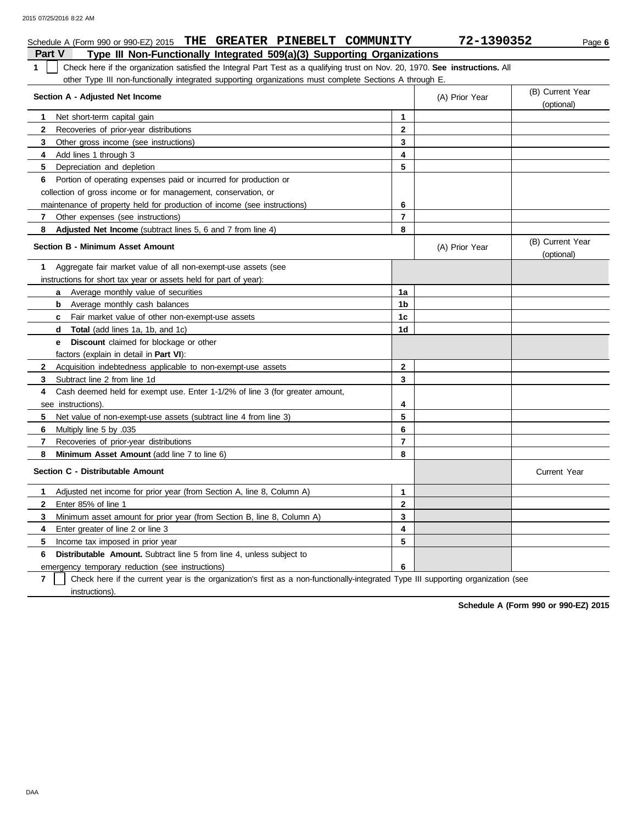| Schedule A (Form 990 or 990-EZ) 2015 THE GREATER PINEBELT COMMUNITY                                                                           |                | 72-1390352     | Page 6                         |
|-----------------------------------------------------------------------------------------------------------------------------------------------|----------------|----------------|--------------------------------|
| Type III Non-Functionally Integrated 509(a)(3) Supporting Organizations<br><b>Part V</b>                                                      |                |                |                                |
| Check here if the organization satisfied the Integral Part Test as a qualifying trust on Nov. 20, 1970. See instructions. All<br>$\mathbf{1}$ |                |                |                                |
| other Type III non-functionally integrated supporting organizations must complete Sections A through E.                                       |                |                |                                |
| Section A - Adjusted Net Income                                                                                                               |                | (A) Prior Year | (B) Current Year<br>(optional) |
| 1<br>Net short-term capital gain                                                                                                              | $\mathbf{1}$   |                |                                |
| $\mathbf{2}$<br>Recoveries of prior-year distributions                                                                                        | $\mathbf 2$    |                |                                |
| 3<br>Other gross income (see instructions)                                                                                                    | 3              |                |                                |
| Add lines 1 through 3<br>4                                                                                                                    | 4              |                |                                |
| 5<br>Depreciation and depletion                                                                                                               | 5              |                |                                |
| 6<br>Portion of operating expenses paid or incurred for production or                                                                         |                |                |                                |
| collection of gross income or for management, conservation, or                                                                                |                |                |                                |
| maintenance of property held for production of income (see instructions)                                                                      | 6              |                |                                |
| Other expenses (see instructions)<br>7                                                                                                        | $\overline{7}$ |                |                                |
| 8<br><b>Adjusted Net Income</b> (subtract lines 5, 6 and 7 from line 4)                                                                       | 8              |                |                                |
| <b>Section B - Minimum Asset Amount</b>                                                                                                       |                | (A) Prior Year | (B) Current Year<br>(optional) |
| Aggregate fair market value of all non-exempt-use assets (see<br>1                                                                            |                |                |                                |
| instructions for short tax year or assets held for part of year):                                                                             |                |                |                                |
| <b>a</b> Average monthly value of securities                                                                                                  | 1a             |                |                                |
| <b>b</b> Average monthly cash balances                                                                                                        | 1b             |                |                                |
| Fair market value of other non-exempt-use assets<br>c                                                                                         | 1 <sub>c</sub> |                |                                |
| <b>Total</b> (add lines 1a, 1b, and 1c)<br>d                                                                                                  | 1 <sub>d</sub> |                |                                |
| Discount claimed for blockage or other<br>е                                                                                                   |                |                |                                |
| factors (explain in detail in Part VI):                                                                                                       |                |                |                                |
| $\mathbf{2}$<br>Acquisition indebtedness applicable to non-exempt-use assets                                                                  | $\mathbf{2}$   |                |                                |
| 3<br>Subtract line 2 from line 1d                                                                                                             | 3              |                |                                |
| Cash deemed held for exempt use. Enter 1-1/2% of line 3 (for greater amount,<br>4                                                             |                |                |                                |
| see instructions).                                                                                                                            | 4              |                |                                |
| 5<br>Net value of non-exempt-use assets (subtract line 4 from line 3)                                                                         | 5              |                |                                |
| Multiply line 5 by .035<br>6                                                                                                                  | 6              |                |                                |
| 7<br>Recoveries of prior-year distributions                                                                                                   | $\overline{7}$ |                |                                |
| 8<br>Minimum Asset Amount (add line 7 to line 6)                                                                                              | 8              |                |                                |
| Section C - Distributable Amount                                                                                                              |                |                | <b>Current Year</b>            |
| Adjusted net income for prior year (from Section A, line 8, Column A)<br>1                                                                    | 1              |                |                                |
| $\mathbf{2}$<br>Enter 85% of line 1                                                                                                           | $\mathbf{2}$   |                |                                |
| 3<br>Minimum asset amount for prior year (from Section B, line 8, Column A)                                                                   | 3              |                |                                |
| 4<br>Enter greater of line 2 or line 3                                                                                                        | 4              |                |                                |
| 5<br>Income tax imposed in prior year                                                                                                         | 5              |                |                                |
| 6<br><b>Distributable Amount.</b> Subtract line 5 from line 4, unless subject to                                                              |                |                |                                |
| emergency temporary reduction (see instructions)                                                                                              | 6              |                |                                |

**7** Check here if the current year is the organization's first as a non-functionally-integrated Type III supporting organization (see instructions).

**Schedule A (Form 990 or 990-EZ) 2015**

DAA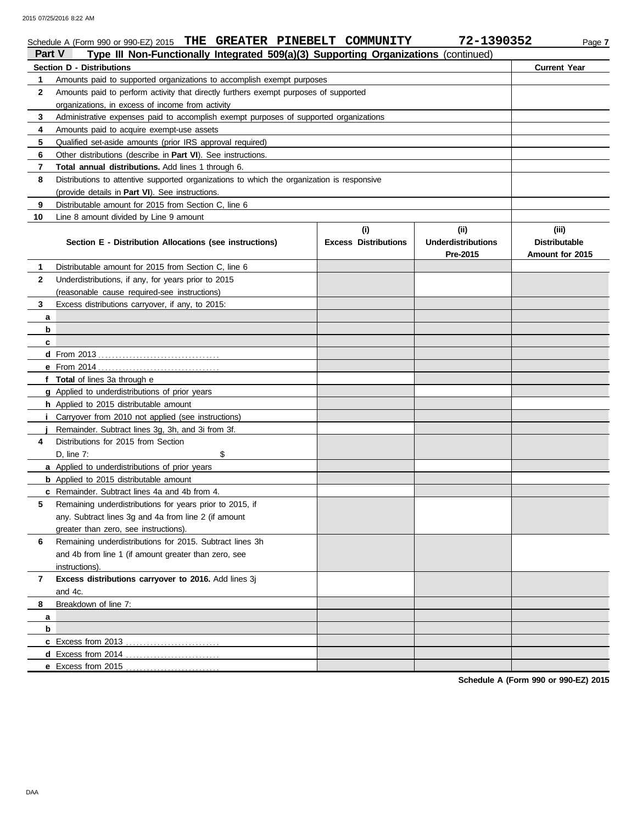|                   | Schedule A (Form 990 or 990-EZ) 2015 THE GREATER PINEBELT COMMUNITY                                                                                           |                             | 72-1390352                | Page 7                               |  |  |  |  |  |  |
|-------------------|---------------------------------------------------------------------------------------------------------------------------------------------------------------|-----------------------------|---------------------------|--------------------------------------|--|--|--|--|--|--|
| Part V            | Type III Non-Functionally Integrated 509(a)(3) Supporting Organizations (continued)                                                                           |                             |                           |                                      |  |  |  |  |  |  |
| 1                 | Section D - Distributions                                                                                                                                     |                             |                           | <b>Current Year</b>                  |  |  |  |  |  |  |
| $\mathbf{2}$      | Amounts paid to supported organizations to accomplish exempt purposes<br>Amounts paid to perform activity that directly furthers exempt purposes of supported |                             |                           |                                      |  |  |  |  |  |  |
|                   | organizations, in excess of income from activity                                                                                                              |                             |                           |                                      |  |  |  |  |  |  |
| 3                 | Administrative expenses paid to accomplish exempt purposes of supported organizations                                                                         |                             |                           |                                      |  |  |  |  |  |  |
| 4                 | Amounts paid to acquire exempt-use assets                                                                                                                     |                             |                           |                                      |  |  |  |  |  |  |
| 5                 | Qualified set-aside amounts (prior IRS approval required)                                                                                                     |                             |                           |                                      |  |  |  |  |  |  |
| 6                 | Other distributions (describe in Part VI). See instructions.                                                                                                  |                             |                           |                                      |  |  |  |  |  |  |
| 7                 | Total annual distributions. Add lines 1 through 6.                                                                                                            |                             |                           |                                      |  |  |  |  |  |  |
| 8                 | Distributions to attentive supported organizations to which the organization is responsive                                                                    |                             |                           |                                      |  |  |  |  |  |  |
|                   | (provide details in Part VI). See instructions.                                                                                                               |                             |                           |                                      |  |  |  |  |  |  |
| 9                 | Distributable amount for 2015 from Section C, line 6                                                                                                          |                             |                           |                                      |  |  |  |  |  |  |
|                   |                                                                                                                                                               |                             |                           |                                      |  |  |  |  |  |  |
| 10                | Line 8 amount divided by Line 9 amount                                                                                                                        |                             | (ii)                      | (iii)                                |  |  |  |  |  |  |
|                   |                                                                                                                                                               | (i)                         | <b>Underdistributions</b> | <b>Distributable</b>                 |  |  |  |  |  |  |
|                   | Section E - Distribution Allocations (see instructions)                                                                                                       | <b>Excess Distributions</b> | Pre-2015                  | Amount for 2015                      |  |  |  |  |  |  |
|                   | Distributable amount for 2015 from Section C, line 6                                                                                                          |                             |                           |                                      |  |  |  |  |  |  |
| 1<br>$\mathbf{2}$ | Underdistributions, if any, for years prior to 2015                                                                                                           |                             |                           |                                      |  |  |  |  |  |  |
|                   | (reasonable cause required-see instructions)                                                                                                                  |                             |                           |                                      |  |  |  |  |  |  |
| 3                 |                                                                                                                                                               |                             |                           |                                      |  |  |  |  |  |  |
|                   | Excess distributions carryover, if any, to 2015:                                                                                                              |                             |                           |                                      |  |  |  |  |  |  |
| a<br>b            |                                                                                                                                                               |                             |                           |                                      |  |  |  |  |  |  |
|                   |                                                                                                                                                               |                             |                           |                                      |  |  |  |  |  |  |
| c                 |                                                                                                                                                               |                             |                           |                                      |  |  |  |  |  |  |
|                   |                                                                                                                                                               |                             |                           |                                      |  |  |  |  |  |  |
|                   |                                                                                                                                                               |                             |                           |                                      |  |  |  |  |  |  |
|                   | f Total of lines 3a through e                                                                                                                                 |                             |                           |                                      |  |  |  |  |  |  |
|                   | g Applied to underdistributions of prior years                                                                                                                |                             |                           |                                      |  |  |  |  |  |  |
|                   | h Applied to 2015 distributable amount                                                                                                                        |                             |                           |                                      |  |  |  |  |  |  |
|                   | Carryover from 2010 not applied (see instructions)                                                                                                            |                             |                           |                                      |  |  |  |  |  |  |
|                   | Remainder. Subtract lines 3g, 3h, and 3i from 3f.<br>Distributions for 2015 from Section                                                                      |                             |                           |                                      |  |  |  |  |  |  |
| 4                 |                                                                                                                                                               |                             |                           |                                      |  |  |  |  |  |  |
|                   | D, line 7:<br>\$                                                                                                                                              |                             |                           |                                      |  |  |  |  |  |  |
|                   | a Applied to underdistributions of prior years                                                                                                                |                             |                           |                                      |  |  |  |  |  |  |
|                   | <b>b</b> Applied to 2015 distributable amount                                                                                                                 |                             |                           |                                      |  |  |  |  |  |  |
|                   | c Remainder. Subtract lines 4a and 4b from 4.                                                                                                                 |                             |                           |                                      |  |  |  |  |  |  |
|                   | Remaining underdistributions for years prior to 2015, if                                                                                                      |                             |                           |                                      |  |  |  |  |  |  |
|                   | any. Subtract lines 3g and 4a from line 2 (if amount                                                                                                          |                             |                           |                                      |  |  |  |  |  |  |
|                   | greater than zero, see instructions).                                                                                                                         |                             |                           |                                      |  |  |  |  |  |  |
| 6                 | Remaining underdistributions for 2015. Subtract lines 3h                                                                                                      |                             |                           |                                      |  |  |  |  |  |  |
|                   | and 4b from line 1 (if amount greater than zero, see                                                                                                          |                             |                           |                                      |  |  |  |  |  |  |
|                   | instructions).                                                                                                                                                |                             |                           |                                      |  |  |  |  |  |  |
| 7                 | Excess distributions carryover to 2016. Add lines 3j                                                                                                          |                             |                           |                                      |  |  |  |  |  |  |
|                   | and 4c.                                                                                                                                                       |                             |                           |                                      |  |  |  |  |  |  |
| 8                 | Breakdown of line 7:                                                                                                                                          |                             |                           |                                      |  |  |  |  |  |  |
| a                 |                                                                                                                                                               |                             |                           |                                      |  |  |  |  |  |  |
| b                 |                                                                                                                                                               |                             |                           |                                      |  |  |  |  |  |  |
|                   | <b>c</b> Excess from 2013                                                                                                                                     |                             |                           |                                      |  |  |  |  |  |  |
|                   | <b>d</b> Excess from 2014<br>.                                                                                                                                |                             |                           |                                      |  |  |  |  |  |  |
|                   | e Excess from 2015                                                                                                                                            |                             |                           | Schodule A (Form 000 or 000-F7) 2015 |  |  |  |  |  |  |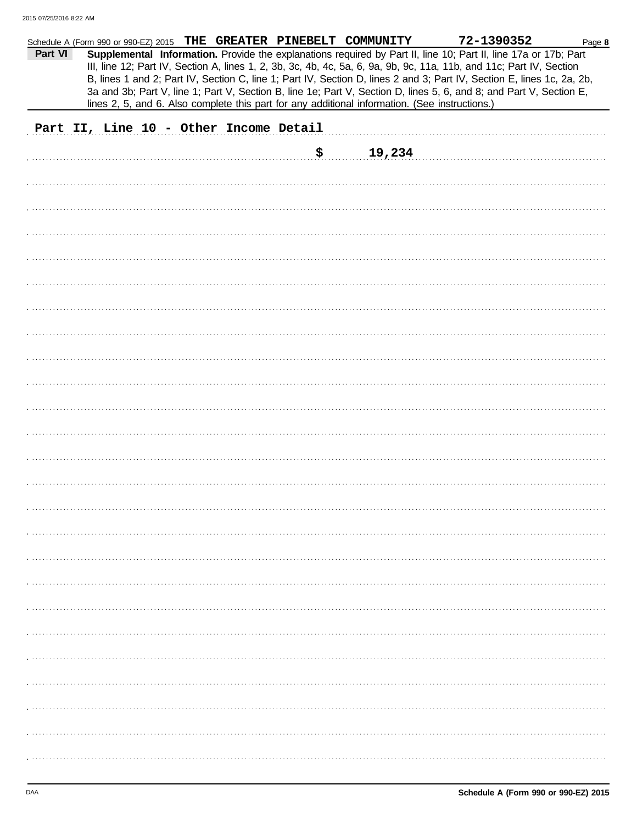|         |                                        |  | Schedule A (Form 990 or 990-EZ) 2015 THE GREATER PINEBELT COMMUNITY                            | 72-1390352                                                                                                                                                                                                                                                                                                                                                        | Page 8 |
|---------|----------------------------------------|--|------------------------------------------------------------------------------------------------|-------------------------------------------------------------------------------------------------------------------------------------------------------------------------------------------------------------------------------------------------------------------------------------------------------------------------------------------------------------------|--------|
| Part VI |                                        |  |                                                                                                | Supplemental Information. Provide the explanations required by Part II, line 10; Part II, line 17a or 17b; Part<br>III, line 12; Part IV, Section A, lines 1, 2, 3b, 3c, 4b, 4c, 5a, 6, 9a, 9b, 9c, 11a, 11b, and 11c; Part IV, Section<br>B, lines 1 and 2; Part IV, Section C, line 1; Part IV, Section D, lines 2 and 3; Part IV, Section E, lines 1c, 2a, 2b, |        |
|         |                                        |  | lines 2, 5, and 6. Also complete this part for any additional information. (See instructions.) | 3a and 3b; Part V, line 1; Part V, Section B, line 1e; Part V, Section D, lines 5, 6, and 8; and Part V, Section E,                                                                                                                                                                                                                                               |        |
|         | Part II, Line 10 - Other Income Detail |  |                                                                                                |                                                                                                                                                                                                                                                                                                                                                                   |        |
|         |                                        |  | \$<br>19,234                                                                                   |                                                                                                                                                                                                                                                                                                                                                                   |        |
|         |                                        |  |                                                                                                |                                                                                                                                                                                                                                                                                                                                                                   |        |
|         |                                        |  |                                                                                                |                                                                                                                                                                                                                                                                                                                                                                   |        |
|         |                                        |  |                                                                                                |                                                                                                                                                                                                                                                                                                                                                                   |        |
|         |                                        |  |                                                                                                |                                                                                                                                                                                                                                                                                                                                                                   |        |
|         |                                        |  |                                                                                                |                                                                                                                                                                                                                                                                                                                                                                   |        |
|         |                                        |  |                                                                                                |                                                                                                                                                                                                                                                                                                                                                                   |        |
|         |                                        |  |                                                                                                |                                                                                                                                                                                                                                                                                                                                                                   |        |
|         |                                        |  |                                                                                                |                                                                                                                                                                                                                                                                                                                                                                   |        |
|         |                                        |  |                                                                                                |                                                                                                                                                                                                                                                                                                                                                                   |        |
|         |                                        |  |                                                                                                |                                                                                                                                                                                                                                                                                                                                                                   |        |
|         |                                        |  |                                                                                                |                                                                                                                                                                                                                                                                                                                                                                   |        |
|         |                                        |  |                                                                                                |                                                                                                                                                                                                                                                                                                                                                                   |        |
|         |                                        |  |                                                                                                |                                                                                                                                                                                                                                                                                                                                                                   |        |
|         |                                        |  |                                                                                                |                                                                                                                                                                                                                                                                                                                                                                   |        |
|         |                                        |  |                                                                                                |                                                                                                                                                                                                                                                                                                                                                                   |        |
|         |                                        |  |                                                                                                |                                                                                                                                                                                                                                                                                                                                                                   |        |
|         |                                        |  |                                                                                                |                                                                                                                                                                                                                                                                                                                                                                   |        |
|         |                                        |  |                                                                                                |                                                                                                                                                                                                                                                                                                                                                                   |        |
|         |                                        |  |                                                                                                |                                                                                                                                                                                                                                                                                                                                                                   |        |
|         |                                        |  |                                                                                                |                                                                                                                                                                                                                                                                                                                                                                   |        |
|         |                                        |  |                                                                                                |                                                                                                                                                                                                                                                                                                                                                                   |        |
|         |                                        |  |                                                                                                |                                                                                                                                                                                                                                                                                                                                                                   |        |
|         |                                        |  |                                                                                                |                                                                                                                                                                                                                                                                                                                                                                   |        |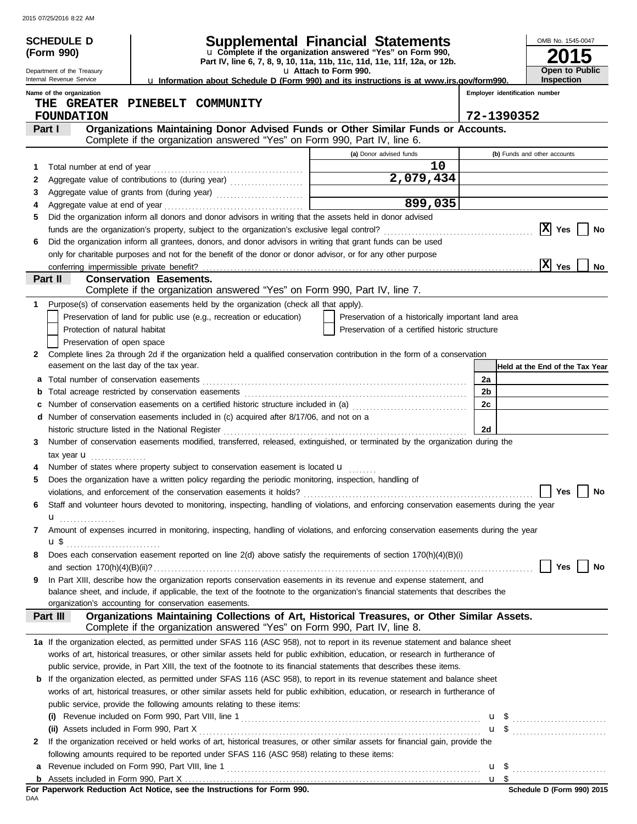|   | <b>SCHEDULE D</b>                                   |                                                                                                                                                                                                                                                              | <b>Supplemental Financial Statements</b>                                                          |                | OMB No. 1545-0047               |
|---|-----------------------------------------------------|--------------------------------------------------------------------------------------------------------------------------------------------------------------------------------------------------------------------------------------------------------------|---------------------------------------------------------------------------------------------------|----------------|---------------------------------|
|   | (Form 990)                                          |                                                                                                                                                                                                                                                              | u Complete if the organization answered "Yes" on Form 990,                                        |                |                                 |
|   | Department of the Treasury                          |                                                                                                                                                                                                                                                              | Part IV, line 6, 7, 8, 9, 10, 11a, 11b, 11c, 11d, 11e, 11f, 12a, or 12b.<br>u Attach to Form 990. |                | Open to Public                  |
|   | Internal Revenue Service                            | La Information about Schedule D (Form 990) and its instructions is at www.irs.gov/form990.                                                                                                                                                                   | <b>Inspection</b>                                                                                 |                |                                 |
|   | Name of the organization                            | Employer identification number                                                                                                                                                                                                                               |                                                                                                   |                |                                 |
|   | THE GREATER PINEBELT COMMUNITY<br><b>FOUNDATION</b> | 72-1390352                                                                                                                                                                                                                                                   |                                                                                                   |                |                                 |
|   | Part I                                              | Organizations Maintaining Donor Advised Funds or Other Similar Funds or Accounts.                                                                                                                                                                            |                                                                                                   |                |                                 |
|   |                                                     | Complete if the organization answered "Yes" on Form 990, Part IV, line 6.                                                                                                                                                                                    |                                                                                                   |                |                                 |
|   |                                                     |                                                                                                                                                                                                                                                              | (a) Donor advised funds                                                                           |                | (b) Funds and other accounts    |
| 1 | Total number at end of year                         |                                                                                                                                                                                                                                                              | 10                                                                                                |                |                                 |
| 2 |                                                     |                                                                                                                                                                                                                                                              | 2,079,434                                                                                         |                |                                 |
| 3 |                                                     |                                                                                                                                                                                                                                                              |                                                                                                   |                |                                 |
| 4 |                                                     |                                                                                                                                                                                                                                                              | 899,035                                                                                           |                |                                 |
| 5 |                                                     | Did the organization inform all donors and donor advisors in writing that the assets held in donor advised                                                                                                                                                   |                                                                                                   |                | $ X $ Yes                       |
| 6 |                                                     | Did the organization inform all grantees, donors, and donor advisors in writing that grant funds can be used                                                                                                                                                 |                                                                                                   |                | No                              |
|   |                                                     | only for charitable purposes and not for the benefit of the donor or donor advisor, or for any other purpose                                                                                                                                                 |                                                                                                   |                |                                 |
|   |                                                     |                                                                                                                                                                                                                                                              |                                                                                                   |                | $ \bar{\mathbf{X}} $ Yes<br>No  |
|   | Part II                                             | <b>Conservation Easements.</b>                                                                                                                                                                                                                               |                                                                                                   |                |                                 |
|   |                                                     | Complete if the organization answered "Yes" on Form 990, Part IV, line 7.                                                                                                                                                                                    |                                                                                                   |                |                                 |
|   |                                                     | Purpose(s) of conservation easements held by the organization (check all that apply).                                                                                                                                                                        |                                                                                                   |                |                                 |
|   |                                                     | Preservation of land for public use (e.g., recreation or education)                                                                                                                                                                                          | Preservation of a historically important land area                                                |                |                                 |
|   | Protection of natural habitat                       |                                                                                                                                                                                                                                                              | Preservation of a certified historic structure                                                    |                |                                 |
|   | Preservation of open space                          |                                                                                                                                                                                                                                                              |                                                                                                   |                |                                 |
| 2 | easement on the last day of the tax year.           | Complete lines 2a through 2d if the organization held a qualified conservation contribution in the form of a conservation                                                                                                                                    |                                                                                                   |                | Held at the End of the Tax Year |
| a |                                                     |                                                                                                                                                                                                                                                              |                                                                                                   | 2a             |                                 |
|   |                                                     |                                                                                                                                                                                                                                                              |                                                                                                   | 2 <sub>b</sub> |                                 |
| c |                                                     | Number of conservation easements on a certified historic structure included in (a) [[[[[ [ [ ]]]                                                                                                                                                             |                                                                                                   | 2c             |                                 |
|   |                                                     | d Number of conservation easements included in (c) acquired after 8/17/06, and not on a                                                                                                                                                                      |                                                                                                   |                |                                 |
|   |                                                     | historic structure listed in the National Register                                                                                                                                                                                                           |                                                                                                   | 2d             |                                 |
| 3 |                                                     | Number of conservation easements modified, transferred, released, extinguished, or terminated by the organization during the                                                                                                                                 |                                                                                                   |                |                                 |
|   | tax year <b>u</b>                                   | Number of states where property subject to conservation easement is located u                                                                                                                                                                                |                                                                                                   |                |                                 |
| 5 |                                                     | Does the organization have a written policy regarding the periodic monitoring, inspection, handling of                                                                                                                                                       |                                                                                                   |                |                                 |
|   |                                                     |                                                                                                                                                                                                                                                              |                                                                                                   |                | $\Box$ Yes $\Box$ No            |
| 6 |                                                     | Staff and volunteer hours devoted to monitoring, inspecting, handling of violations, and enforcing conservation easements during the year                                                                                                                    |                                                                                                   |                |                                 |
|   | u <sub></sub>                                       |                                                                                                                                                                                                                                                              |                                                                                                   |                |                                 |
| 7 |                                                     | Amount of expenses incurred in monitoring, inspecting, handling of violations, and enforcing conservation easements during the year                                                                                                                          |                                                                                                   |                |                                 |
|   |                                                     |                                                                                                                                                                                                                                                              |                                                                                                   |                |                                 |
| 8 |                                                     | Does each conservation easement reported on line 2(d) above satisfy the requirements of section 170(h)(4)(B)(i)                                                                                                                                              |                                                                                                   |                |                                 |
|   |                                                     |                                                                                                                                                                                                                                                              |                                                                                                   |                | Yes<br>No                       |
| 9 |                                                     | In Part XIII, describe how the organization reports conservation easements in its revenue and expense statement, and                                                                                                                                         |                                                                                                   |                |                                 |
|   |                                                     | balance sheet, and include, if applicable, the text of the footnote to the organization's financial statements that describes the<br>organization's accounting for conservation easements.                                                                   |                                                                                                   |                |                                 |
|   | Part III                                            | Organizations Maintaining Collections of Art, Historical Treasures, or Other Similar Assets.                                                                                                                                                                 |                                                                                                   |                |                                 |
|   |                                                     | Complete if the organization answered "Yes" on Form 990, Part IV, line 8.                                                                                                                                                                                    |                                                                                                   |                |                                 |
|   |                                                     | 1a If the organization elected, as permitted under SFAS 116 (ASC 958), not to report in its revenue statement and balance sheet                                                                                                                              |                                                                                                   |                |                                 |
|   |                                                     | works of art, historical treasures, or other similar assets held for public exhibition, education, or research in furtherance of                                                                                                                             |                                                                                                   |                |                                 |
|   |                                                     | public service, provide, in Part XIII, the text of the footnote to its financial statements that describes these items.<br><b>b</b> If the organization elected, as permitted under SFAS 116 (ASC 958), to report in its revenue statement and balance sheet |                                                                                                   |                |                                 |
|   |                                                     | works of art, historical treasures, or other similar assets held for public exhibition, education, or research in furtherance of                                                                                                                             |                                                                                                   |                |                                 |
|   |                                                     | public service, provide the following amounts relating to these items:                                                                                                                                                                                       |                                                                                                   |                |                                 |
|   |                                                     |                                                                                                                                                                                                                                                              |                                                                                                   |                | $\mathbf{u}$ \$                 |
|   | (ii) Assets included in Form 990, Part X            |                                                                                                                                                                                                                                                              |                                                                                                   |                |                                 |
| 2 |                                                     | If the organization received or held works of art, historical treasures, or other similar assets for financial gain, provide the                                                                                                                             |                                                                                                   |                |                                 |
|   |                                                     | following amounts required to be reported under SFAS 116 (ASC 958) relating to these items:                                                                                                                                                                  |                                                                                                   |                |                                 |
| а |                                                     |                                                                                                                                                                                                                                                              |                                                                                                   |                |                                 |
|   |                                                     |                                                                                                                                                                                                                                                              |                                                                                                   |                |                                 |

For Paperwork Reduction Act Notice, see the Instructions for Form 990.<br><sub>DAA</sub>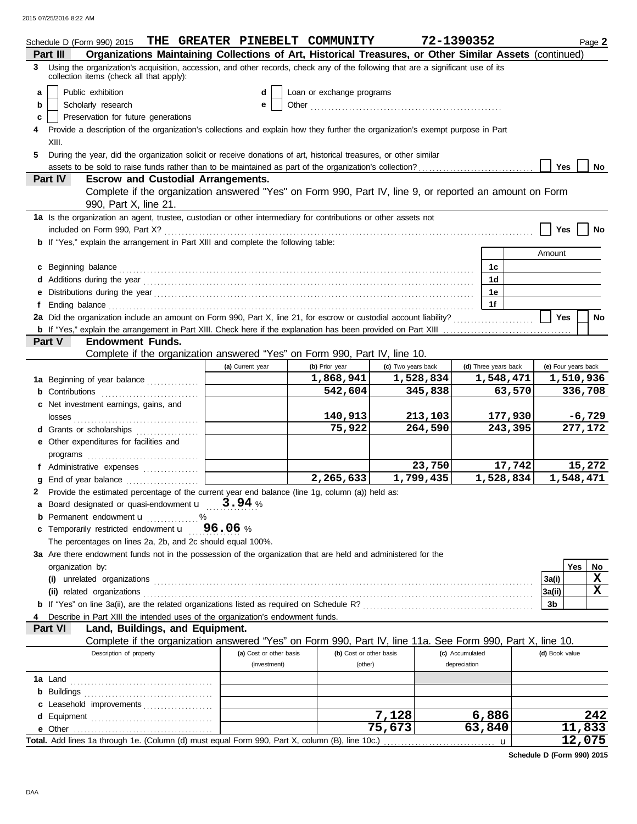| Organizations Maintaining Collections of Art, Historical Treasures, or Other Similar Assets (continued)<br>Part III<br>3 Using the organization's acquisition, accession, and other records, check any of the following that are a significant use of its<br>collection items (check all that apply):<br>Public exhibition<br>Loan or exchange programs<br>a<br>d<br>Scholarly research<br>b<br>е<br>Preservation for future generations<br>c<br>Provide a description of the organization's collections and explain how they further the organization's exempt purpose in Part<br>XIII.<br>During the year, did the organization solicit or receive donations of art, historical treasures, or other similar<br>5.<br><b>Yes</b><br>assets to be sold to raise funds rather than to be maintained as part of the organization's collection?<br>No<br>Part IV<br><b>Escrow and Custodial Arrangements.</b><br>Complete if the organization answered "Yes" on Form 990, Part IV, line 9, or reported an amount on Form<br>990, Part X, line 21.<br>1a Is the organization an agent, trustee, custodian or other intermediary for contributions or other assets not<br><b>Yes</b><br>No<br><b>b</b> If "Yes," explain the arrangement in Part XIII and complete the following table:<br>Amount<br>c Beginning balance <b>contract to the contract of the contract of the contract of the contract of the contract of the contract of the contract of the contract of the contract of the contract of the contract of the contract </b><br>1с<br>1 <sub>d</sub><br>1e<br>1f<br>Ending balance contains and account of the contact of the contact of the contact of the contact of the contact of the contact of the contact of the contact of the contact of the contact of the contact of the contact of the<br>2a Did the organization include an amount on Form 990, Part X, line 21, for escrow or custodial account liability?<br><b>Yes</b><br>No<br>Part V<br><b>Endowment Funds.</b><br>Complete if the organization answered "Yes" on Form 990, Part IV, line 10.<br>(c) Two years back<br>(d) Three years back<br>(e) Four years back<br>(a) Current year<br>(b) Prior year<br>1,868,941<br>1,528,834<br>1,548,471<br>1,510,936<br>1a Beginning of year balance<br>542,604<br>345,838<br>63,570<br>336,708<br>c Net investment earnings, gains, and<br>140,913<br>$-6,729$<br>213,103<br>177,930<br>75,922<br>264,590<br>243,395<br>277,172<br>d Grants or scholarships<br>e Other expenditures for facilities and<br>23,750<br>17,742<br>15,272<br>f Administrative expenses  <br>1,799,435<br>2,265,633<br>1,528,834<br>1,548,471<br>Provide the estimated percentage of the current year end balance (line 1g, column (a)) held as:<br>a Board designated or quasi-endowment $\mathbf{u} = 3.94$ %<br><b>b</b> Permanent endowment <b>u</b><br>. %<br>c Temporarily restricted endowment $\mathbf{u} = 96.06$ % |
|---------------------------------------------------------------------------------------------------------------------------------------------------------------------------------------------------------------------------------------------------------------------------------------------------------------------------------------------------------------------------------------------------------------------------------------------------------------------------------------------------------------------------------------------------------------------------------------------------------------------------------------------------------------------------------------------------------------------------------------------------------------------------------------------------------------------------------------------------------------------------------------------------------------------------------------------------------------------------------------------------------------------------------------------------------------------------------------------------------------------------------------------------------------------------------------------------------------------------------------------------------------------------------------------------------------------------------------------------------------------------------------------------------------------------------------------------------------------------------------------------------------------------------------------------------------------------------------------------------------------------------------------------------------------------------------------------------------------------------------------------------------------------------------------------------------------------------------------------------------------------------------------------------------------------------------------------------------------------------------------------------------------------------------------------------------------------------------------------------------------------------------------------------------------------------------------------------------------------------------------------------------------------------------------------------------------------------------------------------------------------------------------------------------------------------------------------------------------------------------------------------------------------------------------------------------------------------------------------------------------------------------------------------------------------------------------------------------------------------------------------------------------------------------------------------------------------------------------------------------------------------------------------------------------------|
|                                                                                                                                                                                                                                                                                                                                                                                                                                                                                                                                                                                                                                                                                                                                                                                                                                                                                                                                                                                                                                                                                                                                                                                                                                                                                                                                                                                                                                                                                                                                                                                                                                                                                                                                                                                                                                                                                                                                                                                                                                                                                                                                                                                                                                                                                                                                                                                                                                                                                                                                                                                                                                                                                                                                                                                                                                                                                                                           |
|                                                                                                                                                                                                                                                                                                                                                                                                                                                                                                                                                                                                                                                                                                                                                                                                                                                                                                                                                                                                                                                                                                                                                                                                                                                                                                                                                                                                                                                                                                                                                                                                                                                                                                                                                                                                                                                                                                                                                                                                                                                                                                                                                                                                                                                                                                                                                                                                                                                                                                                                                                                                                                                                                                                                                                                                                                                                                                                           |
|                                                                                                                                                                                                                                                                                                                                                                                                                                                                                                                                                                                                                                                                                                                                                                                                                                                                                                                                                                                                                                                                                                                                                                                                                                                                                                                                                                                                                                                                                                                                                                                                                                                                                                                                                                                                                                                                                                                                                                                                                                                                                                                                                                                                                                                                                                                                                                                                                                                                                                                                                                                                                                                                                                                                                                                                                                                                                                                           |
|                                                                                                                                                                                                                                                                                                                                                                                                                                                                                                                                                                                                                                                                                                                                                                                                                                                                                                                                                                                                                                                                                                                                                                                                                                                                                                                                                                                                                                                                                                                                                                                                                                                                                                                                                                                                                                                                                                                                                                                                                                                                                                                                                                                                                                                                                                                                                                                                                                                                                                                                                                                                                                                                                                                                                                                                                                                                                                                           |
|                                                                                                                                                                                                                                                                                                                                                                                                                                                                                                                                                                                                                                                                                                                                                                                                                                                                                                                                                                                                                                                                                                                                                                                                                                                                                                                                                                                                                                                                                                                                                                                                                                                                                                                                                                                                                                                                                                                                                                                                                                                                                                                                                                                                                                                                                                                                                                                                                                                                                                                                                                                                                                                                                                                                                                                                                                                                                                                           |
|                                                                                                                                                                                                                                                                                                                                                                                                                                                                                                                                                                                                                                                                                                                                                                                                                                                                                                                                                                                                                                                                                                                                                                                                                                                                                                                                                                                                                                                                                                                                                                                                                                                                                                                                                                                                                                                                                                                                                                                                                                                                                                                                                                                                                                                                                                                                                                                                                                                                                                                                                                                                                                                                                                                                                                                                                                                                                                                           |
|                                                                                                                                                                                                                                                                                                                                                                                                                                                                                                                                                                                                                                                                                                                                                                                                                                                                                                                                                                                                                                                                                                                                                                                                                                                                                                                                                                                                                                                                                                                                                                                                                                                                                                                                                                                                                                                                                                                                                                                                                                                                                                                                                                                                                                                                                                                                                                                                                                                                                                                                                                                                                                                                                                                                                                                                                                                                                                                           |
|                                                                                                                                                                                                                                                                                                                                                                                                                                                                                                                                                                                                                                                                                                                                                                                                                                                                                                                                                                                                                                                                                                                                                                                                                                                                                                                                                                                                                                                                                                                                                                                                                                                                                                                                                                                                                                                                                                                                                                                                                                                                                                                                                                                                                                                                                                                                                                                                                                                                                                                                                                                                                                                                                                                                                                                                                                                                                                                           |
|                                                                                                                                                                                                                                                                                                                                                                                                                                                                                                                                                                                                                                                                                                                                                                                                                                                                                                                                                                                                                                                                                                                                                                                                                                                                                                                                                                                                                                                                                                                                                                                                                                                                                                                                                                                                                                                                                                                                                                                                                                                                                                                                                                                                                                                                                                                                                                                                                                                                                                                                                                                                                                                                                                                                                                                                                                                                                                                           |
|                                                                                                                                                                                                                                                                                                                                                                                                                                                                                                                                                                                                                                                                                                                                                                                                                                                                                                                                                                                                                                                                                                                                                                                                                                                                                                                                                                                                                                                                                                                                                                                                                                                                                                                                                                                                                                                                                                                                                                                                                                                                                                                                                                                                                                                                                                                                                                                                                                                                                                                                                                                                                                                                                                                                                                                                                                                                                                                           |
|                                                                                                                                                                                                                                                                                                                                                                                                                                                                                                                                                                                                                                                                                                                                                                                                                                                                                                                                                                                                                                                                                                                                                                                                                                                                                                                                                                                                                                                                                                                                                                                                                                                                                                                                                                                                                                                                                                                                                                                                                                                                                                                                                                                                                                                                                                                                                                                                                                                                                                                                                                                                                                                                                                                                                                                                                                                                                                                           |
|                                                                                                                                                                                                                                                                                                                                                                                                                                                                                                                                                                                                                                                                                                                                                                                                                                                                                                                                                                                                                                                                                                                                                                                                                                                                                                                                                                                                                                                                                                                                                                                                                                                                                                                                                                                                                                                                                                                                                                                                                                                                                                                                                                                                                                                                                                                                                                                                                                                                                                                                                                                                                                                                                                                                                                                                                                                                                                                           |
|                                                                                                                                                                                                                                                                                                                                                                                                                                                                                                                                                                                                                                                                                                                                                                                                                                                                                                                                                                                                                                                                                                                                                                                                                                                                                                                                                                                                                                                                                                                                                                                                                                                                                                                                                                                                                                                                                                                                                                                                                                                                                                                                                                                                                                                                                                                                                                                                                                                                                                                                                                                                                                                                                                                                                                                                                                                                                                                           |
|                                                                                                                                                                                                                                                                                                                                                                                                                                                                                                                                                                                                                                                                                                                                                                                                                                                                                                                                                                                                                                                                                                                                                                                                                                                                                                                                                                                                                                                                                                                                                                                                                                                                                                                                                                                                                                                                                                                                                                                                                                                                                                                                                                                                                                                                                                                                                                                                                                                                                                                                                                                                                                                                                                                                                                                                                                                                                                                           |
|                                                                                                                                                                                                                                                                                                                                                                                                                                                                                                                                                                                                                                                                                                                                                                                                                                                                                                                                                                                                                                                                                                                                                                                                                                                                                                                                                                                                                                                                                                                                                                                                                                                                                                                                                                                                                                                                                                                                                                                                                                                                                                                                                                                                                                                                                                                                                                                                                                                                                                                                                                                                                                                                                                                                                                                                                                                                                                                           |
|                                                                                                                                                                                                                                                                                                                                                                                                                                                                                                                                                                                                                                                                                                                                                                                                                                                                                                                                                                                                                                                                                                                                                                                                                                                                                                                                                                                                                                                                                                                                                                                                                                                                                                                                                                                                                                                                                                                                                                                                                                                                                                                                                                                                                                                                                                                                                                                                                                                                                                                                                                                                                                                                                                                                                                                                                                                                                                                           |
|                                                                                                                                                                                                                                                                                                                                                                                                                                                                                                                                                                                                                                                                                                                                                                                                                                                                                                                                                                                                                                                                                                                                                                                                                                                                                                                                                                                                                                                                                                                                                                                                                                                                                                                                                                                                                                                                                                                                                                                                                                                                                                                                                                                                                                                                                                                                                                                                                                                                                                                                                                                                                                                                                                                                                                                                                                                                                                                           |
|                                                                                                                                                                                                                                                                                                                                                                                                                                                                                                                                                                                                                                                                                                                                                                                                                                                                                                                                                                                                                                                                                                                                                                                                                                                                                                                                                                                                                                                                                                                                                                                                                                                                                                                                                                                                                                                                                                                                                                                                                                                                                                                                                                                                                                                                                                                                                                                                                                                                                                                                                                                                                                                                                                                                                                                                                                                                                                                           |
|                                                                                                                                                                                                                                                                                                                                                                                                                                                                                                                                                                                                                                                                                                                                                                                                                                                                                                                                                                                                                                                                                                                                                                                                                                                                                                                                                                                                                                                                                                                                                                                                                                                                                                                                                                                                                                                                                                                                                                                                                                                                                                                                                                                                                                                                                                                                                                                                                                                                                                                                                                                                                                                                                                                                                                                                                                                                                                                           |
|                                                                                                                                                                                                                                                                                                                                                                                                                                                                                                                                                                                                                                                                                                                                                                                                                                                                                                                                                                                                                                                                                                                                                                                                                                                                                                                                                                                                                                                                                                                                                                                                                                                                                                                                                                                                                                                                                                                                                                                                                                                                                                                                                                                                                                                                                                                                                                                                                                                                                                                                                                                                                                                                                                                                                                                                                                                                                                                           |
|                                                                                                                                                                                                                                                                                                                                                                                                                                                                                                                                                                                                                                                                                                                                                                                                                                                                                                                                                                                                                                                                                                                                                                                                                                                                                                                                                                                                                                                                                                                                                                                                                                                                                                                                                                                                                                                                                                                                                                                                                                                                                                                                                                                                                                                                                                                                                                                                                                                                                                                                                                                                                                                                                                                                                                                                                                                                                                                           |
|                                                                                                                                                                                                                                                                                                                                                                                                                                                                                                                                                                                                                                                                                                                                                                                                                                                                                                                                                                                                                                                                                                                                                                                                                                                                                                                                                                                                                                                                                                                                                                                                                                                                                                                                                                                                                                                                                                                                                                                                                                                                                                                                                                                                                                                                                                                                                                                                                                                                                                                                                                                                                                                                                                                                                                                                                                                                                                                           |
|                                                                                                                                                                                                                                                                                                                                                                                                                                                                                                                                                                                                                                                                                                                                                                                                                                                                                                                                                                                                                                                                                                                                                                                                                                                                                                                                                                                                                                                                                                                                                                                                                                                                                                                                                                                                                                                                                                                                                                                                                                                                                                                                                                                                                                                                                                                                                                                                                                                                                                                                                                                                                                                                                                                                                                                                                                                                                                                           |
|                                                                                                                                                                                                                                                                                                                                                                                                                                                                                                                                                                                                                                                                                                                                                                                                                                                                                                                                                                                                                                                                                                                                                                                                                                                                                                                                                                                                                                                                                                                                                                                                                                                                                                                                                                                                                                                                                                                                                                                                                                                                                                                                                                                                                                                                                                                                                                                                                                                                                                                                                                                                                                                                                                                                                                                                                                                                                                                           |
|                                                                                                                                                                                                                                                                                                                                                                                                                                                                                                                                                                                                                                                                                                                                                                                                                                                                                                                                                                                                                                                                                                                                                                                                                                                                                                                                                                                                                                                                                                                                                                                                                                                                                                                                                                                                                                                                                                                                                                                                                                                                                                                                                                                                                                                                                                                                                                                                                                                                                                                                                                                                                                                                                                                                                                                                                                                                                                                           |
|                                                                                                                                                                                                                                                                                                                                                                                                                                                                                                                                                                                                                                                                                                                                                                                                                                                                                                                                                                                                                                                                                                                                                                                                                                                                                                                                                                                                                                                                                                                                                                                                                                                                                                                                                                                                                                                                                                                                                                                                                                                                                                                                                                                                                                                                                                                                                                                                                                                                                                                                                                                                                                                                                                                                                                                                                                                                                                                           |
|                                                                                                                                                                                                                                                                                                                                                                                                                                                                                                                                                                                                                                                                                                                                                                                                                                                                                                                                                                                                                                                                                                                                                                                                                                                                                                                                                                                                                                                                                                                                                                                                                                                                                                                                                                                                                                                                                                                                                                                                                                                                                                                                                                                                                                                                                                                                                                                                                                                                                                                                                                                                                                                                                                                                                                                                                                                                                                                           |
|                                                                                                                                                                                                                                                                                                                                                                                                                                                                                                                                                                                                                                                                                                                                                                                                                                                                                                                                                                                                                                                                                                                                                                                                                                                                                                                                                                                                                                                                                                                                                                                                                                                                                                                                                                                                                                                                                                                                                                                                                                                                                                                                                                                                                                                                                                                                                                                                                                                                                                                                                                                                                                                                                                                                                                                                                                                                                                                           |
|                                                                                                                                                                                                                                                                                                                                                                                                                                                                                                                                                                                                                                                                                                                                                                                                                                                                                                                                                                                                                                                                                                                                                                                                                                                                                                                                                                                                                                                                                                                                                                                                                                                                                                                                                                                                                                                                                                                                                                                                                                                                                                                                                                                                                                                                                                                                                                                                                                                                                                                                                                                                                                                                                                                                                                                                                                                                                                                           |
|                                                                                                                                                                                                                                                                                                                                                                                                                                                                                                                                                                                                                                                                                                                                                                                                                                                                                                                                                                                                                                                                                                                                                                                                                                                                                                                                                                                                                                                                                                                                                                                                                                                                                                                                                                                                                                                                                                                                                                                                                                                                                                                                                                                                                                                                                                                                                                                                                                                                                                                                                                                                                                                                                                                                                                                                                                                                                                                           |
|                                                                                                                                                                                                                                                                                                                                                                                                                                                                                                                                                                                                                                                                                                                                                                                                                                                                                                                                                                                                                                                                                                                                                                                                                                                                                                                                                                                                                                                                                                                                                                                                                                                                                                                                                                                                                                                                                                                                                                                                                                                                                                                                                                                                                                                                                                                                                                                                                                                                                                                                                                                                                                                                                                                                                                                                                                                                                                                           |
|                                                                                                                                                                                                                                                                                                                                                                                                                                                                                                                                                                                                                                                                                                                                                                                                                                                                                                                                                                                                                                                                                                                                                                                                                                                                                                                                                                                                                                                                                                                                                                                                                                                                                                                                                                                                                                                                                                                                                                                                                                                                                                                                                                                                                                                                                                                                                                                                                                                                                                                                                                                                                                                                                                                                                                                                                                                                                                                           |
|                                                                                                                                                                                                                                                                                                                                                                                                                                                                                                                                                                                                                                                                                                                                                                                                                                                                                                                                                                                                                                                                                                                                                                                                                                                                                                                                                                                                                                                                                                                                                                                                                                                                                                                                                                                                                                                                                                                                                                                                                                                                                                                                                                                                                                                                                                                                                                                                                                                                                                                                                                                                                                                                                                                                                                                                                                                                                                                           |
|                                                                                                                                                                                                                                                                                                                                                                                                                                                                                                                                                                                                                                                                                                                                                                                                                                                                                                                                                                                                                                                                                                                                                                                                                                                                                                                                                                                                                                                                                                                                                                                                                                                                                                                                                                                                                                                                                                                                                                                                                                                                                                                                                                                                                                                                                                                                                                                                                                                                                                                                                                                                                                                                                                                                                                                                                                                                                                                           |
|                                                                                                                                                                                                                                                                                                                                                                                                                                                                                                                                                                                                                                                                                                                                                                                                                                                                                                                                                                                                                                                                                                                                                                                                                                                                                                                                                                                                                                                                                                                                                                                                                                                                                                                                                                                                                                                                                                                                                                                                                                                                                                                                                                                                                                                                                                                                                                                                                                                                                                                                                                                                                                                                                                                                                                                                                                                                                                                           |
|                                                                                                                                                                                                                                                                                                                                                                                                                                                                                                                                                                                                                                                                                                                                                                                                                                                                                                                                                                                                                                                                                                                                                                                                                                                                                                                                                                                                                                                                                                                                                                                                                                                                                                                                                                                                                                                                                                                                                                                                                                                                                                                                                                                                                                                                                                                                                                                                                                                                                                                                                                                                                                                                                                                                                                                                                                                                                                                           |
|                                                                                                                                                                                                                                                                                                                                                                                                                                                                                                                                                                                                                                                                                                                                                                                                                                                                                                                                                                                                                                                                                                                                                                                                                                                                                                                                                                                                                                                                                                                                                                                                                                                                                                                                                                                                                                                                                                                                                                                                                                                                                                                                                                                                                                                                                                                                                                                                                                                                                                                                                                                                                                                                                                                                                                                                                                                                                                                           |
|                                                                                                                                                                                                                                                                                                                                                                                                                                                                                                                                                                                                                                                                                                                                                                                                                                                                                                                                                                                                                                                                                                                                                                                                                                                                                                                                                                                                                                                                                                                                                                                                                                                                                                                                                                                                                                                                                                                                                                                                                                                                                                                                                                                                                                                                                                                                                                                                                                                                                                                                                                                                                                                                                                                                                                                                                                                                                                                           |
| The percentages on lines 2a, 2b, and 2c should equal 100%.                                                                                                                                                                                                                                                                                                                                                                                                                                                                                                                                                                                                                                                                                                                                                                                                                                                                                                                                                                                                                                                                                                                                                                                                                                                                                                                                                                                                                                                                                                                                                                                                                                                                                                                                                                                                                                                                                                                                                                                                                                                                                                                                                                                                                                                                                                                                                                                                                                                                                                                                                                                                                                                                                                                                                                                                                                                                |
| 3a Are there endowment funds not in the possession of the organization that are held and administered for the                                                                                                                                                                                                                                                                                                                                                                                                                                                                                                                                                                                                                                                                                                                                                                                                                                                                                                                                                                                                                                                                                                                                                                                                                                                                                                                                                                                                                                                                                                                                                                                                                                                                                                                                                                                                                                                                                                                                                                                                                                                                                                                                                                                                                                                                                                                                                                                                                                                                                                                                                                                                                                                                                                                                                                                                             |
| Yes<br>organization by:<br>No                                                                                                                                                                                                                                                                                                                                                                                                                                                                                                                                                                                                                                                                                                                                                                                                                                                                                                                                                                                                                                                                                                                                                                                                                                                                                                                                                                                                                                                                                                                                                                                                                                                                                                                                                                                                                                                                                                                                                                                                                                                                                                                                                                                                                                                                                                                                                                                                                                                                                                                                                                                                                                                                                                                                                                                                                                                                                             |
| X<br>3a(i)                                                                                                                                                                                                                                                                                                                                                                                                                                                                                                                                                                                                                                                                                                                                                                                                                                                                                                                                                                                                                                                                                                                                                                                                                                                                                                                                                                                                                                                                                                                                                                                                                                                                                                                                                                                                                                                                                                                                                                                                                                                                                                                                                                                                                                                                                                                                                                                                                                                                                                                                                                                                                                                                                                                                                                                                                                                                                                                |
| $\mathbf x$<br> 3a(ii)                                                                                                                                                                                                                                                                                                                                                                                                                                                                                                                                                                                                                                                                                                                                                                                                                                                                                                                                                                                                                                                                                                                                                                                                                                                                                                                                                                                                                                                                                                                                                                                                                                                                                                                                                                                                                                                                                                                                                                                                                                                                                                                                                                                                                                                                                                                                                                                                                                                                                                                                                                                                                                                                                                                                                                                                                                                                                                    |
| 3b                                                                                                                                                                                                                                                                                                                                                                                                                                                                                                                                                                                                                                                                                                                                                                                                                                                                                                                                                                                                                                                                                                                                                                                                                                                                                                                                                                                                                                                                                                                                                                                                                                                                                                                                                                                                                                                                                                                                                                                                                                                                                                                                                                                                                                                                                                                                                                                                                                                                                                                                                                                                                                                                                                                                                                                                                                                                                                                        |
| Describe in Part XIII the intended uses of the organization's endowment funds.                                                                                                                                                                                                                                                                                                                                                                                                                                                                                                                                                                                                                                                                                                                                                                                                                                                                                                                                                                                                                                                                                                                                                                                                                                                                                                                                                                                                                                                                                                                                                                                                                                                                                                                                                                                                                                                                                                                                                                                                                                                                                                                                                                                                                                                                                                                                                                                                                                                                                                                                                                                                                                                                                                                                                                                                                                            |
| Land, Buildings, and Equipment.<br>Part VI                                                                                                                                                                                                                                                                                                                                                                                                                                                                                                                                                                                                                                                                                                                                                                                                                                                                                                                                                                                                                                                                                                                                                                                                                                                                                                                                                                                                                                                                                                                                                                                                                                                                                                                                                                                                                                                                                                                                                                                                                                                                                                                                                                                                                                                                                                                                                                                                                                                                                                                                                                                                                                                                                                                                                                                                                                                                                |
| Complete if the organization answered "Yes" on Form 990, Part IV, line 11a. See Form 990, Part X, line 10.                                                                                                                                                                                                                                                                                                                                                                                                                                                                                                                                                                                                                                                                                                                                                                                                                                                                                                                                                                                                                                                                                                                                                                                                                                                                                                                                                                                                                                                                                                                                                                                                                                                                                                                                                                                                                                                                                                                                                                                                                                                                                                                                                                                                                                                                                                                                                                                                                                                                                                                                                                                                                                                                                                                                                                                                                |
| Description of property<br>(a) Cost or other basis<br>(b) Cost or other basis<br>(c) Accumulated<br>(d) Book value                                                                                                                                                                                                                                                                                                                                                                                                                                                                                                                                                                                                                                                                                                                                                                                                                                                                                                                                                                                                                                                                                                                                                                                                                                                                                                                                                                                                                                                                                                                                                                                                                                                                                                                                                                                                                                                                                                                                                                                                                                                                                                                                                                                                                                                                                                                                                                                                                                                                                                                                                                                                                                                                                                                                                                                                        |
| (investment)<br>(other)<br>depreciation                                                                                                                                                                                                                                                                                                                                                                                                                                                                                                                                                                                                                                                                                                                                                                                                                                                                                                                                                                                                                                                                                                                                                                                                                                                                                                                                                                                                                                                                                                                                                                                                                                                                                                                                                                                                                                                                                                                                                                                                                                                                                                                                                                                                                                                                                                                                                                                                                                                                                                                                                                                                                                                                                                                                                                                                                                                                                   |
|                                                                                                                                                                                                                                                                                                                                                                                                                                                                                                                                                                                                                                                                                                                                                                                                                                                                                                                                                                                                                                                                                                                                                                                                                                                                                                                                                                                                                                                                                                                                                                                                                                                                                                                                                                                                                                                                                                                                                                                                                                                                                                                                                                                                                                                                                                                                                                                                                                                                                                                                                                                                                                                                                                                                                                                                                                                                                                                           |
| b                                                                                                                                                                                                                                                                                                                                                                                                                                                                                                                                                                                                                                                                                                                                                                                                                                                                                                                                                                                                                                                                                                                                                                                                                                                                                                                                                                                                                                                                                                                                                                                                                                                                                                                                                                                                                                                                                                                                                                                                                                                                                                                                                                                                                                                                                                                                                                                                                                                                                                                                                                                                                                                                                                                                                                                                                                                                                                                         |
| c Leasehold improvements                                                                                                                                                                                                                                                                                                                                                                                                                                                                                                                                                                                                                                                                                                                                                                                                                                                                                                                                                                                                                                                                                                                                                                                                                                                                                                                                                                                                                                                                                                                                                                                                                                                                                                                                                                                                                                                                                                                                                                                                                                                                                                                                                                                                                                                                                                                                                                                                                                                                                                                                                                                                                                                                                                                                                                                                                                                                                                  |
| 7,128<br>242<br>6,886                                                                                                                                                                                                                                                                                                                                                                                                                                                                                                                                                                                                                                                                                                                                                                                                                                                                                                                                                                                                                                                                                                                                                                                                                                                                                                                                                                                                                                                                                                                                                                                                                                                                                                                                                                                                                                                                                                                                                                                                                                                                                                                                                                                                                                                                                                                                                                                                                                                                                                                                                                                                                                                                                                                                                                                                                                                                                                     |
| 11,833<br>75,673<br>63,840<br>e Other                                                                                                                                                                                                                                                                                                                                                                                                                                                                                                                                                                                                                                                                                                                                                                                                                                                                                                                                                                                                                                                                                                                                                                                                                                                                                                                                                                                                                                                                                                                                                                                                                                                                                                                                                                                                                                                                                                                                                                                                                                                                                                                                                                                                                                                                                                                                                                                                                                                                                                                                                                                                                                                                                                                                                                                                                                                                                     |
| Total. Add lines 1a through 1e. (Column (d) must equal Form 990, Part X, column (B), line 10c.)<br>12,075<br>u                                                                                                                                                                                                                                                                                                                                                                                                                                                                                                                                                                                                                                                                                                                                                                                                                                                                                                                                                                                                                                                                                                                                                                                                                                                                                                                                                                                                                                                                                                                                                                                                                                                                                                                                                                                                                                                                                                                                                                                                                                                                                                                                                                                                                                                                                                                                                                                                                                                                                                                                                                                                                                                                                                                                                                                                            |

**Schedule D (Form 990) 2015**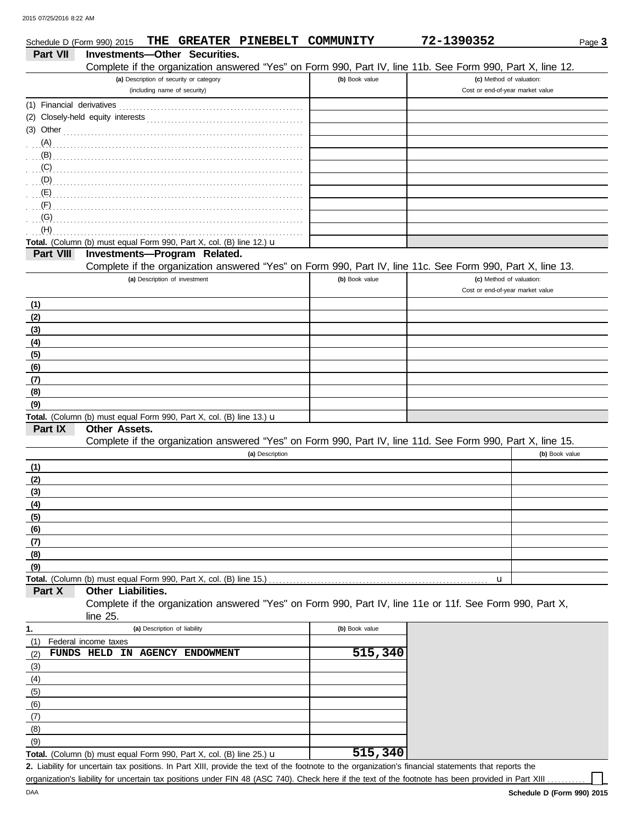| Schedule D (Form 990) 2015  |                                                                                                              |                              |                                         |                 | THE GREATER PINEBELT COMMUNITY | 72-1390352                                                                                                 | Page 3         |
|-----------------------------|--------------------------------------------------------------------------------------------------------------|------------------------------|-----------------------------------------|-----------------|--------------------------------|------------------------------------------------------------------------------------------------------------|----------------|
| <b>Part VII</b>             | Investments-Other Securities.                                                                                |                              |                                         |                 |                                |                                                                                                            |                |
|                             |                                                                                                              |                              |                                         |                 |                                | Complete if the organization answered "Yes" on Form 990, Part IV, line 11b. See Form 990, Part X, line 12. |                |
|                             |                                                                                                              |                              | (a) Description of security or category |                 | (b) Book value                 | (c) Method of valuation:                                                                                   |                |
|                             |                                                                                                              |                              | (including name of security)            |                 |                                | Cost or end-of-year market value                                                                           |                |
|                             |                                                                                                              |                              |                                         |                 |                                |                                                                                                            |                |
|                             |                                                                                                              |                              |                                         |                 |                                |                                                                                                            |                |
|                             | (3) Other $\ldots$ $\ldots$ $\ldots$ $\ldots$ $\ldots$ $\ldots$ $\ldots$ $\ldots$ $\ldots$ $\ldots$ $\ldots$ |                              |                                         |                 |                                |                                                                                                            |                |
| (A)                         |                                                                                                              |                              |                                         |                 |                                |                                                                                                            |                |
|                             |                                                                                                              |                              |                                         |                 |                                |                                                                                                            |                |
| (C)                         |                                                                                                              |                              |                                         |                 |                                |                                                                                                            |                |
|                             |                                                                                                              |                              |                                         |                 |                                |                                                                                                            |                |
| $\ldots$ (E)                |                                                                                                              |                              |                                         |                 |                                |                                                                                                            |                |
| $\mathcal{F}(\mathsf{F})$   |                                                                                                              |                              |                                         |                 |                                |                                                                                                            |                |
| $\overline{\mathcal{L}}(G)$ |                                                                                                              |                              |                                         |                 |                                |                                                                                                            |                |
| (H)                         |                                                                                                              |                              |                                         |                 |                                |                                                                                                            |                |
|                             | Total. (Column (b) must equal Form 990, Part X, col. (B) line 12.) $\mathbf u$                               |                              |                                         |                 |                                |                                                                                                            |                |
| Part VIII                   | Investments-Program Related.                                                                                 |                              |                                         |                 |                                |                                                                                                            |                |
|                             |                                                                                                              |                              |                                         |                 |                                | Complete if the organization answered "Yes" on Form 990, Part IV, line 11c. See Form 990, Part X, line 13. |                |
|                             |                                                                                                              |                              | (a) Description of investment           |                 | (b) Book value                 | (c) Method of valuation:                                                                                   |                |
|                             |                                                                                                              |                              |                                         |                 |                                | Cost or end-of-year market value                                                                           |                |
| (1)                         |                                                                                                              |                              |                                         |                 |                                |                                                                                                            |                |
| (2)                         |                                                                                                              |                              |                                         |                 |                                |                                                                                                            |                |
| (3)                         |                                                                                                              |                              |                                         |                 |                                |                                                                                                            |                |
| (4)                         |                                                                                                              |                              |                                         |                 |                                |                                                                                                            |                |
| (5)                         |                                                                                                              |                              |                                         |                 |                                |                                                                                                            |                |
| (6)                         |                                                                                                              |                              |                                         |                 |                                |                                                                                                            |                |
| (7)                         |                                                                                                              |                              |                                         |                 |                                |                                                                                                            |                |
| (8)                         |                                                                                                              |                              |                                         |                 |                                |                                                                                                            |                |
| (9)                         |                                                                                                              |                              |                                         |                 |                                |                                                                                                            |                |
|                             | Total. (Column (b) must equal Form 990, Part X, col. (B) line 13.) u                                         |                              |                                         |                 |                                |                                                                                                            |                |
| Part IX                     | Other Assets.                                                                                                |                              |                                         |                 |                                |                                                                                                            |                |
|                             |                                                                                                              |                              |                                         |                 |                                | Complete if the organization answered "Yes" on Form 990, Part IV, line 11d. See Form 990, Part X, line 15. |                |
|                             |                                                                                                              |                              |                                         | (a) Description |                                |                                                                                                            | (b) Book value |
| (1)                         |                                                                                                              |                              |                                         |                 |                                |                                                                                                            |                |
| (2)                         |                                                                                                              |                              |                                         |                 |                                |                                                                                                            |                |
| (3)                         |                                                                                                              |                              |                                         |                 |                                |                                                                                                            |                |
| (4)                         |                                                                                                              |                              |                                         |                 |                                |                                                                                                            |                |
| (5)                         |                                                                                                              |                              |                                         |                 |                                |                                                                                                            |                |
|                             |                                                                                                              |                              |                                         |                 |                                |                                                                                                            |                |
| $\frac{(6)}{(7)}$           |                                                                                                              |                              |                                         |                 |                                |                                                                                                            |                |
| (8)                         |                                                                                                              |                              |                                         |                 |                                |                                                                                                            |                |
| (9)                         |                                                                                                              |                              |                                         |                 |                                |                                                                                                            |                |
|                             | Total. (Column (b) must equal Form 990, Part X, col. (B) line 15.)                                           |                              |                                         |                 |                                | u                                                                                                          |                |
| Part X                      | Other Liabilities.                                                                                           |                              |                                         |                 |                                |                                                                                                            |                |
|                             |                                                                                                              |                              |                                         |                 |                                | Complete if the organization answered "Yes" on Form 990, Part IV, line 11e or 11f. See Form 990, Part X,   |                |
|                             | line 25.                                                                                                     |                              |                                         |                 |                                |                                                                                                            |                |
| 1.                          |                                                                                                              | (a) Description of liability |                                         |                 | (b) Book value                 |                                                                                                            |                |
| (1)                         | Federal income taxes                                                                                         |                              |                                         |                 |                                |                                                                                                            |                |
| (2)                         | FUNDS HELD IN AGENCY ENDOWMENT                                                                               |                              |                                         |                 | 515,340                        |                                                                                                            |                |
| (3)                         |                                                                                                              |                              |                                         |                 |                                |                                                                                                            |                |
| $\frac{(4)}{(5)}$<br>(6)    |                                                                                                              |                              |                                         |                 |                                |                                                                                                            |                |
|                             |                                                                                                              |                              |                                         |                 |                                |                                                                                                            |                |
|                             |                                                                                                              |                              |                                         |                 |                                |                                                                                                            |                |
| (7)                         |                                                                                                              |                              |                                         |                 |                                |                                                                                                            |                |
| (8)                         |                                                                                                              |                              |                                         |                 |                                |                                                                                                            |                |

Liability for uncertain tax positions. In Part XIII, provide the text of the footnote to the organization's financial statements that reports the **2.** organization's liability for uncertain tax positions under FIN 48 (ASC 740). Check here if the text of the footnote has been provided in Part XIII Total. (Column (b) must equal Form 990, Part X, col. (B) line 25.) u **515,340**

 $(9)$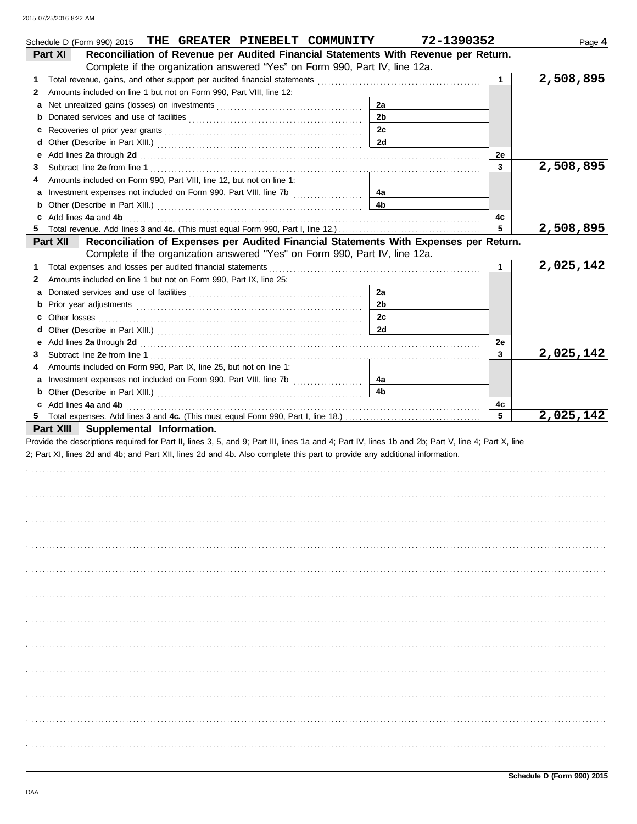| THE GREATER PINEBELT COMMUNITY<br>Schedule D (Form 990) 2015                                                                                                                                                                             |                | 72-1390352   | Page 4    |
|------------------------------------------------------------------------------------------------------------------------------------------------------------------------------------------------------------------------------------------|----------------|--------------|-----------|
| Reconciliation of Revenue per Audited Financial Statements With Revenue per Return.<br>Part XI                                                                                                                                           |                |              |           |
| Complete if the organization answered "Yes" on Form 990, Part IV, line 12a.                                                                                                                                                              |                |              |           |
| 1.                                                                                                                                                                                                                                       |                | $\mathbf{1}$ | 2,508,895 |
| Amounts included on line 1 but not on Form 990, Part VIII, line 12:<br>2                                                                                                                                                                 |                |              |           |
| а                                                                                                                                                                                                                                        | 2a             |              |           |
| <b>b</b> Donated services and use of facilities <b>constants</b> and the service of the series of facilities <b>by Donated Service 2016</b>                                                                                              | 2 <sub>b</sub> |              |           |
| c                                                                                                                                                                                                                                        | 2c             |              |           |
| d                                                                                                                                                                                                                                        | 2d             |              |           |
| Add lines 2a through 2d [11] Annual Material Material Material Material Material Material Material Material Material Material Material Material Material Material Material Material Material Material Material Material Materi<br>е      |                | 2e           |           |
| 3                                                                                                                                                                                                                                        |                | 3            | 2,508,895 |
| Amounts included on Form 990, Part VIII, line 12, but not on line 1:<br>4                                                                                                                                                                |                |              |           |
|                                                                                                                                                                                                                                          | 4a             |              |           |
|                                                                                                                                                                                                                                          | 4b             |              |           |
| c Add lines 4a and 4b                                                                                                                                                                                                                    |                | 4c           |           |
|                                                                                                                                                                                                                                          |                | 5            | 2,508,895 |
| Reconciliation of Expenses per Audited Financial Statements With Expenses per Return.<br>Part XII                                                                                                                                        |                |              |           |
| Complete if the organization answered "Yes" on Form 990, Part IV, line 12a.                                                                                                                                                              |                |              |           |
| Total expenses and losses per audited financial statements<br>1.                                                                                                                                                                         |                | $\mathbf{1}$ | 2,025,142 |
| Amounts included on line 1 but not on Form 990, Part IX, line 25:<br>2                                                                                                                                                                   |                |              |           |
| a                                                                                                                                                                                                                                        | 2a             |              |           |
|                                                                                                                                                                                                                                          | 2 <sub>b</sub> |              |           |
|                                                                                                                                                                                                                                          | 2 <sub>c</sub> |              |           |
| d                                                                                                                                                                                                                                        | 2d             |              |           |
|                                                                                                                                                                                                                                          |                | 2e           |           |
| 3                                                                                                                                                                                                                                        |                | 3            | 2,025,142 |
| Amounts included on Form 990, Part IX, line 25, but not on line 1:<br>4                                                                                                                                                                  |                |              |           |
|                                                                                                                                                                                                                                          | 4a             |              |           |
| <b>b</b> Other (Describe in Part XIII.) <b>CONSIDENT</b> 2014 12:2010 12:2010 12:2010 12:2010 12:2010 12:2010 12:2010 12:2010 12:2010 12:2010 12:2010 12:2010 12:2010 12:2010 12:2010 12:2010 12:2010 12:2010 12:2010 12:2010 12:2010 12 | 4 <sub>b</sub> |              |           |
| c Add lines 4a and 4b                                                                                                                                                                                                                    |                | 4c           |           |
|                                                                                                                                                                                                                                          |                | 5            | 2,025,142 |
| Part XIII Supplemental Information.                                                                                                                                                                                                      |                |              |           |
| Provide the descriptions required for Part II, lines 3, 5, and 9; Part III, lines 1a and 4; Part IV, lines 1b and 2b; Part V, line 4; Part X, line                                                                                       |                |              |           |
| 2; Part XI, lines 2d and 4b; and Part XII, lines 2d and 4b. Also complete this part to provide any additional information.                                                                                                               |                |              |           |
|                                                                                                                                                                                                                                          |                |              |           |
|                                                                                                                                                                                                                                          |                |              |           |
|                                                                                                                                                                                                                                          |                |              |           |
|                                                                                                                                                                                                                                          |                |              |           |
|                                                                                                                                                                                                                                          |                |              |           |
|                                                                                                                                                                                                                                          |                |              |           |
|                                                                                                                                                                                                                                          |                |              |           |
|                                                                                                                                                                                                                                          |                |              |           |
|                                                                                                                                                                                                                                          |                |              |           |
|                                                                                                                                                                                                                                          |                |              |           |
|                                                                                                                                                                                                                                          |                |              |           |
|                                                                                                                                                                                                                                          |                |              |           |
|                                                                                                                                                                                                                                          |                |              |           |
|                                                                                                                                                                                                                                          |                |              |           |
|                                                                                                                                                                                                                                          |                |              |           |
|                                                                                                                                                                                                                                          |                |              |           |
|                                                                                                                                                                                                                                          |                |              |           |
|                                                                                                                                                                                                                                          |                |              |           |
|                                                                                                                                                                                                                                          |                |              |           |
|                                                                                                                                                                                                                                          |                |              |           |
|                                                                                                                                                                                                                                          |                |              |           |
|                                                                                                                                                                                                                                          |                |              |           |
|                                                                                                                                                                                                                                          |                |              |           |
|                                                                                                                                                                                                                                          |                |              |           |
|                                                                                                                                                                                                                                          |                |              |           |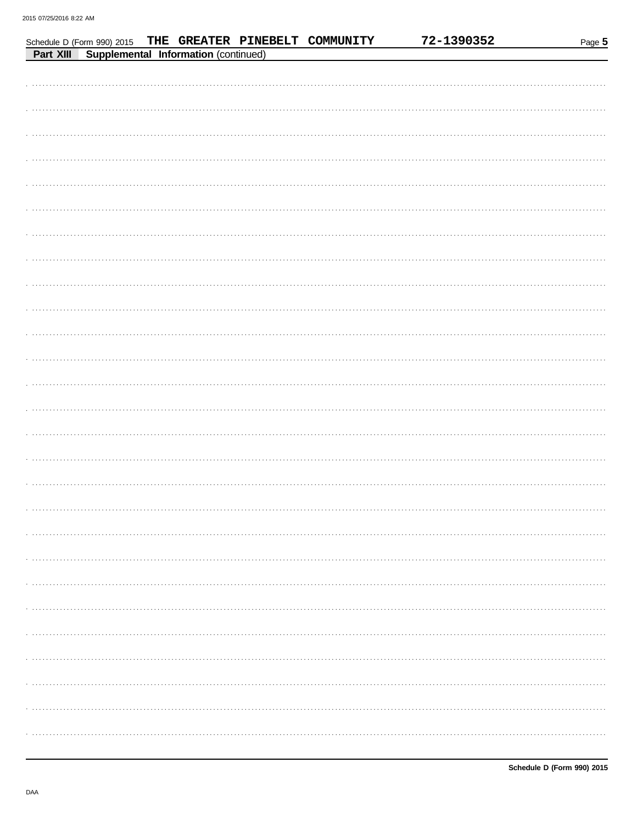|           | Schedule D (Form 990) 2015 |                                      | THE GREATER PINEBELT COMMUNITY | 72-1390352 | Page 5 |
|-----------|----------------------------|--------------------------------------|--------------------------------|------------|--------|
| Part XIII |                            | Supplemental Information (continued) |                                |            |        |
|           |                            |                                      |                                |            |        |
|           |                            |                                      |                                |            |        |
|           |                            |                                      |                                |            |        |
|           |                            |                                      |                                |            |        |
|           |                            |                                      |                                |            |        |
|           |                            |                                      |                                |            |        |
|           |                            |                                      |                                |            |        |
|           |                            |                                      |                                |            |        |
|           |                            |                                      |                                |            |        |
|           |                            |                                      |                                |            |        |
|           |                            |                                      |                                |            |        |
|           |                            |                                      |                                |            |        |
|           |                            |                                      |                                |            |        |
|           |                            |                                      |                                |            |        |
|           |                            |                                      |                                |            |        |
|           |                            |                                      |                                |            |        |
|           |                            |                                      |                                |            |        |
|           |                            |                                      |                                |            |        |
|           |                            |                                      |                                |            |        |
|           |                            |                                      |                                |            |        |
|           |                            |                                      |                                |            |        |
|           |                            |                                      |                                |            |        |
|           |                            |                                      |                                |            |        |
|           |                            |                                      |                                |            |        |
|           |                            |                                      |                                |            |        |
|           |                            |                                      |                                |            |        |
|           |                            |                                      |                                |            |        |
|           |                            |                                      |                                |            |        |
|           |                            |                                      |                                |            |        |
|           |                            |                                      |                                |            |        |
|           |                            |                                      |                                |            |        |
|           |                            |                                      |                                |            |        |
|           |                            |                                      |                                |            |        |
|           |                            |                                      |                                |            |        |
|           |                            |                                      |                                |            |        |
|           |                            |                                      |                                |            |        |
|           |                            |                                      |                                |            |        |
|           |                            |                                      |                                |            |        |
|           |                            |                                      |                                |            |        |
|           |                            |                                      |                                |            |        |
|           |                            |                                      |                                |            |        |
|           |                            |                                      |                                |            |        |
|           |                            |                                      |                                |            |        |
|           |                            |                                      |                                |            |        |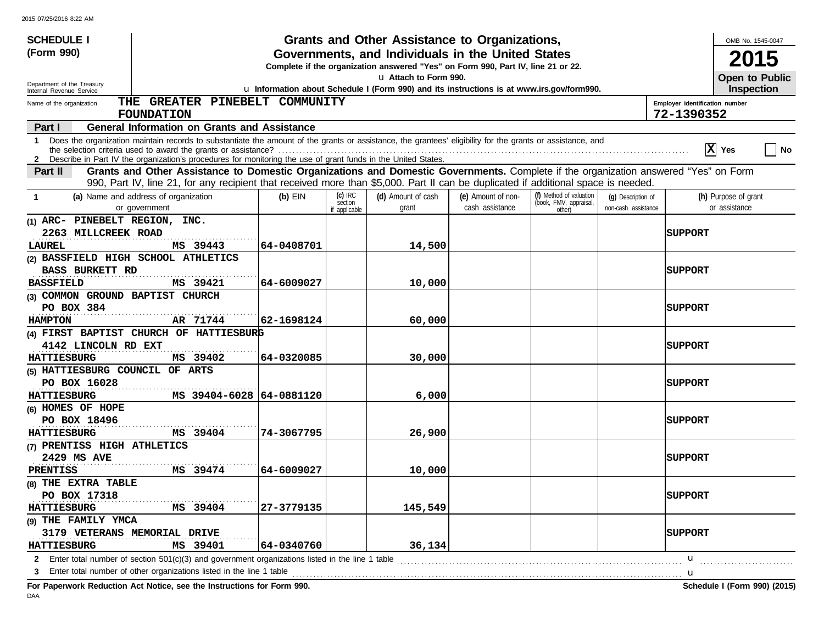| <b>SCHEDULE I</b>                                                                                                                                                                                                                                                                                                          |                                                                                                                                              |                          | Grants and Other Assistance to Organizations, |                    |                                                   |                     | OMB No. 1545-0047    |  |  |  |
|----------------------------------------------------------------------------------------------------------------------------------------------------------------------------------------------------------------------------------------------------------------------------------------------------------------------------|----------------------------------------------------------------------------------------------------------------------------------------------|--------------------------|-----------------------------------------------|--------------------|---------------------------------------------------|---------------------|----------------------|--|--|--|
| (Form 990)                                                                                                                                                                                                                                                                                                                 | Governments, and Individuals in the United States                                                                                            |                          |                                               |                    |                                                   |                     |                      |  |  |  |
|                                                                                                                                                                                                                                                                                                                            | <b>2015</b><br>Complete if the organization answered "Yes" on Form 990, Part IV, line 21 or 22.                                              |                          |                                               |                    |                                                   |                     |                      |  |  |  |
|                                                                                                                                                                                                                                                                                                                            | u Attach to Form 990.<br><b>Open to Public</b>                                                                                               |                          |                                               |                    |                                                   |                     |                      |  |  |  |
| Internal Revenue Service                                                                                                                                                                                                                                                                                                   | Department of the Treasury<br>u Information about Schedule I (Form 990) and its instructions is at www.irs.gov/form990.<br><b>Inspection</b> |                          |                                               |                    |                                                   |                     |                      |  |  |  |
| THE GREATER PINEBELT COMMUNITY<br>Name of the organization<br>Employer identification number                                                                                                                                                                                                                               |                                                                                                                                              |                          |                                               |                    |                                                   |                     |                      |  |  |  |
| 72-1390352<br><b>FOUNDATION</b>                                                                                                                                                                                                                                                                                            |                                                                                                                                              |                          |                                               |                    |                                                   |                     |                      |  |  |  |
| <b>General Information on Grants and Assistance</b><br>Part I                                                                                                                                                                                                                                                              |                                                                                                                                              |                          |                                               |                    |                                                   |                     |                      |  |  |  |
| Does the organization maintain records to substantiate the amount of the grants or assistance, the grantees' eligibility for the grants or assistance, and<br>$\mathbf 1$<br>$ \mathbf{X} $ Yes<br>  No<br>2 Describe in Part IV the organization's procedures for monitoring the use of grant funds in the United States. |                                                                                                                                              |                          |                                               |                    |                                                   |                     |                      |  |  |  |
| Grants and Other Assistance to Domestic Organizations and Domestic Governments. Complete if the organization answered "Yes" on Form<br>Part II                                                                                                                                                                             |                                                                                                                                              |                          |                                               |                    |                                                   |                     |                      |  |  |  |
| 990, Part IV, line 21, for any recipient that received more than \$5,000. Part II can be duplicated if additional space is needed.                                                                                                                                                                                         |                                                                                                                                              |                          |                                               |                    |                                                   |                     |                      |  |  |  |
| (a) Name and address of organization<br>$\mathbf{1}$                                                                                                                                                                                                                                                                       | $(b)$ EIN                                                                                                                                    | $(c)$ IRC                | (d) Amount of cash                            | (e) Amount of non- | (f) Method of valuation<br>(book, FMV, appraisal, | (q) Description of  | (h) Purpose of grant |  |  |  |
| or government                                                                                                                                                                                                                                                                                                              |                                                                                                                                              | section<br>if applicable | grant                                         | cash assistance    | other)                                            | non-cash assistance | or assistance        |  |  |  |
| (1) ARC- PINEBELT REGION, INC.                                                                                                                                                                                                                                                                                             |                                                                                                                                              |                          |                                               |                    |                                                   |                     |                      |  |  |  |
| 2263 MILLCREEK ROAD                                                                                                                                                                                                                                                                                                        |                                                                                                                                              |                          |                                               |                    |                                                   |                     | <b>SUPPORT</b>       |  |  |  |
| MS 39443<br>LAUREL                                                                                                                                                                                                                                                                                                         | 64-0408701                                                                                                                                   |                          | 14,500                                        |                    |                                                   |                     |                      |  |  |  |
| (2) BASSFIELD HIGH SCHOOL ATHLETICS                                                                                                                                                                                                                                                                                        |                                                                                                                                              |                          |                                               |                    |                                                   |                     |                      |  |  |  |
| <b>BASS BURKETT RD</b>                                                                                                                                                                                                                                                                                                     |                                                                                                                                              |                          |                                               |                    |                                                   |                     | <b> SUPPORT</b>      |  |  |  |
| MS 39421<br><b>BASSFIELD</b>                                                                                                                                                                                                                                                                                               | 64-6009027                                                                                                                                   |                          | 10,000                                        |                    |                                                   |                     |                      |  |  |  |
| (3) COMMON GROUND BAPTIST CHURCH                                                                                                                                                                                                                                                                                           |                                                                                                                                              |                          |                                               |                    |                                                   |                     |                      |  |  |  |
| PO BOX 384                                                                                                                                                                                                                                                                                                                 |                                                                                                                                              |                          |                                               |                    |                                                   |                     | <b>SUPPORT</b>       |  |  |  |
| AR 71744<br><b>HAMPTON</b>                                                                                                                                                                                                                                                                                                 | 62-1698124                                                                                                                                   |                          | 60,000                                        |                    |                                                   |                     |                      |  |  |  |
| (4) FIRST BAPTIST CHURCH OF HATTIESBURG                                                                                                                                                                                                                                                                                    |                                                                                                                                              |                          |                                               |                    |                                                   |                     |                      |  |  |  |
| 4142 LINCOLN RD EXT                                                                                                                                                                                                                                                                                                        |                                                                                                                                              |                          |                                               |                    |                                                   |                     | <b>SUPPORT</b>       |  |  |  |
| <b>HATTIESBURG</b><br>MS 39402                                                                                                                                                                                                                                                                                             | 64-0320085                                                                                                                                   |                          | 30,000                                        |                    |                                                   |                     |                      |  |  |  |
| (5) HATTIESBURG COUNCIL OF ARTS                                                                                                                                                                                                                                                                                            |                                                                                                                                              |                          |                                               |                    |                                                   |                     |                      |  |  |  |
| PO BOX 16028                                                                                                                                                                                                                                                                                                               |                                                                                                                                              |                          |                                               |                    |                                                   |                     | <b>SUPPORT</b>       |  |  |  |
| <b>HATTIESBURG</b>                                                                                                                                                                                                                                                                                                         | MS 39404-6028 64-0881120                                                                                                                     |                          | 6,000                                         |                    |                                                   |                     |                      |  |  |  |
| $(6)$ HOMES OF HOPE                                                                                                                                                                                                                                                                                                        |                                                                                                                                              |                          |                                               |                    |                                                   |                     |                      |  |  |  |
| PO BOX 18496                                                                                                                                                                                                                                                                                                               |                                                                                                                                              |                          |                                               |                    |                                                   |                     | <b>SUPPORT</b>       |  |  |  |
| MS 39404<br><b>HATTIESBURG</b>                                                                                                                                                                                                                                                                                             | 74-3067795                                                                                                                                   |                          | 26,900                                        |                    |                                                   |                     |                      |  |  |  |
| (7) PRENTISS HIGH ATHLETICS                                                                                                                                                                                                                                                                                                |                                                                                                                                              |                          |                                               |                    |                                                   |                     |                      |  |  |  |
| 2429 MS AVE                                                                                                                                                                                                                                                                                                                |                                                                                                                                              |                          |                                               |                    |                                                   |                     | <b>SUPPORT</b>       |  |  |  |
| MS 39474<br>PRENTISS                                                                                                                                                                                                                                                                                                       | 64-6009027                                                                                                                                   |                          | 10,000                                        |                    |                                                   |                     |                      |  |  |  |
| (8) THE EXTRA TABLE                                                                                                                                                                                                                                                                                                        |                                                                                                                                              |                          |                                               |                    |                                                   |                     |                      |  |  |  |
| PO BOX 17318                                                                                                                                                                                                                                                                                                               |                                                                                                                                              |                          |                                               |                    |                                                   |                     | <b>SUPPORT</b>       |  |  |  |
| <b>HATTIESBURG</b><br>MS 39404                                                                                                                                                                                                                                                                                             | 27-3779135                                                                                                                                   |                          | 145,549                                       |                    |                                                   |                     |                      |  |  |  |
| (9) THE FAMILY YMCA                                                                                                                                                                                                                                                                                                        |                                                                                                                                              |                          |                                               |                    |                                                   |                     |                      |  |  |  |
| 3179 VETERANS MEMORIAL DRIVE                                                                                                                                                                                                                                                                                               |                                                                                                                                              |                          |                                               |                    |                                                   |                     | <b>SUPPORT</b>       |  |  |  |
| <b>HATTIESBURG</b><br>MS 39401                                                                                                                                                                                                                                                                                             | 64-0340760                                                                                                                                   |                          | 36,134                                        |                    |                                                   |                     |                      |  |  |  |
| 2 Enter total number of section $501(c)(3)$ and government organizations listed in the line 1 table                                                                                                                                                                                                                        |                                                                                                                                              |                          |                                               |                    |                                                   |                     | $\mathbf{u}$         |  |  |  |
| 3 Enter total number of other organizations listed in the line 1 table <b>conserved</b> to the line 1 table                                                                                                                                                                                                                |                                                                                                                                              |                          |                                               |                    |                                                   |                     |                      |  |  |  |

**For Paperwork Reduction Act Notice, see the Instructions for Form 990. Schedule I (Form 990) (2015)** DAA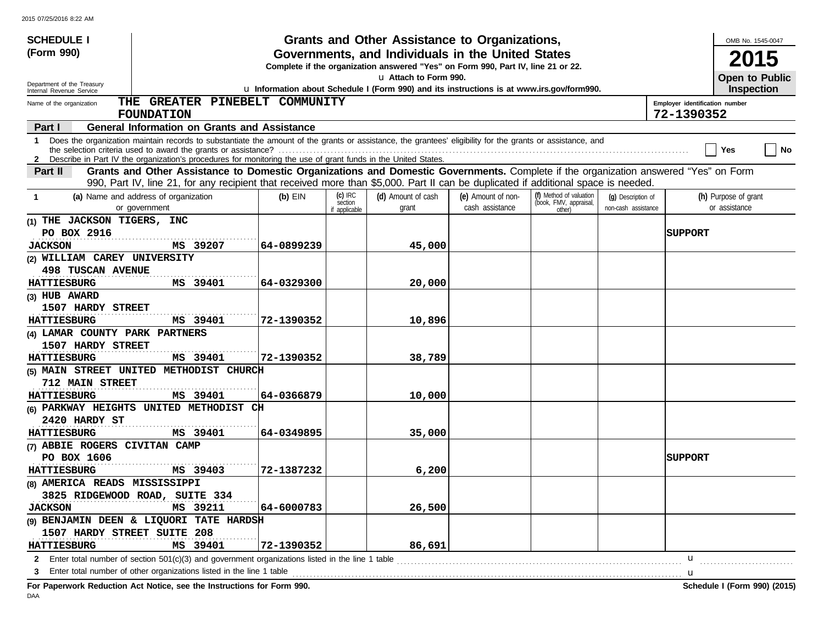| <b>SCHEDULE I</b>                                                                                                                                                                                                                                                                                           |                                                                                           |                                       | Grants and Other Assistance to Organizations, |                                       |                                                             |                                           |                | OMB No. 1545-0047                     |  |  |
|-------------------------------------------------------------------------------------------------------------------------------------------------------------------------------------------------------------------------------------------------------------------------------------------------------------|-------------------------------------------------------------------------------------------|---------------------------------------|-----------------------------------------------|---------------------------------------|-------------------------------------------------------------|-------------------------------------------|----------------|---------------------------------------|--|--|
| (Form 990)                                                                                                                                                                                                                                                                                                  | Governments, and Individuals in the United States                                         |                                       |                                               |                                       |                                                             |                                           |                |                                       |  |  |
|                                                                                                                                                                                                                                                                                                             | Complete if the organization answered "Yes" on Form 990, Part IV, line 21 or 22.          |                                       |                                               |                                       |                                                             |                                           |                |                                       |  |  |
| Department of the Treasury                                                                                                                                                                                                                                                                                  | La Attach to Form 990.<br>Open to Public                                                  |                                       |                                               |                                       |                                                             |                                           |                |                                       |  |  |
| Internal Revenue Service                                                                                                                                                                                                                                                                                    | u Information about Schedule I (Form 990) and its instructions is at www.irs.gov/form990. |                                       |                                               |                                       |                                                             |                                           |                |                                       |  |  |
| THE GREATER PINEBELT COMMUNITY<br>Employer identification number<br>Name of the organization<br>72-1390352<br><b>FOUNDATION</b>                                                                                                                                                                             |                                                                                           |                                       |                                               |                                       |                                                             |                                           |                |                                       |  |  |
| <b>General Information on Grants and Assistance</b><br>Part I                                                                                                                                                                                                                                               |                                                                                           |                                       |                                               |                                       |                                                             |                                           |                |                                       |  |  |
| Does the organization maintain records to substantiate the amount of the grants or assistance, the grantees' eligibility for the grants or assistance, and<br>$\mathbf 1$<br>Yes<br>  No<br>2 Describe in Part IV the organization's procedures for monitoring the use of grant funds in the United States. |                                                                                           |                                       |                                               |                                       |                                                             |                                           |                |                                       |  |  |
|                                                                                                                                                                                                                                                                                                             |                                                                                           |                                       |                                               |                                       |                                                             |                                           |                |                                       |  |  |
| Grants and Other Assistance to Domestic Organizations and Domestic Governments. Complete if the organization answered "Yes" on Form<br>Part II<br>990, Part IV, line 21, for any recipient that received more than \$5,000. Part II can be duplicated if additional space is needed.                        |                                                                                           |                                       |                                               |                                       |                                                             |                                           |                |                                       |  |  |
| (a) Name and address of organization<br>$\mathbf{1}$<br>or government                                                                                                                                                                                                                                       | $(b)$ EIN                                                                                 | $(c)$ IRC<br>section<br>if applicable | (d) Amount of cash<br>grant                   | (e) Amount of non-<br>cash assistance | (f) Method of valuation<br>(book, FMV, appraisal,<br>other) | (g) Description of<br>non-cash assistance |                | (h) Purpose of grant<br>or assistance |  |  |
| (1) THE JACKSON TIGERS, INC                                                                                                                                                                                                                                                                                 |                                                                                           |                                       |                                               |                                       |                                                             |                                           |                |                                       |  |  |
| PO BOX 2916                                                                                                                                                                                                                                                                                                 |                                                                                           |                                       |                                               |                                       |                                                             |                                           | <b>SUPPORT</b> |                                       |  |  |
| MS 39207<br><b>JACKSON</b>                                                                                                                                                                                                                                                                                  | 64–0899239                                                                                |                                       | 45,000                                        |                                       |                                                             |                                           |                |                                       |  |  |
| (2) WILLIAM CAREY UNIVERSITY                                                                                                                                                                                                                                                                                |                                                                                           |                                       |                                               |                                       |                                                             |                                           |                |                                       |  |  |
| <b>498 TUSCAN AVENUE</b>                                                                                                                                                                                                                                                                                    |                                                                                           |                                       |                                               |                                       |                                                             |                                           |                |                                       |  |  |
| MS 39401<br><b>HATTIESBURG</b>                                                                                                                                                                                                                                                                              | 64-0329300                                                                                |                                       | 20,000                                        |                                       |                                                             |                                           |                |                                       |  |  |
| (3) HUB AWARD                                                                                                                                                                                                                                                                                               |                                                                                           |                                       |                                               |                                       |                                                             |                                           |                |                                       |  |  |
| 1507 HARDY STREET                                                                                                                                                                                                                                                                                           |                                                                                           |                                       |                                               |                                       |                                                             |                                           |                |                                       |  |  |
| MS 39401<br><b>HATTIESBURG</b>                                                                                                                                                                                                                                                                              | 72-1390352                                                                                |                                       | 10,896                                        |                                       |                                                             |                                           |                |                                       |  |  |
| (4) LAMAR COUNTY PARK PARTNERS                                                                                                                                                                                                                                                                              |                                                                                           |                                       |                                               |                                       |                                                             |                                           |                |                                       |  |  |
| 1507 HARDY STREET                                                                                                                                                                                                                                                                                           |                                                                                           |                                       |                                               |                                       |                                                             |                                           |                |                                       |  |  |
| MS 39401<br><b>HATTIESBURG</b>                                                                                                                                                                                                                                                                              | 72-1390352                                                                                |                                       | 38,789                                        |                                       |                                                             |                                           |                |                                       |  |  |
| (5) MAIN STREET UNITED METHODIST CHURCH                                                                                                                                                                                                                                                                     |                                                                                           |                                       |                                               |                                       |                                                             |                                           |                |                                       |  |  |
| 712 MAIN STREET                                                                                                                                                                                                                                                                                             |                                                                                           |                                       |                                               |                                       |                                                             |                                           |                |                                       |  |  |
| <b>HATTIESBURG</b><br>MS 39401                                                                                                                                                                                                                                                                              | 64-0366879                                                                                |                                       | 10,000                                        |                                       |                                                             |                                           |                |                                       |  |  |
| (6) PARKWAY HEIGHTS UNITED METHODIST CH                                                                                                                                                                                                                                                                     |                                                                                           |                                       |                                               |                                       |                                                             |                                           |                |                                       |  |  |
| 2420 HARDY ST                                                                                                                                                                                                                                                                                               |                                                                                           |                                       |                                               |                                       |                                                             |                                           |                |                                       |  |  |
| <b>HATTIESBURG</b><br>MS 39401                                                                                                                                                                                                                                                                              | 64-0349895                                                                                |                                       | 35,000                                        |                                       |                                                             |                                           |                |                                       |  |  |
| (7) ABBIE ROGERS CIVITAN CAMP                                                                                                                                                                                                                                                                               |                                                                                           |                                       |                                               |                                       |                                                             |                                           |                |                                       |  |  |
| PO BOX 1606                                                                                                                                                                                                                                                                                                 |                                                                                           |                                       |                                               |                                       |                                                             |                                           | <b>SUPPORT</b> |                                       |  |  |
| <b>HATTIESBURG</b><br>MS 39403                                                                                                                                                                                                                                                                              | 72-1387232                                                                                |                                       | 6,200                                         |                                       |                                                             |                                           |                |                                       |  |  |
| (8) AMERICA READS MISSISSIPPI                                                                                                                                                                                                                                                                               |                                                                                           |                                       |                                               |                                       |                                                             |                                           |                |                                       |  |  |
| 3825 RIDGEWOOD ROAD, SUITE 334                                                                                                                                                                                                                                                                              |                                                                                           |                                       |                                               |                                       |                                                             |                                           |                |                                       |  |  |
| <b>JACKSON</b><br>MS 39211                                                                                                                                                                                                                                                                                  | 64-6000783                                                                                |                                       | 26,500                                        |                                       |                                                             |                                           |                |                                       |  |  |
| (9) BENJAMIN DEEN & LIQUORI TATE HARDSH                                                                                                                                                                                                                                                                     |                                                                                           |                                       |                                               |                                       |                                                             |                                           |                |                                       |  |  |
| 1507 HARDY STREET SUITE 208                                                                                                                                                                                                                                                                                 |                                                                                           |                                       |                                               |                                       |                                                             |                                           |                |                                       |  |  |
| <b>HATTIESBURG</b><br>MS 39401                                                                                                                                                                                                                                                                              | 72-1390352                                                                                |                                       | 86,691                                        |                                       |                                                             |                                           |                |                                       |  |  |
|                                                                                                                                                                                                                                                                                                             |                                                                                           |                                       |                                               |                                       |                                                             |                                           | u              |                                       |  |  |
| Enter total number of other organizations listed in the line 1 table <b>conserved to the conserved conserved to the conserved to the conserved to the conserved conserved to the conserved to the line 1 table conserved to the </b><br>3                                                                   |                                                                                           |                                       |                                               |                                       |                                                             |                                           |                |                                       |  |  |

**For Paperwork Reduction Act Notice, see the Instructions for Form 990. Schedule I (Form 990) (2015)**

DAA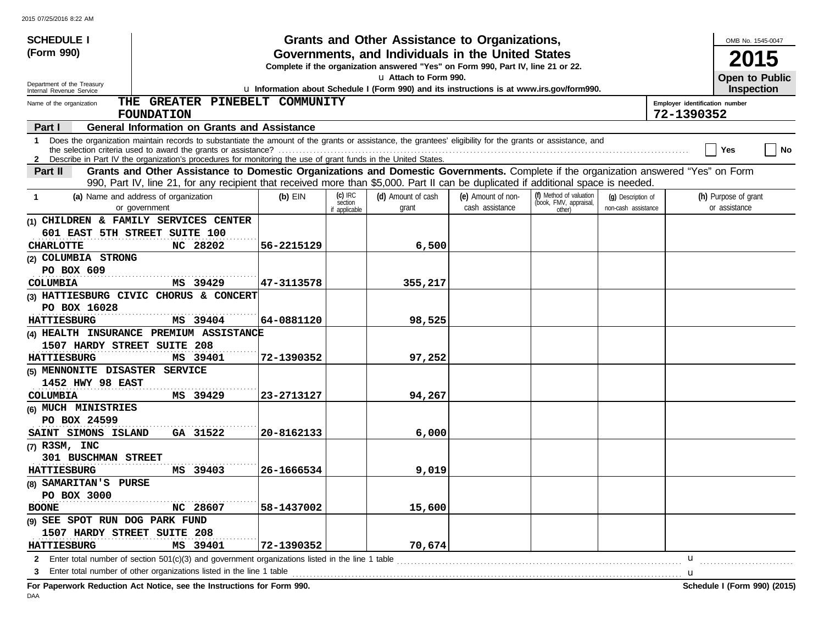| <b>SCHEDULE I</b><br>(Form 990)<br>Department of the Treasury                                                                                                                                                                                                                                                                                                                                                                       |                                                                                                         |                                       | Grants and Other Assistance to Organizations,<br>Governments, and Individuals in the United States<br>Complete if the organization answered "Yes" on Form 990, Part IV, line 21 or 22.<br>u Attach to Form 990. |                                       |                                                             |                                           | OMB No. 1545-0047<br>2015<br>Open to Public |  |  |  |
|-------------------------------------------------------------------------------------------------------------------------------------------------------------------------------------------------------------------------------------------------------------------------------------------------------------------------------------------------------------------------------------------------------------------------------------|---------------------------------------------------------------------------------------------------------|---------------------------------------|-----------------------------------------------------------------------------------------------------------------------------------------------------------------------------------------------------------------|---------------------------------------|-------------------------------------------------------------|-------------------------------------------|---------------------------------------------|--|--|--|
| Internal Revenue Service                                                                                                                                                                                                                                                                                                                                                                                                            | u Information about Schedule I (Form 990) and its instructions is at www.irs.gov/form990.<br>Inspection |                                       |                                                                                                                                                                                                                 |                                       |                                                             |                                           |                                             |  |  |  |
| THE GREATER PINEBELT COMMUNITY<br>Employer identification number<br>Name of the organization<br>72-1390352<br><b>FOUNDATION</b>                                                                                                                                                                                                                                                                                                     |                                                                                                         |                                       |                                                                                                                                                                                                                 |                                       |                                                             |                                           |                                             |  |  |  |
| <b>General Information on Grants and Assistance</b><br>Part I                                                                                                                                                                                                                                                                                                                                                                       |                                                                                                         |                                       |                                                                                                                                                                                                                 |                                       |                                                             |                                           |                                             |  |  |  |
| 1 Does the organization maintain records to substantiate the amount of the grants or assistance, the grantees' eligibility for the grants or assistance, and<br>Yes<br>No<br>2 Describe in Part IV the organization's procedures for monitoring the use of grant funds in the United States.<br>Grants and Other Assistance to Domestic Organizations and Domestic Governments. Complete if the organization answered "Yes" on Form |                                                                                                         |                                       |                                                                                                                                                                                                                 |                                       |                                                             |                                           |                                             |  |  |  |
| Part II                                                                                                                                                                                                                                                                                                                                                                                                                             |                                                                                                         |                                       |                                                                                                                                                                                                                 |                                       |                                                             |                                           |                                             |  |  |  |
| 990, Part IV, line 21, for any recipient that received more than \$5,000. Part II can be duplicated if additional space is needed.                                                                                                                                                                                                                                                                                                  |                                                                                                         |                                       |                                                                                                                                                                                                                 |                                       |                                                             |                                           |                                             |  |  |  |
| (a) Name and address of organization<br>-1<br>or government                                                                                                                                                                                                                                                                                                                                                                         | $(b)$ EIN                                                                                               | $(c)$ IRC<br>section<br>if applicable | (d) Amount of cash<br>grant                                                                                                                                                                                     | (e) Amount of non-<br>cash assistance | (f) Method of valuation<br>(book, FMV, appraisal,<br>other) | (q) Description of<br>non-cash assistance | (h) Purpose of grant<br>or assistance       |  |  |  |
| (1) CHILDREN & FAMILY SERVICES CENTER                                                                                                                                                                                                                                                                                                                                                                                               |                                                                                                         |                                       |                                                                                                                                                                                                                 |                                       |                                                             |                                           |                                             |  |  |  |
| 601 EAST 5TH STREET SUITE 100                                                                                                                                                                                                                                                                                                                                                                                                       |                                                                                                         |                                       |                                                                                                                                                                                                                 |                                       |                                                             |                                           |                                             |  |  |  |
| <b>CHARLOTTE</b><br>NC 28202                                                                                                                                                                                                                                                                                                                                                                                                        | 56-2215129                                                                                              |                                       | 6,500                                                                                                                                                                                                           |                                       |                                                             |                                           |                                             |  |  |  |
| (2) COLUMBIA STRONG                                                                                                                                                                                                                                                                                                                                                                                                                 |                                                                                                         |                                       |                                                                                                                                                                                                                 |                                       |                                                             |                                           |                                             |  |  |  |
| PO BOX 609                                                                                                                                                                                                                                                                                                                                                                                                                          |                                                                                                         |                                       |                                                                                                                                                                                                                 |                                       |                                                             |                                           |                                             |  |  |  |
| MS 39429<br>COLUMBIA                                                                                                                                                                                                                                                                                                                                                                                                                | 47-3113578                                                                                              |                                       | 355,217                                                                                                                                                                                                         |                                       |                                                             |                                           |                                             |  |  |  |
| (3) HATTIESBURG CIVIC CHORUS & CONCERT                                                                                                                                                                                                                                                                                                                                                                                              |                                                                                                         |                                       |                                                                                                                                                                                                                 |                                       |                                                             |                                           |                                             |  |  |  |
| PO BOX 16028                                                                                                                                                                                                                                                                                                                                                                                                                        |                                                                                                         |                                       |                                                                                                                                                                                                                 |                                       |                                                             |                                           |                                             |  |  |  |
| MS 39404<br><b>HATTIESBURG</b>                                                                                                                                                                                                                                                                                                                                                                                                      | 64-0881120                                                                                              |                                       | 98,525                                                                                                                                                                                                          |                                       |                                                             |                                           |                                             |  |  |  |
| (4) HEALTH INSURANCE PREMIUM ASSISTANCE                                                                                                                                                                                                                                                                                                                                                                                             |                                                                                                         |                                       |                                                                                                                                                                                                                 |                                       |                                                             |                                           |                                             |  |  |  |
| 1507 HARDY STREET SUITE 208                                                                                                                                                                                                                                                                                                                                                                                                         |                                                                                                         |                                       |                                                                                                                                                                                                                 |                                       |                                                             |                                           |                                             |  |  |  |
| MS 39401<br><b>HATTIESBURG</b>                                                                                                                                                                                                                                                                                                                                                                                                      | 72-1390352                                                                                              |                                       | 97,252                                                                                                                                                                                                          |                                       |                                                             |                                           |                                             |  |  |  |
| (5) MENNONITE DISASTER SERVICE                                                                                                                                                                                                                                                                                                                                                                                                      |                                                                                                         |                                       |                                                                                                                                                                                                                 |                                       |                                                             |                                           |                                             |  |  |  |
| 1452 HWY 98 EAST                                                                                                                                                                                                                                                                                                                                                                                                                    |                                                                                                         |                                       |                                                                                                                                                                                                                 |                                       |                                                             |                                           |                                             |  |  |  |
| COLUMBIA<br>MS 39429                                                                                                                                                                                                                                                                                                                                                                                                                | 23-2713127                                                                                              |                                       | 94,267                                                                                                                                                                                                          |                                       |                                                             |                                           |                                             |  |  |  |
| (6) MUCH MINISTRIES                                                                                                                                                                                                                                                                                                                                                                                                                 |                                                                                                         |                                       |                                                                                                                                                                                                                 |                                       |                                                             |                                           |                                             |  |  |  |
| PO BOX 24599                                                                                                                                                                                                                                                                                                                                                                                                                        |                                                                                                         |                                       |                                                                                                                                                                                                                 |                                       |                                                             |                                           |                                             |  |  |  |
| GA 31522<br>SAINT SIMONS ISLAND                                                                                                                                                                                                                                                                                                                                                                                                     | 20-8162133                                                                                              |                                       | 6,000                                                                                                                                                                                                           |                                       |                                                             |                                           |                                             |  |  |  |
| $(7)$ R3SM, INC                                                                                                                                                                                                                                                                                                                                                                                                                     |                                                                                                         |                                       |                                                                                                                                                                                                                 |                                       |                                                             |                                           |                                             |  |  |  |
| 301 BUSCHMAN STREET                                                                                                                                                                                                                                                                                                                                                                                                                 |                                                                                                         |                                       |                                                                                                                                                                                                                 |                                       |                                                             |                                           |                                             |  |  |  |
| <b>HATTIESBURG</b><br>MS 39403                                                                                                                                                                                                                                                                                                                                                                                                      | 26-1666534                                                                                              |                                       | 9,019                                                                                                                                                                                                           |                                       |                                                             |                                           |                                             |  |  |  |
| (8) SAMARITAN'S PURSE                                                                                                                                                                                                                                                                                                                                                                                                               |                                                                                                         |                                       |                                                                                                                                                                                                                 |                                       |                                                             |                                           |                                             |  |  |  |
| PO BOX 3000                                                                                                                                                                                                                                                                                                                                                                                                                         |                                                                                                         |                                       |                                                                                                                                                                                                                 |                                       |                                                             |                                           |                                             |  |  |  |
| <b>BOONE</b><br>NC 28607                                                                                                                                                                                                                                                                                                                                                                                                            | 58-1437002                                                                                              |                                       | 15,600                                                                                                                                                                                                          |                                       |                                                             |                                           |                                             |  |  |  |
| (9) SEE SPOT RUN DOG PARK FUND                                                                                                                                                                                                                                                                                                                                                                                                      |                                                                                                         |                                       |                                                                                                                                                                                                                 |                                       |                                                             |                                           |                                             |  |  |  |
| 1507 HARDY STREET SUITE 208                                                                                                                                                                                                                                                                                                                                                                                                         |                                                                                                         |                                       |                                                                                                                                                                                                                 |                                       |                                                             |                                           |                                             |  |  |  |
| MS 39401<br><b>HATTIESBURG</b>                                                                                                                                                                                                                                                                                                                                                                                                      | 72-1390352                                                                                              |                                       | 70,674                                                                                                                                                                                                          |                                       |                                                             |                                           |                                             |  |  |  |
| 2 Enter total number of section 501(c)(3) and government organizations listed in the line 1 table                                                                                                                                                                                                                                                                                                                                   |                                                                                                         |                                       |                                                                                                                                                                                                                 |                                       |                                                             |                                           | u                                           |  |  |  |
| 3 Enter total number of other organizations listed in the line 1 table <b>conserved</b> to the line 1 table                                                                                                                                                                                                                                                                                                                         |                                                                                                         |                                       |                                                                                                                                                                                                                 |                                       |                                                             |                                           |                                             |  |  |  |

**For Paperwork Reduction Act Notice, see the Instructions for Form 990. Schedule I (Form 990) (2015)**

DAA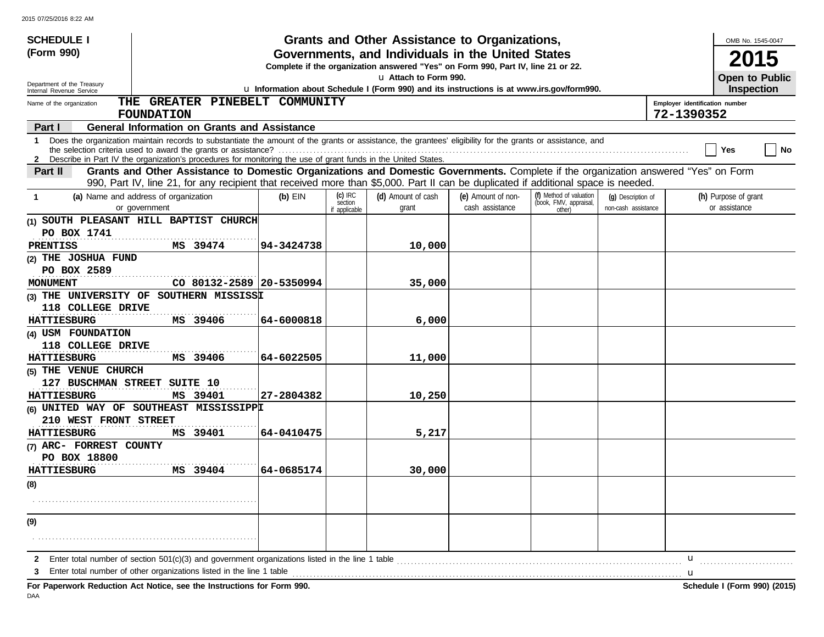| <b>SCHEDULE I</b>                                                                                                                                                                                                                                                                                  |                                                                                                                                                            |                      | Grants and Other Assistance to Organizations, |                    |                                                   |                     |   | OMB No. 1545-0047    |  |  |
|----------------------------------------------------------------------------------------------------------------------------------------------------------------------------------------------------------------------------------------------------------------------------------------------------|------------------------------------------------------------------------------------------------------------------------------------------------------------|----------------------|-----------------------------------------------|--------------------|---------------------------------------------------|---------------------|---|----------------------|--|--|
| (Form 990)                                                                                                                                                                                                                                                                                         | Governments, and Individuals in the United States                                                                                                          |                      |                                               |                    |                                                   |                     |   |                      |  |  |
|                                                                                                                                                                                                                                                                                                    | 2015<br>Complete if the organization answered "Yes" on Form 990, Part IV, line 21 or 22.                                                                   |                      |                                               |                    |                                                   |                     |   |                      |  |  |
| Department of the Treasury<br>Internal Revenue Service                                                                                                                                                                                                                                             | La Attach to Form 990.<br><b>Open to Public</b><br>u Information about Schedule I (Form 990) and its instructions is at www.irs.gov/form990.<br>Inspection |                      |                                               |                    |                                                   |                     |   |                      |  |  |
| THE GREATER PINEBELT COMMUNITY<br>Employer identification number<br>Name of the organization                                                                                                                                                                                                       |                                                                                                                                                            |                      |                                               |                    |                                                   |                     |   |                      |  |  |
| 72-1390352<br><b>FOUNDATION</b>                                                                                                                                                                                                                                                                    |                                                                                                                                                            |                      |                                               |                    |                                                   |                     |   |                      |  |  |
| <b>General Information on Grants and Assistance</b><br>Part I                                                                                                                                                                                                                                      |                                                                                                                                                            |                      |                                               |                    |                                                   |                     |   |                      |  |  |
| Does the organization maintain records to substantiate the amount of the grants or assistance, the grantees' eligibility for the grants or assistance, and<br>1.<br>  No<br>Yes<br>2 Describe in Part IV the organization's procedures for monitoring the use of grant funds in the United States. |                                                                                                                                                            |                      |                                               |                    |                                                   |                     |   |                      |  |  |
| Grants and Other Assistance to Domestic Organizations and Domestic Governments. Complete if the organization answered "Yes" on Form<br>Part II                                                                                                                                                     |                                                                                                                                                            |                      |                                               |                    |                                                   |                     |   |                      |  |  |
| 990, Part IV, line 21, for any recipient that received more than \$5,000. Part II can be duplicated if additional space is needed.                                                                                                                                                                 |                                                                                                                                                            |                      |                                               |                    |                                                   |                     |   |                      |  |  |
| (a) Name and address of organization<br>-1                                                                                                                                                                                                                                                         | $(b)$ EIN                                                                                                                                                  | $(c)$ IRC<br>section | (d) Amount of cash                            | (e) Amount of non- | (f) Method of valuation<br>(book, FMV, appraisal, | (q) Description of  |   | (h) Purpose of grant |  |  |
| or government                                                                                                                                                                                                                                                                                      |                                                                                                                                                            | if applicable        | grant                                         | cash assistance    | other)                                            | non-cash assistance |   | or assistance        |  |  |
| (1) SOUTH PLEASANT HILL BAPTIST CHURCH                                                                                                                                                                                                                                                             |                                                                                                                                                            |                      |                                               |                    |                                                   |                     |   |                      |  |  |
| PO BOX 1741                                                                                                                                                                                                                                                                                        |                                                                                                                                                            |                      |                                               |                    |                                                   |                     |   |                      |  |  |
| MS 39474<br>PRENTISS<br>(2) THE JOSHUA FUND                                                                                                                                                                                                                                                        | 94-3424738                                                                                                                                                 |                      | 10,000                                        |                    |                                                   |                     |   |                      |  |  |
| PO BOX 2589                                                                                                                                                                                                                                                                                        |                                                                                                                                                            |                      |                                               |                    |                                                   |                     |   |                      |  |  |
| CO 80132-2589 20-5350994<br>MONUMENT                                                                                                                                                                                                                                                               |                                                                                                                                                            |                      | 35,000                                        |                    |                                                   |                     |   |                      |  |  |
| (3) THE UNIVERSITY OF SOUTHERN MISSISSI                                                                                                                                                                                                                                                            |                                                                                                                                                            |                      |                                               |                    |                                                   |                     |   |                      |  |  |
| 118 COLLEGE DRIVE                                                                                                                                                                                                                                                                                  |                                                                                                                                                            |                      |                                               |                    |                                                   |                     |   |                      |  |  |
| <b>HATTIESBURG</b><br>MS 39406                                                                                                                                                                                                                                                                     | 64-6000818                                                                                                                                                 |                      | 6,000                                         |                    |                                                   |                     |   |                      |  |  |
| (4) USM FOUNDATION                                                                                                                                                                                                                                                                                 |                                                                                                                                                            |                      |                                               |                    |                                                   |                     |   |                      |  |  |
| 118 COLLEGE DRIVE                                                                                                                                                                                                                                                                                  |                                                                                                                                                            |                      |                                               |                    |                                                   |                     |   |                      |  |  |
| MS 39406<br><b>HATTIESBURG</b>                                                                                                                                                                                                                                                                     | 64-6022505                                                                                                                                                 |                      | 11,000                                        |                    |                                                   |                     |   |                      |  |  |
| (5) THE VENUE CHURCH                                                                                                                                                                                                                                                                               |                                                                                                                                                            |                      |                                               |                    |                                                   |                     |   |                      |  |  |
| 127 BUSCHMAN STREET SUITE 10                                                                                                                                                                                                                                                                       |                                                                                                                                                            |                      |                                               |                    |                                                   |                     |   |                      |  |  |
| <b>HATTIESBURG</b><br>MS 39401                                                                                                                                                                                                                                                                     | 27-2804382                                                                                                                                                 |                      | 10,250                                        |                    |                                                   |                     |   |                      |  |  |
| (6) UNITED WAY OF SOUTHEAST MISSISSIPPI                                                                                                                                                                                                                                                            |                                                                                                                                                            |                      |                                               |                    |                                                   |                     |   |                      |  |  |
| 210 WEST FRONT STREET                                                                                                                                                                                                                                                                              |                                                                                                                                                            |                      |                                               |                    |                                                   |                     |   |                      |  |  |
| MS 39401<br><b>HATTIESBURG</b><br>(7) ARC- FORREST COUNTY                                                                                                                                                                                                                                          | 64-0410475                                                                                                                                                 |                      | 5,217                                         |                    |                                                   |                     |   |                      |  |  |
| PO BOX 18800                                                                                                                                                                                                                                                                                       |                                                                                                                                                            |                      |                                               |                    |                                                   |                     |   |                      |  |  |
| <b>HATTIESBURG</b><br>MS 39404                                                                                                                                                                                                                                                                     | 64-0685174                                                                                                                                                 |                      | 30,000                                        |                    |                                                   |                     |   |                      |  |  |
| (8)                                                                                                                                                                                                                                                                                                |                                                                                                                                                            |                      |                                               |                    |                                                   |                     |   |                      |  |  |
|                                                                                                                                                                                                                                                                                                    |                                                                                                                                                            |                      |                                               |                    |                                                   |                     |   |                      |  |  |
|                                                                                                                                                                                                                                                                                                    |                                                                                                                                                            |                      |                                               |                    |                                                   |                     |   |                      |  |  |
| (9)                                                                                                                                                                                                                                                                                                |                                                                                                                                                            |                      |                                               |                    |                                                   |                     |   |                      |  |  |
|                                                                                                                                                                                                                                                                                                    |                                                                                                                                                            |                      |                                               |                    |                                                   |                     |   |                      |  |  |
| 2                                                                                                                                                                                                                                                                                                  |                                                                                                                                                            |                      |                                               |                    |                                                   |                     | u |                      |  |  |
| Enter total number of other organizations listed in the line 1 table                                                                                                                                                                                                                               |                                                                                                                                                            |                      |                                               |                    |                                                   |                     |   |                      |  |  |
|                                                                                                                                                                                                                                                                                                    |                                                                                                                                                            |                      |                                               |                    |                                                   |                     | u |                      |  |  |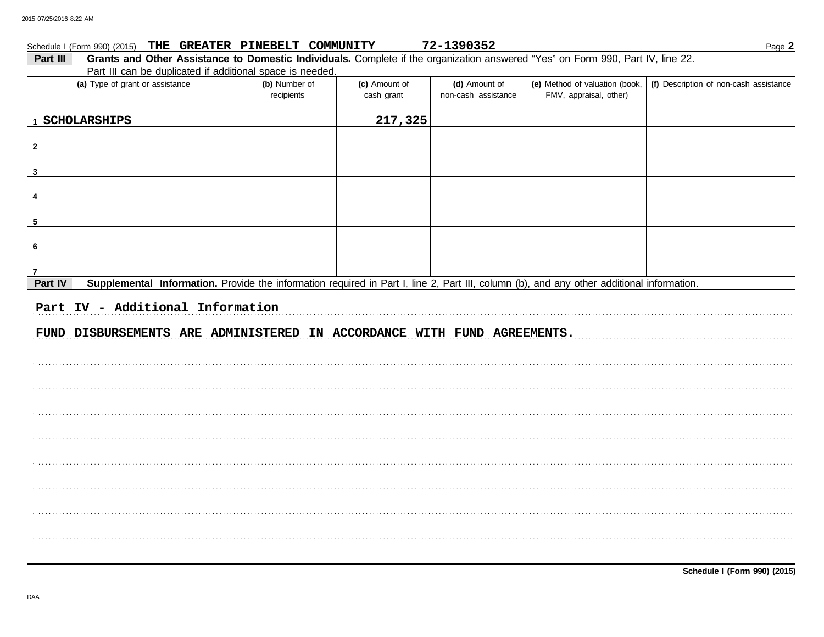## 72-1390352 Schedule | (Form 990) (2015) THE GREATER PINEBELT COMMUNITY

| Part III                                                                | Grants and Other Assistance to Domestic Individuals. Complete if the organization answered "Yes" on Form 990, Part IV, line 22. |                             |                             |                                      |                                                                                                                                           |                                        |  |  |  |  |  |
|-------------------------------------------------------------------------|---------------------------------------------------------------------------------------------------------------------------------|-----------------------------|-----------------------------|--------------------------------------|-------------------------------------------------------------------------------------------------------------------------------------------|----------------------------------------|--|--|--|--|--|
|                                                                         | Part III can be duplicated if additional space is needed.<br>(a) Type of grant or assistance                                    |                             |                             |                                      |                                                                                                                                           |                                        |  |  |  |  |  |
|                                                                         |                                                                                                                                 | (b) Number of<br>recipients | (c) Amount of<br>cash grant | (d) Amount of<br>non-cash assistance | (e) Method of valuation (book,<br>FMV, appraisal, other)                                                                                  | (f) Description of non-cash assistance |  |  |  |  |  |
|                                                                         |                                                                                                                                 |                             |                             |                                      |                                                                                                                                           |                                        |  |  |  |  |  |
| 1 SCHOLARSHIPS                                                          |                                                                                                                                 |                             | 217,325                     |                                      |                                                                                                                                           |                                        |  |  |  |  |  |
| $\mathbf{2}$                                                            |                                                                                                                                 |                             |                             |                                      |                                                                                                                                           |                                        |  |  |  |  |  |
| 3                                                                       |                                                                                                                                 |                             |                             |                                      |                                                                                                                                           |                                        |  |  |  |  |  |
|                                                                         |                                                                                                                                 |                             |                             |                                      |                                                                                                                                           |                                        |  |  |  |  |  |
| 5                                                                       |                                                                                                                                 |                             |                             |                                      |                                                                                                                                           |                                        |  |  |  |  |  |
| 6                                                                       |                                                                                                                                 |                             |                             |                                      |                                                                                                                                           |                                        |  |  |  |  |  |
|                                                                         |                                                                                                                                 |                             |                             |                                      |                                                                                                                                           |                                        |  |  |  |  |  |
| 7<br>Part IV                                                            |                                                                                                                                 |                             |                             |                                      | Supplemental Information. Provide the information required in Part I, line 2, Part III, column (b), and any other additional information. |                                        |  |  |  |  |  |
| Part IV - Additional Information                                        |                                                                                                                                 |                             |                             |                                      |                                                                                                                                           |                                        |  |  |  |  |  |
| FUND DISBURSEMENTS ARE ADMINISTERED IN ACCORDANCE WITH FUND AGREEMENTS. |                                                                                                                                 |                             |                             |                                      |                                                                                                                                           |                                        |  |  |  |  |  |
|                                                                         |                                                                                                                                 |                             |                             |                                      |                                                                                                                                           |                                        |  |  |  |  |  |
|                                                                         |                                                                                                                                 |                             |                             |                                      |                                                                                                                                           |                                        |  |  |  |  |  |
|                                                                         |                                                                                                                                 |                             |                             |                                      |                                                                                                                                           |                                        |  |  |  |  |  |
|                                                                         |                                                                                                                                 |                             |                             |                                      |                                                                                                                                           |                                        |  |  |  |  |  |
|                                                                         |                                                                                                                                 |                             |                             |                                      |                                                                                                                                           |                                        |  |  |  |  |  |
|                                                                         |                                                                                                                                 |                             |                             |                                      |                                                                                                                                           |                                        |  |  |  |  |  |
|                                                                         |                                                                                                                                 |                             |                             |                                      |                                                                                                                                           |                                        |  |  |  |  |  |
|                                                                         |                                                                                                                                 |                             |                             |                                      |                                                                                                                                           |                                        |  |  |  |  |  |
|                                                                         |                                                                                                                                 |                             |                             |                                      |                                                                                                                                           |                                        |  |  |  |  |  |
|                                                                         |                                                                                                                                 |                             |                             |                                      |                                                                                                                                           |                                        |  |  |  |  |  |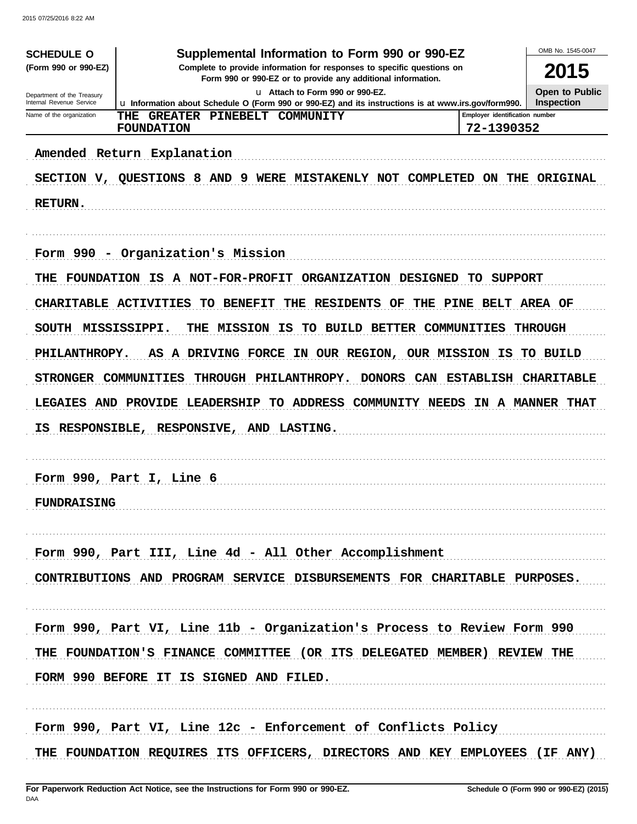| <b>SCHEDULE O</b>                                                                                                                                              | Supplemental Information to Form 990 or 990-EZ                                                                                            |                                | OMB No. 1545-0047                   |  |  |  |
|----------------------------------------------------------------------------------------------------------------------------------------------------------------|-------------------------------------------------------------------------------------------------------------------------------------------|--------------------------------|-------------------------------------|--|--|--|
| (Form 990 or 990-EZ)<br>Complete to provide information for responses to specific questions on<br>Form 990 or 990-EZ or to provide any additional information. |                                                                                                                                           |                                |                                     |  |  |  |
| Department of the Treasury<br>Internal Revenue Service                                                                                                         | u Attach to Form 990 or 990-EZ.                                                                                                           |                                | Open to Public<br><b>Inspection</b> |  |  |  |
| Name of the organization                                                                                                                                       | La Information about Schedule O (Form 990 or 990-EZ) and its instructions is at www.irs.gov/form990.<br>THE<br>GREATER PINEBELT COMMUNITY | Emplover identification number |                                     |  |  |  |
|                                                                                                                                                                | <b>FOUNDATION</b>                                                                                                                         | 72-1390352                     |                                     |  |  |  |
|                                                                                                                                                                | Amended Return Explanation                                                                                                                |                                |                                     |  |  |  |
|                                                                                                                                                                | SECTION V, QUESTIONS 8 AND 9 WERE MISTAKENLY NOT COMPLETED ON THE ORIGINAL                                                                |                                |                                     |  |  |  |
| <b>RETURN.</b>                                                                                                                                                 |                                                                                                                                           |                                |                                     |  |  |  |
|                                                                                                                                                                |                                                                                                                                           |                                |                                     |  |  |  |
|                                                                                                                                                                | Form 990 - Organization's Mission                                                                                                         |                                |                                     |  |  |  |
| THE                                                                                                                                                            | FOUNDATION IS A NOT-FOR-PROFIT ORGANIZATION DESIGNED TO SUPPORT                                                                           |                                |                                     |  |  |  |
|                                                                                                                                                                | CHARITABLE ACTIVITIES<br>THE RESIDENTS OF<br><b>TO BENEFIT</b>                                                                            | THE PINE BELT AREA OF          |                                     |  |  |  |
| SOUTH MISSISSIPPI.                                                                                                                                             | THE MISSION IS<br>TO BUILD BETTER COMMUNITIES                                                                                             |                                | <b>THROUGH</b>                      |  |  |  |
| PHILANTHROPY.                                                                                                                                                  | AS A DRIVING FORCE IN OUR REGION, OUR MISSION IS TO BUILD                                                                                 |                                |                                     |  |  |  |
| STRONGER COMMUNITIES                                                                                                                                           | THROUGH PHILANTHROPY.<br><b>DONORS</b>                                                                                                    |                                | CAN ESTABLISH CHARITABLE            |  |  |  |
|                                                                                                                                                                | <b>LEGAIES AND PROVIDE LEADERSHIP</b><br>TO ADDRESS COMMUNITY NEEDS                                                                       |                                | IN A MANNER THAT                    |  |  |  |
| IS.                                                                                                                                                            | RESPONSIBLE, RESPONSIVE, AND LASTING.                                                                                                     |                                |                                     |  |  |  |
|                                                                                                                                                                |                                                                                                                                           |                                |                                     |  |  |  |
|                                                                                                                                                                | Form 990, Part I, Line 6                                                                                                                  |                                |                                     |  |  |  |
|                                                                                                                                                                |                                                                                                                                           |                                |                                     |  |  |  |
| FUNDRAISING                                                                                                                                                    |                                                                                                                                           |                                |                                     |  |  |  |
|                                                                                                                                                                | Form 990, Part III, Line 4d - All Other Accomplishment                                                                                    |                                |                                     |  |  |  |
|                                                                                                                                                                |                                                                                                                                           |                                |                                     |  |  |  |
|                                                                                                                                                                | CONTRIBUTIONS AND PROGRAM SERVICE DISBURSEMENTS FOR CHARITABLE PURPOSES.                                                                  |                                |                                     |  |  |  |
|                                                                                                                                                                |                                                                                                                                           |                                |                                     |  |  |  |
|                                                                                                                                                                | Form 990, Part VI, Line 11b - Organization's Process to Review Form 990                                                                   |                                |                                     |  |  |  |
|                                                                                                                                                                | THE FOUNDATION'S FINANCE COMMITTEE (OR ITS DELEGATED MEMBER) REVIEW THE                                                                   |                                |                                     |  |  |  |
|                                                                                                                                                                | FORM 990 BEFORE IT IS SIGNED AND FILED.                                                                                                   |                                |                                     |  |  |  |
|                                                                                                                                                                |                                                                                                                                           |                                |                                     |  |  |  |
|                                                                                                                                                                | Form 990, Part VI, Line 12c - Enforcement of Conflicts Policy                                                                             |                                |                                     |  |  |  |
|                                                                                                                                                                | THE FOUNDATION REQUIRES ITS OFFICERS, DIRECTORS AND KEY EMPLOYEES (IF ANY)                                                                |                                |                                     |  |  |  |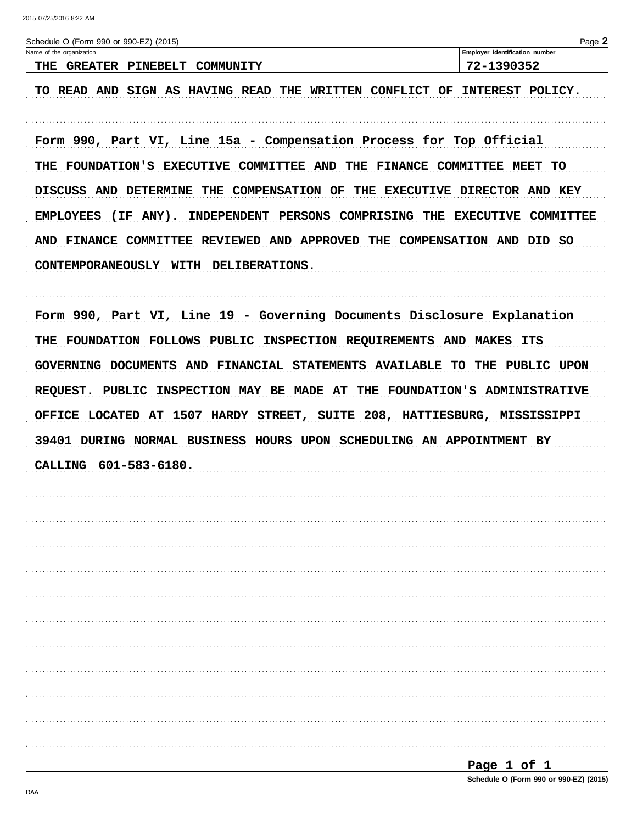| Schedule O (Form 990 or 990-EZ) (2015)<br>Name of the organization         | Page 2<br>Employer identification number |
|----------------------------------------------------------------------------|------------------------------------------|
| THE GREATER PINEBELT COMMUNITY                                             | 72-1390352                               |
| TO READ AND SIGN AS HAVING READ THE WRITTEN CONFLICT OF                    | INTEREST POLICY.                         |
| Form 990, Part VI, Line 15a - Compensation Process for Top Official        |                                          |
| THE FOUNDATION'S EXECUTIVE COMMITTEE AND THE FINANCE COMMITTEE MEET TO     |                                          |
| DISCUSS AND DETERMINE THE COMPENSATION OF THE EXECUTIVE DIRECTOR AND KEY   |                                          |
| EMPLOYEES (IF ANY). INDEPENDENT PERSONS COMPRISING THE EXECUTIVE COMMITTEE |                                          |
| AND FINANCE COMMITTEE REVIEWED AND APPROVED THE COMPENSATION AND DID SO    |                                          |
| CONTEMPORANEOUSLY WITH DELIBERATIONS.                                      |                                          |
| Form 990, Part VI, Line 19 - Governing Documents Disclosure Explanation    |                                          |
| THE FOUNDATION FOLLOWS PUBLIC INSPECTION REQUIREMENTS AND MAKES ITS        |                                          |
| GOVERNING DOCUMENTS AND FINANCIAL STATEMENTS AVAILABLE TO THE PUBLIC UPON  |                                          |
| REQUEST. PUBLIC INSPECTION MAY BE MADE AT THE FOUNDATION'S ADMINISTRATIVE  |                                          |
| OFFICE LOCATED AT 1507 HARDY STREET, SUITE 208, HATTIESBURG, MISSISSIPPI   |                                          |
| 39401 DURING NORMAL BUSINESS HOURS UPON SCHEDULING AN APPOINTMENT BY       |                                          |
| CALLING 601-583-6180.                                                      |                                          |
|                                                                            |                                          |
|                                                                            |                                          |
|                                                                            |                                          |
|                                                                            |                                          |
|                                                                            |                                          |
|                                                                            |                                          |
|                                                                            |                                          |
|                                                                            |                                          |
|                                                                            |                                          |
|                                                                            |                                          |
|                                                                            |                                          |
|                                                                            |                                          |

| Page 1 of 1                            |  |  |  |
|----------------------------------------|--|--|--|
| Schedule O (Form 990 or 990-EZ) (2015) |  |  |  |

DAA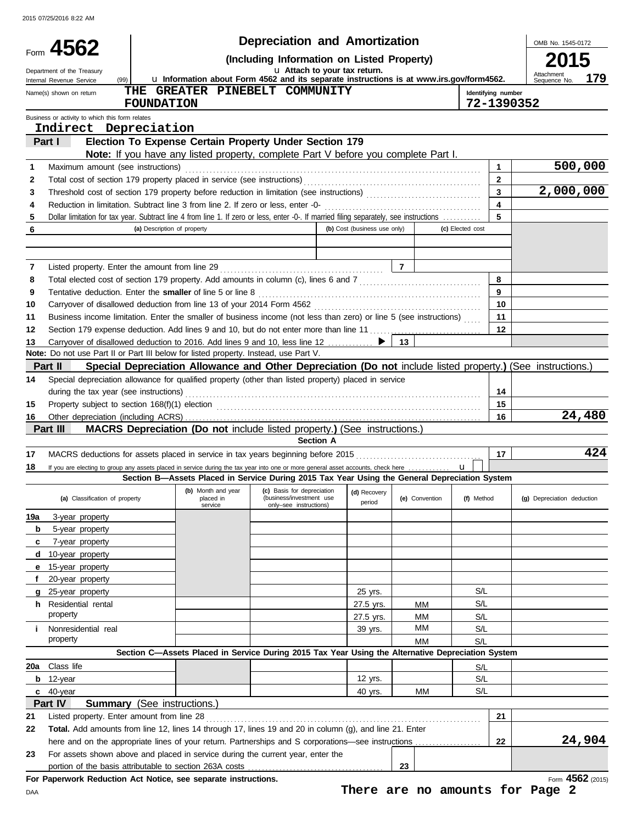|          |                                                                                                                                                                                      |                             |                                                                                                             |                                                                                  | <b>Depreciation and Amortization</b> |                                 |                  |                         | OMB No. 1545-0172          |                  |
|----------|--------------------------------------------------------------------------------------------------------------------------------------------------------------------------------------|-----------------------------|-------------------------------------------------------------------------------------------------------------|----------------------------------------------------------------------------------|--------------------------------------|---------------------------------|------------------|-------------------------|----------------------------|------------------|
|          | Form 4562                                                                                                                                                                            |                             |                                                                                                             |                                                                                  |                                      |                                 |                  |                         |                            |                  |
|          | Department of the Treasury<br>(99)                                                                                                                                                   |                             | La Information about Form 4562 and its separate instructions is at www.irs.gov/form4562.                    |                                                                                  | u Attach to your tax return.         |                                 |                  |                         | Attachment                 | 179              |
|          | Internal Revenue Service<br>Name(s) shown on return                                                                                                                                  |                             | THE GREATER PINEBELT COMMUNITY                                                                              |                                                                                  |                                      |                                 |                  | Identifying number      | Sequence No.               |                  |
|          |                                                                                                                                                                                      | <b>FOUNDATION</b>           |                                                                                                             |                                                                                  |                                      |                                 |                  | 72-1390352              |                            |                  |
|          | Business or activity to which this form relates<br>Indirect Depreciation                                                                                                             |                             |                                                                                                             |                                                                                  |                                      |                                 |                  |                         |                            |                  |
|          | Part I                                                                                                                                                                               |                             | Election To Expense Certain Property Under Section 179                                                      |                                                                                  |                                      |                                 |                  |                         |                            |                  |
|          |                                                                                                                                                                                      |                             | Note: If you have any listed property, complete Part V before you complete Part I.                          |                                                                                  |                                      |                                 |                  |                         |                            |                  |
| 1        | Maximum amount (see instructions)                                                                                                                                                    |                             |                                                                                                             |                                                                                  |                                      |                                 |                  | $\blacktriangleleft$    |                            | 500,000          |
| 2        |                                                                                                                                                                                      |                             |                                                                                                             |                                                                                  |                                      |                                 |                  | $\overline{2}$          |                            |                  |
| 3        |                                                                                                                                                                                      |                             |                                                                                                             |                                                                                  |                                      |                                 |                  | $\overline{\mathbf{3}}$ | 2,000,000                  |                  |
| 4        | Reduction in limitation. Subtract line 3 from line 2. If zero or less, enter -0-                                                                                                     |                             |                                                                                                             |                                                                                  |                                      |                                 |                  | $\overline{\mathbf{4}}$ |                            |                  |
| 5        | Dollar limitation for tax year. Subtract line 4 from line 1. If zero or less, enter -0-. If married filing separately, see instructions                                              |                             |                                                                                                             |                                                                                  |                                      |                                 |                  | 5                       |                            |                  |
| 6        |                                                                                                                                                                                      | (a) Description of property |                                                                                                             |                                                                                  | (b) Cost (business use only)         |                                 | (c) Elected cost |                         |                            |                  |
|          |                                                                                                                                                                                      |                             |                                                                                                             |                                                                                  |                                      |                                 |                  |                         |                            |                  |
| 7        | Listed property. Enter the amount from line 29                                                                                                                                       |                             |                                                                                                             |                                                                                  |                                      | $\overline{7}$                  |                  |                         |                            |                  |
| 8        | Total elected cost of section 179 property. Add amounts in column (c), lines 6 and 7 [[[[[[[[[[[[[[[[[[[[[[[[                                                                        |                             |                                                                                                             |                                                                                  |                                      |                                 |                  | 8                       |                            |                  |
| 9        | Tentative deduction. Enter the smaller of line 5 or line 8                                                                                                                           |                             |                                                                                                             |                                                                                  |                                      |                                 |                  | 9                       |                            |                  |
| 10       |                                                                                                                                                                                      |                             |                                                                                                             |                                                                                  |                                      |                                 |                  | 10                      |                            |                  |
| 11       | Business income limitation. Enter the smaller of business income (not less than zero) or line 5 (see instructions)                                                                   |                             |                                                                                                             |                                                                                  |                                      |                                 |                  | 11                      |                            |                  |
| 12       | Section 179 expense deduction. Add lines 9 and 10, but do not enter more than line 11  [11] expense deduction. Add lines 9 and 10, but do not enter more than line 11  [11] expenses |                             |                                                                                                             |                                                                                  |                                      |                                 |                  | 12                      |                            |                  |
| 13       | Carryover of disallowed deduction to 2016. Add lines 9 and 10, less line 12                                                                                                          |                             |                                                                                                             |                                                                                  |                                      | 13                              |                  |                         |                            |                  |
|          | Note: Do not use Part II or Part III below for listed property. Instead, use Part V.                                                                                                 |                             |                                                                                                             |                                                                                  |                                      |                                 |                  |                         |                            |                  |
|          | Part II                                                                                                                                                                              |                             | Special Depreciation Allowance and Other Depreciation (Do not include listed property.) (See instructions.) |                                                                                  |                                      |                                 |                  |                         |                            |                  |
| 14       | Special depreciation allowance for qualified property (other than listed property) placed in service                                                                                 |                             |                                                                                                             |                                                                                  |                                      |                                 |                  |                         |                            |                  |
|          | during the tax year (see instructions)                                                                                                                                               |                             |                                                                                                             |                                                                                  |                                      |                                 |                  | 14<br>15                |                            |                  |
| 15<br>16 |                                                                                                                                                                                      |                             |                                                                                                             |                                                                                  |                                      |                                 |                  | 16                      |                            | 24,480           |
|          | Part III                                                                                                                                                                             |                             | <b>MACRS Depreciation (Do not include listed property.) (See instructions.)</b>                             |                                                                                  |                                      |                                 |                  |                         |                            |                  |
|          |                                                                                                                                                                                      |                             |                                                                                                             | <b>Section A</b>                                                                 |                                      |                                 |                  |                         |                            |                  |
| 17       | MACRS deductions for assets placed in service in tax years beginning before 2015                                                                                                     |                             |                                                                                                             |                                                                                  |                                      |                                 |                  | 17                      |                            | 424              |
| 18       | If you are electing to group any assets placed in service during the tax year into one or more general asset accounts, check here                                                    |                             |                                                                                                             |                                                                                  |                                      |                                 | $\mathbf{u}$     |                         |                            |                  |
|          |                                                                                                                                                                                      |                             | Section B-Assets Placed in Service During 2015 Tax Year Using the General Depreciation System               |                                                                                  |                                      |                                 |                  |                         |                            |                  |
|          | (a) Classification of property                                                                                                                                                       |                             | (b) Month and year<br>placed in<br>service                                                                  | (c) Basis for depreciation<br>(business/investment use<br>only-see instructions) | (d) Recovery<br>period               | (e) Convention                  | (f) Method       |                         | (g) Depreciation deduction |                  |
| 19a      | 3-year property                                                                                                                                                                      |                             |                                                                                                             |                                                                                  |                                      |                                 |                  |                         |                            |                  |
| b        | 5-year property                                                                                                                                                                      |                             |                                                                                                             |                                                                                  |                                      |                                 |                  |                         |                            |                  |
| c        | 7-year property                                                                                                                                                                      |                             |                                                                                                             |                                                                                  |                                      |                                 |                  |                         |                            |                  |
| d        | 10-year property                                                                                                                                                                     |                             |                                                                                                             |                                                                                  |                                      |                                 |                  |                         |                            |                  |
| е        | 15-year property                                                                                                                                                                     |                             |                                                                                                             |                                                                                  |                                      |                                 |                  |                         |                            |                  |
|          | 20-year property                                                                                                                                                                     |                             |                                                                                                             |                                                                                  |                                      |                                 |                  |                         |                            |                  |
| g<br>h.  | 25-year property<br>Residential rental                                                                                                                                               |                             |                                                                                                             |                                                                                  | 25 yrs.<br>27.5 yrs.                 |                                 | S/L<br>S/L       |                         |                            |                  |
|          | property                                                                                                                                                                             |                             |                                                                                                             |                                                                                  | 27.5 yrs.                            | MМ<br>ΜМ                        | S/L              |                         |                            |                  |
| j.       | Nonresidential real                                                                                                                                                                  |                             |                                                                                                             |                                                                                  | 39 yrs.                              | МM                              | S/L              |                         |                            |                  |
|          | property                                                                                                                                                                             |                             |                                                                                                             |                                                                                  |                                      | MМ                              | S/L              |                         |                            |                  |
|          |                                                                                                                                                                                      |                             | Section C-Assets Placed in Service During 2015 Tax Year Using the Alternative Depreciation System           |                                                                                  |                                      |                                 |                  |                         |                            |                  |
| 20a      | Class life                                                                                                                                                                           |                             |                                                                                                             |                                                                                  |                                      |                                 | S/L              |                         |                            |                  |
|          | $b$ 12-year                                                                                                                                                                          |                             |                                                                                                             |                                                                                  | 12 yrs.                              |                                 | S/L              |                         |                            |                  |
|          | c 40-year                                                                                                                                                                            |                             |                                                                                                             |                                                                                  | 40 yrs.                              | MМ                              | S/L              |                         |                            |                  |
|          | Part IV<br><b>Summary</b> (See instructions.)                                                                                                                                        |                             |                                                                                                             |                                                                                  |                                      |                                 |                  |                         |                            |                  |
| 21       | Listed property. Enter amount from line 28                                                                                                                                           |                             |                                                                                                             |                                                                                  |                                      |                                 |                  | 21                      |                            |                  |
| 22       | Total. Add amounts from line 12, lines 14 through 17, lines 19 and 20 in column (g), and line 21. Enter                                                                              |                             |                                                                                                             |                                                                                  |                                      |                                 |                  |                         |                            |                  |
|          | here and on the appropriate lines of your return. Partnerships and S corporations-see instructions                                                                                   |                             |                                                                                                             |                                                                                  |                                      |                                 |                  | 22                      |                            | 24,904           |
| 23       | For assets shown above and placed in service during the current year, enter the                                                                                                      |                             |                                                                                                             |                                                                                  |                                      |                                 |                  |                         |                            |                  |
|          | portion of the basis attributable to section 263A costs<br>For Paperwork Reduction Act Notice, see separate instructions.                                                            |                             |                                                                                                             |                                                                                  |                                      | 23                              |                  |                         |                            | Form 4562 (2015) |
| DAA      |                                                                                                                                                                                      |                             |                                                                                                             |                                                                                  |                                      | There are no amounts for Page 2 |                  |                         |                            |                  |

**There are no amounts for Page 2**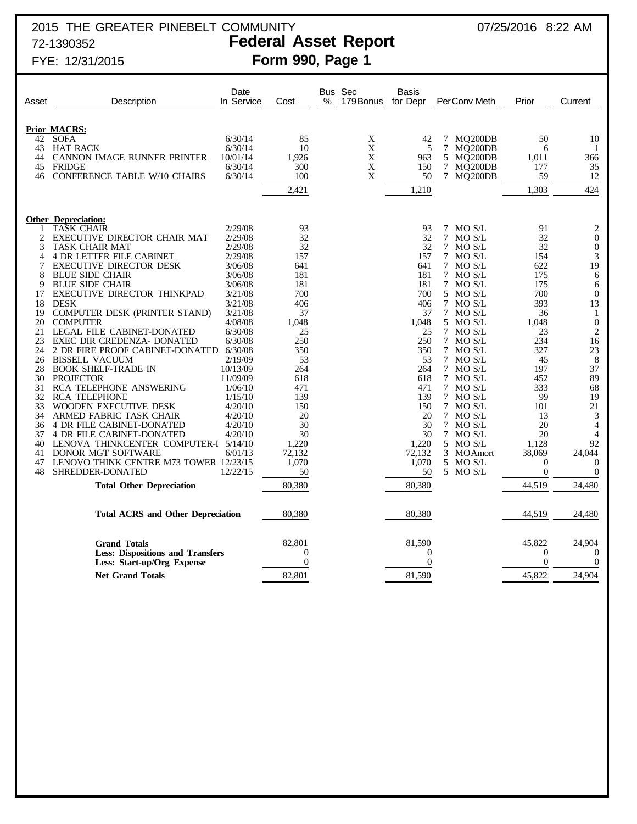## 2015 THE GREATER PINEBELT COMMUNITY 07/25/2016 8:22 AM 72-1390352 **Federal Asset Report**

# FYE: 12/31/2015 **Form 990, Page 1**

| Asset    | Description                                                           | Date<br>In Service   | Cost                       | $\%$ | Bus Sec<br>179 Bonus | Basis<br>for Depr   |   | Per Conv Meth        | Prior                        | Current                    |
|----------|-----------------------------------------------------------------------|----------------------|----------------------------|------|----------------------|---------------------|---|----------------------|------------------------------|----------------------------|
|          |                                                                       |                      |                            |      |                      |                     |   |                      |                              |                            |
| 42       | <b>Prior MACRS:</b><br><b>SOFA</b>                                    | 6/30/14              | 85                         |      | X                    | 42                  |   | 7 MQ200DB            | 50                           | 10                         |
| 43       | <b>HAT RACK</b>                                                       | 6/30/14              | 10                         |      | $\mathbf X$          | 5                   |   | 7 MQ200DB            | 6                            | -1                         |
| 44       | <b>CANNON IMAGE RUNNER PRINTER</b>                                    | 10/01/14             | 1.926                      |      | X                    | 963                 |   | 5 MQ200DB            | 1,011                        | 366                        |
| 45       | <b>FRIDGE</b>                                                         | 6/30/14              | 300                        |      | $\mathbf X$          | 150                 |   | 7 MQ200DB            | 177                          | 35                         |
| 46       | <b>CONFERENCE TABLE W/10 CHAIRS</b>                                   | 6/30/14              | 100                        |      | X                    | 50                  |   | 7 MQ200DB            | 59                           | 12                         |
|          |                                                                       |                      |                            |      |                      |                     |   |                      |                              |                            |
|          |                                                                       |                      | 2,421                      |      |                      | 1,210               |   |                      | 1,303                        | 424                        |
|          | <b>Other Depreciation:</b>                                            |                      |                            |      |                      |                     |   |                      |                              |                            |
| 1        | <b>TASK CHAIR</b>                                                     | 2/29/08              | 93                         |      |                      | 93                  |   | 7 MO S/L             | 91                           | 2                          |
| 2        | EXECUTIVE DIRECTOR CHAIR MAT                                          | 2/29/08              | 32                         |      |                      | 32                  | 7 | MO S/L               | 32                           | $\boldsymbol{0}$           |
| 3        | TASK CHAIR MAT                                                        | 2/29/08              | 32                         |      |                      | 32                  |   | 7 MO S/L             | 32                           | $\boldsymbol{0}$           |
| 4        | <b>4 DR LETTER FILE CABINET</b>                                       | 2/29/08              | 157                        |      |                      | 157                 |   | 7 MO S/L             | 154                          | 3                          |
| 7        | <b>EXECUTIVE DIRECTOR DESK</b>                                        | 3/06/08              | 641                        |      |                      | 641                 |   | 7 MO S/L             | 622                          | 19                         |
| 8        | <b>BLUE SIDE CHAIR</b>                                                | 3/06/08              | 181                        |      |                      | 181                 |   | 7 MO S/L             | 175                          | 6                          |
| 9        | <b>BLUE SIDE CHAIR</b>                                                | 3/06/08              | 181                        |      |                      | 181                 |   | 7 MO S/L             | 175                          | 6                          |
| 17       | EXECUTIVE DIRECTOR THINKPAD                                           | 3/21/08              | 700                        |      |                      | 700                 |   | 5 MO S/L             | 700                          | $\theta$                   |
| 18       | <b>DESK</b>                                                           | 3/21/08              | 406                        |      |                      | 406                 |   | 7 MO S/L             | 393                          | 13                         |
| 19       | COMPUTER DESK (PRINTER STAND)                                         | 3/21/08              | 37                         |      |                      | 37                  |   | 7 MO S/L             | 36                           | 1                          |
| 20       | <b>COMPUTER</b>                                                       | 4/08/08              | 1,048                      |      |                      | 1,048               |   | 5 MO S/L             | 1,048                        | $\boldsymbol{0}$           |
| 21       | LEGAL FILE CABINET-DONATED                                            | 6/30/08              | 25                         |      |                      | 25                  |   | 7 MO S/L             | 23                           | $\overline{2}$             |
| 23       | EXEC DIR CREDENZA- DONATED                                            | 6/30/08              | 250                        |      |                      | 250                 |   | 7 MO S/L             | 234                          | 16                         |
| 24       | 2 DR FIRE PROOF CABINET-DONATED                                       | 6/30/08              | 350                        |      |                      | 350                 |   | 7 MO S/L             | 327                          | 23                         |
| 26       | <b>BISSELL VACUUM</b>                                                 | 2/19/09              | 53                         |      |                      | 53                  |   | 7 MO S/L             | 45                           | 8<br>37                    |
| 28<br>30 | <b>BOOK SHELF-TRADE IN</b><br><b>PROJECTOR</b>                        | 10/13/09<br>11/09/09 | 264<br>618                 |      |                      | 264<br>618          |   | 7 MO S/L<br>7 MO S/L | 197<br>452                   | 89                         |
| 31       | RCA TELEPHONE ANSWERING                                               | 1/06/10              | 471                        |      |                      | 471                 |   | 7 MOS/L              | 333                          | 68                         |
| 32       | <b>RCA TELEPHONE</b>                                                  | 1/15/10              | 139                        |      |                      | 139                 |   | 7 MO S/L             | 99                           | 19                         |
| 33       | WOODEN EXECUTIVE DESK                                                 | 4/20/10              | 150                        |      |                      | 150                 |   | 7 MO S/L             | 101                          | 21                         |
| 34       | ARMED FABRIC TASK CHAIR                                               | 4/20/10              | 20                         |      |                      | 20                  |   | 7 MOS/L              | 13                           | 3                          |
| 36       | <b>4 DR FILE CABINET-DONATED</b>                                      | 4/20/10              | 30                         |      |                      | 30                  |   | 7 MO S/L             | 20                           | $\overline{4}$             |
| 37       | <b>4 DR FILE CABINET-DONATED</b>                                      | 4/20/10              | 30                         |      |                      | 30                  |   | 7 MO S/L             | 20                           | 4                          |
| 40       | LENOVA THINKCENTER COMPUTER-I 5/14/10                                 |                      | 1.220                      |      |                      | 1.220               |   | 5 MO S/L             | 1.128                        | 92                         |
| 41       | <b>DONOR MGT SOFTWARE</b>                                             | 6/01/13              | 72,132                     |      |                      | 72,132              |   | 3 MOAmort            | 38,069                       | 24,044                     |
| 47       | LENOVO THINK CENTRE M73 TOWER 12/23/15                                |                      | 1,070                      |      |                      | 1,070               |   | 5 MO S/L             | $\Omega$                     | $\Omega$                   |
| 48       | SHREDDER-DONATED                                                      | 12/22/15             | 50                         |      |                      | 50                  |   | 5 MO S/L             | $\boldsymbol{0}$             | $\overline{0}$             |
|          | <b>Total Other Depreciation</b>                                       |                      | 80,380                     |      |                      | 80,380              |   |                      | 44,519                       | 24,480                     |
|          | <b>Total ACRS and Other Depreciation</b>                              |                      | 80,380                     |      |                      | 80,380              |   |                      | 44,519                       | 24,480                     |
|          |                                                                       |                      |                            |      |                      |                     |   |                      |                              |                            |
|          | <b>Grand Totals</b>                                                   |                      | 82,801                     |      |                      | 81,590              |   |                      | 45,822                       | 24,904                     |
|          | <b>Less: Dispositions and Transfers</b><br>Less: Start-up/Org Expense |                      | $\theta$<br>$\overline{0}$ |      |                      | $\overline{0}$<br>0 |   |                      | $\mathbf{0}$<br>$\mathbf{0}$ | $\overline{0}$<br>$\theta$ |
|          |                                                                       |                      |                            |      |                      |                     |   |                      |                              |                            |
|          | <b>Net Grand Totals</b>                                               |                      | 82,801                     |      |                      | 81,590              |   |                      | 45,822                       | 24,904                     |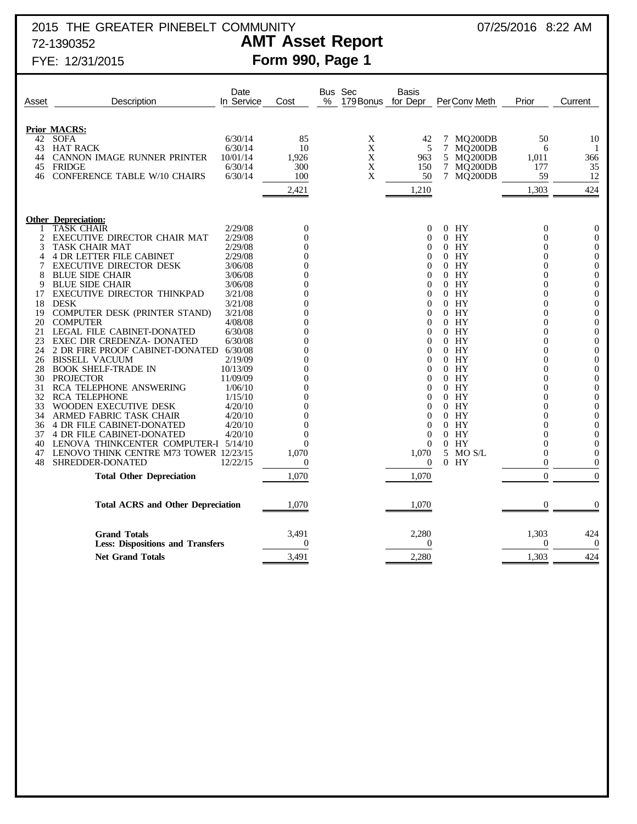## 2015 THE GREATER PINEBELT COMMUNITY **2015** 17/25/2016 8:22 AM 72-1390352 **AMT Asset Report**

# FYE: 12/31/2015 **Form 990, Page 1**

| <b>Prior MACRS:</b><br><b>SOFA</b><br>6/30/14<br>7 MQ200DB<br>42<br>85<br>X<br>42<br>50<br>$\mathbf X$<br>6/30/14<br>10<br>43<br><b>HAT RACK</b><br>5<br>7<br>MQ200DB<br>6<br>X<br>CANNON IMAGE RUNNER PRINTER<br>10/01/14<br>1,926<br>963<br>5 MQ200DB<br>44<br>1,011<br>6/30/14<br>300<br>X<br>7 MQ200DB<br>177<br>45<br><b>FRIDGE</b><br>150<br>X<br><b>CONFERENCE TABLE W/10 CHAIRS</b><br>6/30/14<br>100<br>50<br>7 MQ200DB<br>59<br>46<br>1,303<br>2,421<br>1,210<br><b>Other Depreciation:</b><br><b>TASK CHAIR</b><br>2/29/08<br>$\overline{0}$<br>$0$ HY<br>0<br>0<br>2<br>2/29/08<br>EXECUTIVE DIRECTOR CHAIR MAT<br>$\theta$<br>$0$ HY<br>0<br>0<br>3<br>TASK CHAIR MAT<br>2/29/08<br>$0$ HY<br>0<br>0<br>$\Omega$<br><b>4 DR LETTER FILE CABINET</b><br>2/29/08<br>$0$ HY<br>$\Omega$<br>4<br>0<br>$\Omega$<br>7<br><b>EXECUTIVE DIRECTOR DESK</b><br>3/06/08<br>$0$ HY<br>0<br>0<br>0<br>8<br>HY<br><b>BLUE SIDE CHAIR</b><br>3/06/08<br>$\Omega$<br>0<br>$\Omega$<br>9<br><b>BLUE SIDE CHAIR</b><br>3/06/08<br>$0$ HY<br>0<br>0<br>EXECUTIVE DIRECTOR THINKPAD<br>3/21/08<br>$0$ HY<br>$\overline{0}$<br>17<br>$\mathbf{0}$<br>18<br><b>DESK</b><br>3/21/08<br>$0$ HY<br>$\Omega$<br>$\Omega$<br>COMPUTER DESK (PRINTER STAND)<br>3/21/08<br>$0$ HY<br>19<br>0<br>0<br>20<br>4/08/08<br>$0$ HY<br>$\boldsymbol{0}$<br><b>COMPUTER</b><br>$\mathbf{0}$<br>LEGAL FILE CABINET-DONATED<br>6/30/08<br>$0$ HY<br>21<br>0<br>0<br>23<br>EXEC DIR CREDENZA- DONATED<br>6/30/08<br>$0$ HY<br>$\overline{0}$<br>$\mathbf{0}$<br>24<br>2 DR FIRE PROOF CABINET-DONATED<br>6/30/08<br>$0$ HY<br>0<br>0<br><b>BISSELL VACUUM</b><br>2/19/09<br>$0$ HY<br>26<br>$\mathbf{0}$<br>0 | Asset | Description | Date<br>In Service | Cost | % | Bus Sec<br>179 Bonus for Depr | Basis | Per Conv Meth | Prior | Current                              |
|------------------------------------------------------------------------------------------------------------------------------------------------------------------------------------------------------------------------------------------------------------------------------------------------------------------------------------------------------------------------------------------------------------------------------------------------------------------------------------------------------------------------------------------------------------------------------------------------------------------------------------------------------------------------------------------------------------------------------------------------------------------------------------------------------------------------------------------------------------------------------------------------------------------------------------------------------------------------------------------------------------------------------------------------------------------------------------------------------------------------------------------------------------------------------------------------------------------------------------------------------------------------------------------------------------------------------------------------------------------------------------------------------------------------------------------------------------------------------------------------------------------------------------------------------------------------------------------------------------------------------------------------------------------------------------|-------|-------------|--------------------|------|---|-------------------------------|-------|---------------|-------|--------------------------------------|
|                                                                                                                                                                                                                                                                                                                                                                                                                                                                                                                                                                                                                                                                                                                                                                                                                                                                                                                                                                                                                                                                                                                                                                                                                                                                                                                                                                                                                                                                                                                                                                                                                                                                                    |       |             |                    |      |   |                               |       |               |       |                                      |
|                                                                                                                                                                                                                                                                                                                                                                                                                                                                                                                                                                                                                                                                                                                                                                                                                                                                                                                                                                                                                                                                                                                                                                                                                                                                                                                                                                                                                                                                                                                                                                                                                                                                                    |       |             |                    |      |   |                               |       |               |       |                                      |
|                                                                                                                                                                                                                                                                                                                                                                                                                                                                                                                                                                                                                                                                                                                                                                                                                                                                                                                                                                                                                                                                                                                                                                                                                                                                                                                                                                                                                                                                                                                                                                                                                                                                                    |       |             |                    |      |   |                               |       |               |       | 10                                   |
|                                                                                                                                                                                                                                                                                                                                                                                                                                                                                                                                                                                                                                                                                                                                                                                                                                                                                                                                                                                                                                                                                                                                                                                                                                                                                                                                                                                                                                                                                                                                                                                                                                                                                    |       |             |                    |      |   |                               |       |               |       | -1                                   |
|                                                                                                                                                                                                                                                                                                                                                                                                                                                                                                                                                                                                                                                                                                                                                                                                                                                                                                                                                                                                                                                                                                                                                                                                                                                                                                                                                                                                                                                                                                                                                                                                                                                                                    |       |             |                    |      |   |                               |       |               |       | 366                                  |
|                                                                                                                                                                                                                                                                                                                                                                                                                                                                                                                                                                                                                                                                                                                                                                                                                                                                                                                                                                                                                                                                                                                                                                                                                                                                                                                                                                                                                                                                                                                                                                                                                                                                                    |       |             |                    |      |   |                               |       |               |       | 35                                   |
|                                                                                                                                                                                                                                                                                                                                                                                                                                                                                                                                                                                                                                                                                                                                                                                                                                                                                                                                                                                                                                                                                                                                                                                                                                                                                                                                                                                                                                                                                                                                                                                                                                                                                    |       |             |                    |      |   |                               |       |               |       | 12                                   |
|                                                                                                                                                                                                                                                                                                                                                                                                                                                                                                                                                                                                                                                                                                                                                                                                                                                                                                                                                                                                                                                                                                                                                                                                                                                                                                                                                                                                                                                                                                                                                                                                                                                                                    |       |             |                    |      |   |                               |       |               |       | 424                                  |
|                                                                                                                                                                                                                                                                                                                                                                                                                                                                                                                                                                                                                                                                                                                                                                                                                                                                                                                                                                                                                                                                                                                                                                                                                                                                                                                                                                                                                                                                                                                                                                                                                                                                                    |       |             |                    |      |   |                               |       |               |       |                                      |
|                                                                                                                                                                                                                                                                                                                                                                                                                                                                                                                                                                                                                                                                                                                                                                                                                                                                                                                                                                                                                                                                                                                                                                                                                                                                                                                                                                                                                                                                                                                                                                                                                                                                                    |       |             |                    |      |   |                               |       |               |       | $\theta$                             |
|                                                                                                                                                                                                                                                                                                                                                                                                                                                                                                                                                                                                                                                                                                                                                                                                                                                                                                                                                                                                                                                                                                                                                                                                                                                                                                                                                                                                                                                                                                                                                                                                                                                                                    |       |             |                    |      |   |                               |       |               |       | $\boldsymbol{0}$                     |
|                                                                                                                                                                                                                                                                                                                                                                                                                                                                                                                                                                                                                                                                                                                                                                                                                                                                                                                                                                                                                                                                                                                                                                                                                                                                                                                                                                                                                                                                                                                                                                                                                                                                                    |       |             |                    |      |   |                               |       |               |       | $\boldsymbol{0}$                     |
|                                                                                                                                                                                                                                                                                                                                                                                                                                                                                                                                                                                                                                                                                                                                                                                                                                                                                                                                                                                                                                                                                                                                                                                                                                                                                                                                                                                                                                                                                                                                                                                                                                                                                    |       |             |                    |      |   |                               |       |               |       | $\boldsymbol{0}$                     |
|                                                                                                                                                                                                                                                                                                                                                                                                                                                                                                                                                                                                                                                                                                                                                                                                                                                                                                                                                                                                                                                                                                                                                                                                                                                                                                                                                                                                                                                                                                                                                                                                                                                                                    |       |             |                    |      |   |                               |       |               |       | $\boldsymbol{0}$                     |
|                                                                                                                                                                                                                                                                                                                                                                                                                                                                                                                                                                                                                                                                                                                                                                                                                                                                                                                                                                                                                                                                                                                                                                                                                                                                                                                                                                                                                                                                                                                                                                                                                                                                                    |       |             |                    |      |   |                               |       |               |       | $\boldsymbol{0}$                     |
|                                                                                                                                                                                                                                                                                                                                                                                                                                                                                                                                                                                                                                                                                                                                                                                                                                                                                                                                                                                                                                                                                                                                                                                                                                                                                                                                                                                                                                                                                                                                                                                                                                                                                    |       |             |                    |      |   |                               |       |               |       | $\boldsymbol{0}$                     |
|                                                                                                                                                                                                                                                                                                                                                                                                                                                                                                                                                                                                                                                                                                                                                                                                                                                                                                                                                                                                                                                                                                                                                                                                                                                                                                                                                                                                                                                                                                                                                                                                                                                                                    |       |             |                    |      |   |                               |       |               |       | $\boldsymbol{0}$                     |
|                                                                                                                                                                                                                                                                                                                                                                                                                                                                                                                                                                                                                                                                                                                                                                                                                                                                                                                                                                                                                                                                                                                                                                                                                                                                                                                                                                                                                                                                                                                                                                                                                                                                                    |       |             |                    |      |   |                               |       |               |       | $\boldsymbol{0}$                     |
|                                                                                                                                                                                                                                                                                                                                                                                                                                                                                                                                                                                                                                                                                                                                                                                                                                                                                                                                                                                                                                                                                                                                                                                                                                                                                                                                                                                                                                                                                                                                                                                                                                                                                    |       |             |                    |      |   |                               |       |               |       | $\boldsymbol{0}$                     |
|                                                                                                                                                                                                                                                                                                                                                                                                                                                                                                                                                                                                                                                                                                                                                                                                                                                                                                                                                                                                                                                                                                                                                                                                                                                                                                                                                                                                                                                                                                                                                                                                                                                                                    |       |             |                    |      |   |                               |       |               |       | $\boldsymbol{0}$                     |
|                                                                                                                                                                                                                                                                                                                                                                                                                                                                                                                                                                                                                                                                                                                                                                                                                                                                                                                                                                                                                                                                                                                                                                                                                                                                                                                                                                                                                                                                                                                                                                                                                                                                                    |       |             |                    |      |   |                               |       |               |       | $\boldsymbol{0}$                     |
|                                                                                                                                                                                                                                                                                                                                                                                                                                                                                                                                                                                                                                                                                                                                                                                                                                                                                                                                                                                                                                                                                                                                                                                                                                                                                                                                                                                                                                                                                                                                                                                                                                                                                    |       |             |                    |      |   |                               |       |               |       | $\boldsymbol{0}$                     |
|                                                                                                                                                                                                                                                                                                                                                                                                                                                                                                                                                                                                                                                                                                                                                                                                                                                                                                                                                                                                                                                                                                                                                                                                                                                                                                                                                                                                                                                                                                                                                                                                                                                                                    |       |             |                    |      |   |                               |       |               |       | $\boldsymbol{0}$                     |
| 28<br><b>BOOK SHELF-TRADE IN</b><br>10/13/09<br>$0$ HY<br>$\theta$<br>0<br>0                                                                                                                                                                                                                                                                                                                                                                                                                                                                                                                                                                                                                                                                                                                                                                                                                                                                                                                                                                                                                                                                                                                                                                                                                                                                                                                                                                                                                                                                                                                                                                                                       |       |             |                    |      |   |                               |       |               |       | $\boldsymbol{0}$<br>$\boldsymbol{0}$ |
| 30<br>11/09/09<br>HY<br><b>PROJECTOR</b><br>$\Omega$<br>$\Omega$<br>$\Omega$                                                                                                                                                                                                                                                                                                                                                                                                                                                                                                                                                                                                                                                                                                                                                                                                                                                                                                                                                                                                                                                                                                                                                                                                                                                                                                                                                                                                                                                                                                                                                                                                       |       |             |                    |      |   |                               |       |               |       | $\boldsymbol{0}$                     |
| 31<br><b>RCA TELEPHONE ANSWERING</b><br>1/06/10<br>$0$ HY<br>0<br>$\Omega$                                                                                                                                                                                                                                                                                                                                                                                                                                                                                                                                                                                                                                                                                                                                                                                                                                                                                                                                                                                                                                                                                                                                                                                                                                                                                                                                                                                                                                                                                                                                                                                                         |       |             |                    |      |   |                               |       |               |       | $\boldsymbol{0}$                     |
| 32<br>1/15/10<br>HY<br><b>RCA TELEPHONE</b><br>$\Omega$<br>0<br>0                                                                                                                                                                                                                                                                                                                                                                                                                                                                                                                                                                                                                                                                                                                                                                                                                                                                                                                                                                                                                                                                                                                                                                                                                                                                                                                                                                                                                                                                                                                                                                                                                  |       |             |                    |      |   |                               |       |               |       | $\boldsymbol{0}$                     |
| 33<br>WOODEN EXECUTIVE DESK<br>4/20/10<br>$0$ HY<br>0<br>$\Omega$                                                                                                                                                                                                                                                                                                                                                                                                                                                                                                                                                                                                                                                                                                                                                                                                                                                                                                                                                                                                                                                                                                                                                                                                                                                                                                                                                                                                                                                                                                                                                                                                                  |       |             |                    |      |   |                               |       |               |       | $\boldsymbol{0}$                     |
| $0$ HY<br>34<br>ARMED FABRIC TASK CHAIR<br>4/20/10<br>0<br>0                                                                                                                                                                                                                                                                                                                                                                                                                                                                                                                                                                                                                                                                                                                                                                                                                                                                                                                                                                                                                                                                                                                                                                                                                                                                                                                                                                                                                                                                                                                                                                                                                       |       |             |                    |      |   |                               |       |               |       | $\boldsymbol{0}$                     |
| <b>4 DR FILE CABINET-DONATED</b><br>4/20/10<br>$0$ HY<br>$\theta$<br>36<br>O<br>$\Omega$                                                                                                                                                                                                                                                                                                                                                                                                                                                                                                                                                                                                                                                                                                                                                                                                                                                                                                                                                                                                                                                                                                                                                                                                                                                                                                                                                                                                                                                                                                                                                                                           |       |             |                    |      |   |                               |       |               |       | $\mathbf{0}$                         |
| $0$ HY<br>37<br><b>4 DR FILE CABINET-DONATED</b><br>4/20/10<br>0<br>$\Omega$<br>0                                                                                                                                                                                                                                                                                                                                                                                                                                                                                                                                                                                                                                                                                                                                                                                                                                                                                                                                                                                                                                                                                                                                                                                                                                                                                                                                                                                                                                                                                                                                                                                                  |       |             |                    |      |   |                               |       |               |       | $\boldsymbol{0}$                     |
| $0$ HY<br>LENOVA THINKCENTER COMPUTER-I 5/14/10<br>$\theta$<br>$\mathbf{0}$<br>$\overline{0}$<br>40                                                                                                                                                                                                                                                                                                                                                                                                                                                                                                                                                                                                                                                                                                                                                                                                                                                                                                                                                                                                                                                                                                                                                                                                                                                                                                                                                                                                                                                                                                                                                                                |       |             |                    |      |   |                               |       |               |       | $\boldsymbol{0}$                     |
| LENOVO THINK CENTRE M73 TOWER 12/23/15<br>5 MOS/L<br>$\theta$<br>47<br>1.070<br>1,070                                                                                                                                                                                                                                                                                                                                                                                                                                                                                                                                                                                                                                                                                                                                                                                                                                                                                                                                                                                                                                                                                                                                                                                                                                                                                                                                                                                                                                                                                                                                                                                              |       |             |                    |      |   |                               |       |               |       | $\mathbf{0}$                         |
| $\theta$<br>48<br>SHREDDER-DONATED<br>12/22/15<br>$0$ HY<br>0<br>$\boldsymbol{0}$                                                                                                                                                                                                                                                                                                                                                                                                                                                                                                                                                                                                                                                                                                                                                                                                                                                                                                                                                                                                                                                                                                                                                                                                                                                                                                                                                                                                                                                                                                                                                                                                  |       |             |                    |      |   |                               |       |               |       | $\boldsymbol{0}$                     |
| $\theta$<br>1,070<br>1,070<br><b>Total Other Depreciation</b>                                                                                                                                                                                                                                                                                                                                                                                                                                                                                                                                                                                                                                                                                                                                                                                                                                                                                                                                                                                                                                                                                                                                                                                                                                                                                                                                                                                                                                                                                                                                                                                                                      |       |             |                    |      |   |                               |       |               |       | $\overline{0}$                       |
|                                                                                                                                                                                                                                                                                                                                                                                                                                                                                                                                                                                                                                                                                                                                                                                                                                                                                                                                                                                                                                                                                                                                                                                                                                                                                                                                                                                                                                                                                                                                                                                                                                                                                    |       |             |                    |      |   |                               |       |               |       |                                      |
| 1,070<br>1,070<br>$\boldsymbol{0}$<br><b>Total ACRS and Other Depreciation</b>                                                                                                                                                                                                                                                                                                                                                                                                                                                                                                                                                                                                                                                                                                                                                                                                                                                                                                                                                                                                                                                                                                                                                                                                                                                                                                                                                                                                                                                                                                                                                                                                     |       |             |                    |      |   |                               |       |               |       | $\mathbf{0}$                         |
| 3,491<br>2,280<br>1,303<br><b>Grand Totals</b>                                                                                                                                                                                                                                                                                                                                                                                                                                                                                                                                                                                                                                                                                                                                                                                                                                                                                                                                                                                                                                                                                                                                                                                                                                                                                                                                                                                                                                                                                                                                                                                                                                     |       |             |                    |      |   |                               |       |               |       | 424                                  |
| <b>Less: Dispositions and Transfers</b><br>0<br>$\Omega$<br>0                                                                                                                                                                                                                                                                                                                                                                                                                                                                                                                                                                                                                                                                                                                                                                                                                                                                                                                                                                                                                                                                                                                                                                                                                                                                                                                                                                                                                                                                                                                                                                                                                      |       |             |                    |      |   |                               |       |               |       | $\theta$                             |
| 2,280<br>3,491<br>1,303<br><b>Net Grand Totals</b>                                                                                                                                                                                                                                                                                                                                                                                                                                                                                                                                                                                                                                                                                                                                                                                                                                                                                                                                                                                                                                                                                                                                                                                                                                                                                                                                                                                                                                                                                                                                                                                                                                 |       |             |                    |      |   |                               |       |               |       | 424                                  |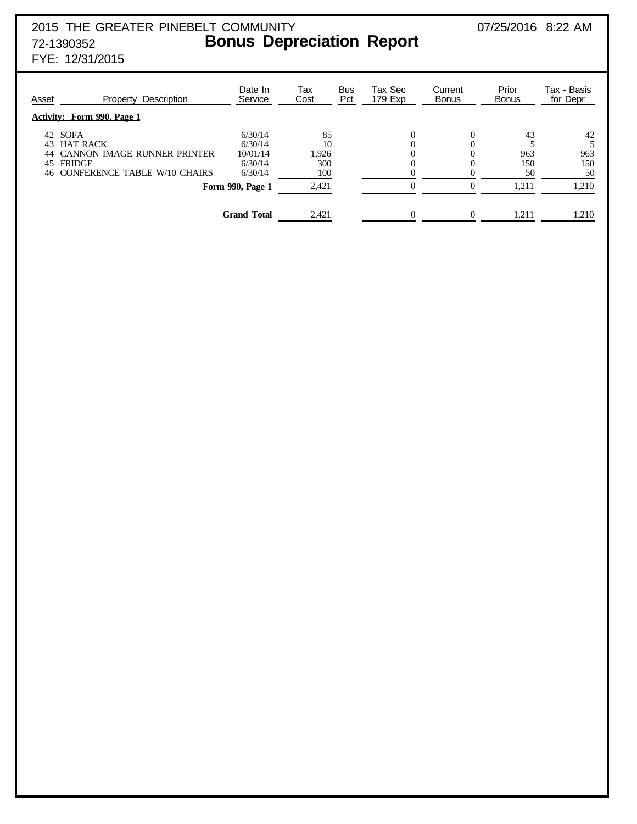# 2015 THE GREATER PINEBELT COMMUNITY 07/25/2016 8:22 AM 72-1390352 **Bonus Depreciation Report**

FYE: 12/31/2015

| Asset     | Description<br>Property           | Date In<br>Service | Tax<br>Cost | <b>Bus</b><br>Pct | Tax Sec<br>179 Exp | Current<br><b>Bonus</b> | Prior<br>Bonus | Tax - Basis<br>for Depr |
|-----------|-----------------------------------|--------------------|-------------|-------------------|--------------------|-------------------------|----------------|-------------------------|
|           | <b>Activity: Form 990, Page 1</b> |                    |             |                   |                    |                         |                |                         |
| 42 SOFA   |                                   | 6/30/14            | 85          |                   |                    | 0                       | 43             | 42                      |
| 43        | <b>HAT RACK</b>                   | 6/30/14            | 10          |                   |                    |                         |                |                         |
|           | 44 CANNON IMAGE RUNNER PRINTER    | 10/01/14           | 1,926       |                   |                    |                         | 963            | 963                     |
| 45 FRIDGE |                                   | 6/30/14            | 300         |                   |                    |                         | 150            | 150                     |
|           | 46 CONFERENCE TABLE W/10 CHAIRS   | 6/30/14            | 100         |                   |                    |                         | 50             | 50                      |
|           |                                   | Form 990, Page 1   | 2,421       |                   |                    | $\mathbf{\Omega}$       | 1.211          | 1,210                   |
|           |                                   |                    |             |                   |                    |                         |                |                         |
|           |                                   | <b>Grand Total</b> | 2.421       |                   |                    | 0                       | 1,211          | 1,210                   |